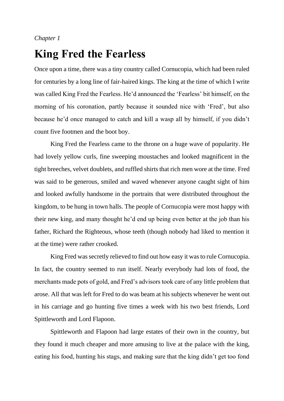#### *Chapter 1*

### **King Fred the Fearless**

Once upon a time, there was a tiny country called Cornucopia, which had been ruled for centuries by a long line of fair-haired kings. The king at the time of which I write was called King Fred the Fearless. He'd announced the 'Fearless' bit himself, on the morning of his coronation, partly because it sounded nice with 'Fred', but also because he'd once managed to catch and kill a wasp all by himself, if you didn't count five footmen and the boot boy.

King Fred the Fearless came to the throne on a huge wave of popularity. He had lovely yellow curls, fine sweeping moustaches and looked magnificent in the tight breeches, velvet doublets, and ruffled shirts that rich men wore at the time. Fred was said to be generous, smiled and waved whenever anyone caught sight of him and looked awfully handsome in the portraits that were distributed throughout the kingdom, to be hung in town halls. The people of Cornucopia were most happy with their new king, and many thought he'd end up being even better at the job than his father, Richard the Righteous, whose teeth (though nobody had liked to mention it at the time) were rather crooked.

King Fred was secretly relieved to find out how easy it was to rule Cornucopia. In fact, the country seemed to run itself. Nearly everybody had lots of food, the merchants made pots of gold, and Fred's advisors took care of any little problem that arose. All that was left for Fred to do was beam at his subjects whenever he went out in his carriage and go hunting five times a week with his two best friends, Lord Spittleworth and Lord Flapoon.

Spittleworth and Flapoon had large estates of their own in the country, but they found it much cheaper and more amusing to live at the palace with the king, eating his food, hunting his stags, and making sure that the king didn't get too fond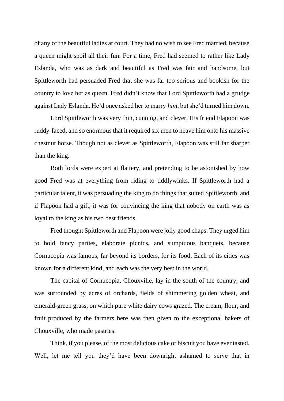of any of the beautiful ladies at court. They had no wish to see Fred married, because a queen might spoil all their fun. For a time, Fred had seemed to rather like Lady Eslanda, who was as dark and beautiful as Fred was fair and handsome, but Spittleworth had persuaded Fred that she was far too serious and bookish for the country to love her as queen. Fred didn't know that Lord Spittleworth had a grudge against Lady Eslanda. He'd once asked her to marry *him*, but she'd turned him down.

Lord Spittleworth was very thin, cunning, and clever. His friend Flapoon was ruddy-faced, and so enormous that it required six men to heave him onto his massive chestnut horse. Though not as clever as Spittleworth, Flapoon was still far sharper than the king.

Both lords were expert at flattery, and pretending to be astonished by how good Fred was at everything from riding to tiddlywinks. If Spittleworth had a particular talent, it was persuading the king to do things that suited Spittleworth, and if Flapoon had a gift, it was for convincing the king that nobody on earth was as loyal to the king as his two best friends.

Fred thought Spittleworth and Flapoon were jolly good chaps. They urged him to hold fancy parties, elaborate picnics, and sumptuous banquets, because Cornucopia was famous, far beyond its borders, for its food. Each of its cities was known for a different kind, and each was the very best in the world.

The capital of Cornucopia, Chouxville, lay in the south of the country, and was surrounded by acres of orchards, fields of shimmering golden wheat, and emerald-green grass, on which pure white dairy cows grazed. The cream, flour, and fruit produced by the farmers here was then given to the exceptional bakers of Chouxville, who made pastries.

Think, if you please, of the most delicious cake or biscuit you have ever tasted. Well, let me tell you they'd have been downright ashamed to serve that in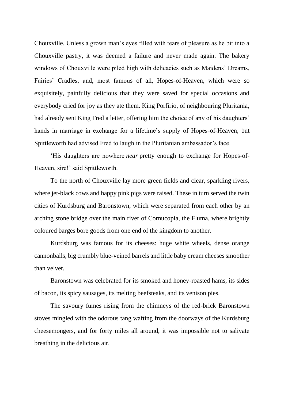Chouxville. Unless a grown man's eyes filled with tears of pleasure as he bit into a Chouxville pastry, it was deemed a failure and never made again. The bakery windows of Chouxville were piled high with delicacies such as Maidens' Dreams, Fairies' Cradles, and, most famous of all, Hopes-of-Heaven, which were so exquisitely, painfully delicious that they were saved for special occasions and everybody cried for joy as they ate them. King Porfirio, of neighbouring Pluritania, had already sent King Fred a letter, offering him the choice of any of his daughters' hands in marriage in exchange for a lifetime's supply of Hopes-of-Heaven, but Spittleworth had advised Fred to laugh in the Pluritanian ambassador's face.

'His daughters are nowhere *near* pretty enough to exchange for Hopes-of-Heaven, sire!' said Spittleworth.

To the north of Chouxville lay more green fields and clear, sparkling rivers, where jet-black cows and happy pink pigs were raised. These in turn served the twin cities of Kurdsburg and Baronstown, which were separated from each other by an arching stone bridge over the main river of Cornucopia, the Fluma, where brightly coloured barges bore goods from one end of the kingdom to another.

Kurdsburg was famous for its cheeses: huge white wheels, dense orange cannonballs, big crumbly blue-veined barrels and little baby cream cheeses smoother than velvet.

Baronstown was celebrated for its smoked and honey-roasted hams, its sides of bacon, its spicy sausages, its melting beefsteaks, and its venison pies.

The savoury fumes rising from the chimneys of the red-brick Baronstown stoves mingled with the odorous tang wafting from the doorways of the Kurdsburg cheesemongers, and for forty miles all around, it was impossible not to salivate breathing in the delicious air.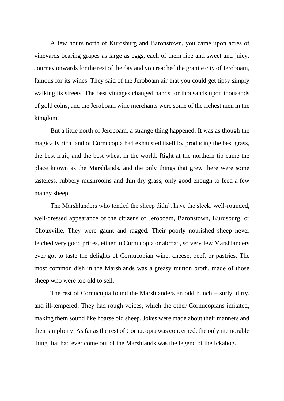A few hours north of Kurdsburg and Baronstown, you came upon acres of vineyards bearing grapes as large as eggs, each of them ripe and sweet and juicy. Journey onwards for the rest of the day and you reached the granite city of Jeroboam, famous for its wines. They said of the Jeroboam air that you could get tipsy simply walking its streets. The best vintages changed hands for thousands upon thousands of gold coins, and the Jeroboam wine merchants were some of the richest men in the kingdom.

But a little north of Jeroboam, a strange thing happened. It was as though the magically rich land of Cornucopia had exhausted itself by producing the best grass, the best fruit, and the best wheat in the world. Right at the northern tip came the place known as the Marshlands, and the only things that grew there were some tasteless, rubbery mushrooms and thin dry grass, only good enough to feed a few mangy sheep.

The Marshlanders who tended the sheep didn't have the sleek, well-rounded, well-dressed appearance of the citizens of Jeroboam, Baronstown, Kurdsburg, or Chouxville. They were gaunt and ragged. Their poorly nourished sheep never fetched very good prices, either in Cornucopia or abroad, so very few Marshlanders ever got to taste the delights of Cornucopian wine, cheese, beef, or pastries. The most common dish in the Marshlands was a greasy mutton broth, made of those sheep who were too old to sell.

The rest of Cornucopia found the Marshlanders an odd bunch – surly, dirty, and ill-tempered. They had rough voices, which the other Cornucopians imitated, making them sound like hoarse old sheep. Jokes were made about their manners and their simplicity. As far as the rest of Cornucopia was concerned, the only memorable thing that had ever come out of the Marshlands was the legend of the Ickabog.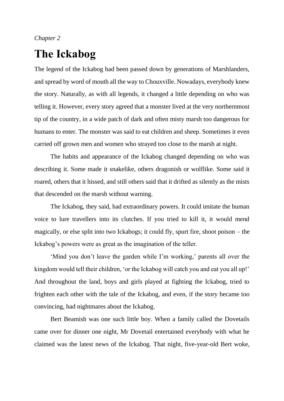#### *Chapter 2*

### **The Ickabog**

The legend of the Ickabog had been passed down by generations of Marshlanders, and spread by word of mouth all the way to Chouxville. Nowadays, everybody knew the story. Naturally, as with all legends, it changed a little depending on who was telling it. However, every story agreed that a monster lived at the very northernmost tip of the country, in a wide patch of dark and often misty marsh too dangerous for humans to enter. The monster was said to eat children and sheep. Sometimes it even carried off grown men and women who strayed too close to the marsh at night.

The habits and appearance of the Ickabog changed depending on who was describing it. Some made it snakelike, others dragonish or wolflike. Some said it roared, others that it hissed, and still others said that it drifted as silently as the mists that descended on the marsh without warning.

The Ickabog, they said, had extraordinary powers. It could imitate the human voice to lure travellers into its clutches. If you tried to kill it, it would mend magically, or else split into two Ickabogs; it could fly, spurt fire, shoot poison – the Ickabog's powers were as great as the imagination of the teller.

'Mind you don't leave the garden while I'm working,' parents all over the kingdom would tell their children, 'or the Ickabog will catch you and eat you all up!' And throughout the land, boys and girls played at fighting the Ickabog, tried to frighten each other with the tale of the Ickabog, and even, if the story became too convincing, had nightmares about the Ickabog.

Bert Beamish was one such little boy. When a family called the Dovetails came over for dinner one night, Mr Dovetail entertained everybody with what he claimed was the latest news of the Ickabog. That night, five-year-old Bert woke,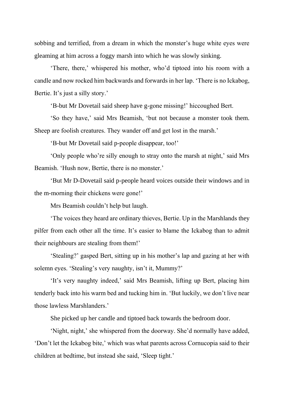sobbing and terrified, from a dream in which the monster's huge white eyes were gleaming at him across a foggy marsh into which he was slowly sinking.

'There, there,' whispered his mother, who'd tiptoed into his room with a candle and now rocked him backwards and forwards in her lap. 'There is no Ickabog, Bertie. It's just a silly story.'

'B-but Mr Dovetail said sheep have g-gone missing!' hiccoughed Bert.

'So they have,' said Mrs Beamish, 'but not because a monster took them. Sheep are foolish creatures. They wander off and get lost in the marsh.'

'B-but Mr Dovetail said p-people disappear, too!'

'Only people who're silly enough to stray onto the marsh at night,' said Mrs Beamish. 'Hush now, Bertie, there is no monster.'

'But Mr D-Dovetail said p-people heard voices outside their windows and in the m-morning their chickens were gone!'

Mrs Beamish couldn't help but laugh.

'The voices they heard are ordinary thieves, Bertie. Up in the Marshlands they pilfer from each other all the time. It's easier to blame the Ickabog than to admit their neighbours are stealing from them!'

'Stealing?' gasped Bert, sitting up in his mother's lap and gazing at her with solemn eyes. 'Stealing's very naughty, isn't it, Mummy?'

'It's very naughty indeed,' said Mrs Beamish, lifting up Bert, placing him tenderly back into his warm bed and tucking him in. 'But luckily, we don't live near those lawless Marshlanders.'

She picked up her candle and tiptoed back towards the bedroom door.

'Night, night,' she whispered from the doorway. She'd normally have added, 'Don't let the Ickabog bite,' which was what parents across Cornucopia said to their children at bedtime, but instead she said, 'Sleep tight.'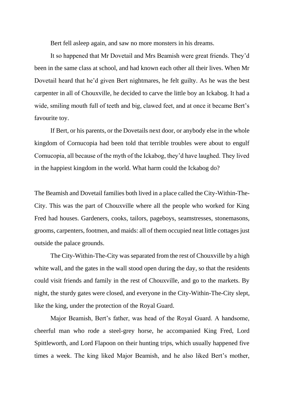Bert fell asleep again, and saw no more monsters in his dreams.

It so happened that Mr Dovetail and Mrs Beamish were great friends. They'd been in the same class at school, and had known each other all their lives. When Mr Dovetail heard that he'd given Bert nightmares, he felt guilty. As he was the best carpenter in all of Chouxville, he decided to carve the little boy an Ickabog. It had a wide, smiling mouth full of teeth and big, clawed feet, and at once it became Bert's favourite toy.

If Bert, or his parents, or the Dovetails next door, or anybody else in the whole kingdom of Cornucopia had been told that terrible troubles were about to engulf Cornucopia, all because of the myth of the Ickabog, they'd have laughed. They lived in the happiest kingdom in the world. What harm could the Ickabog do?

The Beamish and Dovetail families both lived in a place called the City-Within-The-City. This was the part of Chouxville where all the people who worked for King Fred had houses. Gardeners, cooks, tailors, pageboys, seamstresses, stonemasons, grooms, carpenters, footmen, and maids: all of them occupied neat little cottages just outside the palace grounds.

The City-Within-The-City was separated from the rest of Chouxville by a high white wall, and the gates in the wall stood open during the day, so that the residents could visit friends and family in the rest of Chouxville, and go to the markets. By night, the sturdy gates were closed, and everyone in the City-Within-The-City slept, like the king, under the protection of the Royal Guard.

Major Beamish, Bert's father, was head of the Royal Guard. A handsome, cheerful man who rode a steel-grey horse, he accompanied King Fred, Lord Spittleworth, and Lord Flapoon on their hunting trips, which usually happened five times a week. The king liked Major Beamish, and he also liked Bert's mother,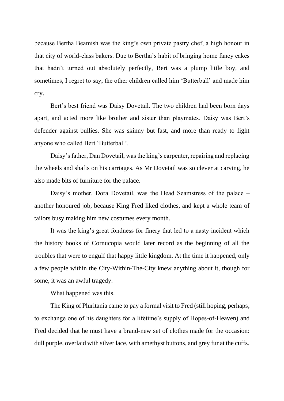because Bertha Beamish was the king's own private pastry chef, a high honour in that city of world-class bakers. Due to Bertha's habit of bringing home fancy cakes that hadn't turned out absolutely perfectly, Bert was a plump little boy, and sometimes, I regret to say, the other children called him 'Butterball' and made him cry.

Bert's best friend was Daisy Dovetail. The two children had been born days apart, and acted more like brother and sister than playmates. Daisy was Bert's defender against bullies. She was skinny but fast, and more than ready to fight anyone who called Bert 'Butterball'.

Daisy's father, Dan Dovetail, was the king's carpenter, repairing and replacing the wheels and shafts on his carriages. As Mr Dovetail was so clever at carving, he also made bits of furniture for the palace.

Daisy's mother, Dora Dovetail, was the Head Seamstress of the palace – another honoured job, because King Fred liked clothes, and kept a whole team of tailors busy making him new costumes every month.

It was the king's great fondness for finery that led to a nasty incident which the history books of Cornucopia would later record as the beginning of all the troubles that were to engulf that happy little kingdom. At the time it happened, only a few people within the City-Within-The-City knew anything about it, though for some, it was an awful tragedy.

What happened was this.

The King of Pluritania came to pay a formal visit to Fred (still hoping, perhaps, to exchange one of his daughters for a lifetime's supply of Hopes-of-Heaven) and Fred decided that he must have a brand-new set of clothes made for the occasion: dull purple, overlaid with silver lace, with amethyst buttons, and grey fur at the cuffs.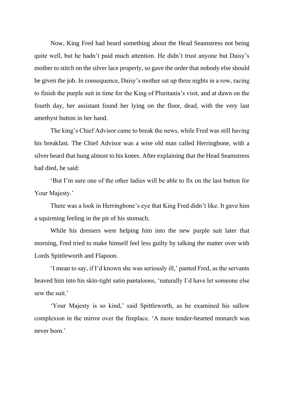Now, King Fred had heard something about the Head Seamstress not being quite well, but he hadn't paid much attention. He didn't trust anyone but Daisy's mother to stitch on the silver lace properly, so gave the order that nobody else should be given the job. In consequence, Daisy's mother sat up three nights in a row, racing to finish the purple suit in time for the King of Pluritania's visit, and at dawn on the fourth day, her assistant found her lying on the floor, dead, with the very last amethyst button in her hand.

The king's Chief Advisor came to break the news, while Fred was still having his breakfast. The Chief Advisor was a wise old man called Herringbone, with a silver beard that hung almost to his knees. After explaining that the Head Seamstress had died, he said:

'But I'm sure one of the other ladies will be able to fix on the last button for Your Majesty.'

There was a look in Herringbone's eye that King Fred didn't like. It gave him a squirming feeling in the pit of his stomach.

While his dressers were helping him into the new purple suit later that morning, Fred tried to make himself feel less guilty by talking the matter over with Lords Spittleworth and Flapoon.

'I mean to say, if I'd known she was seriously ill,' panted Fred, as the servants heaved him into his skin-tight satin pantaloons, 'naturally I'd have let someone else sew the suit.'

'Your Majesty is so kind,' said Spittleworth, as he examined his sallow complexion in the mirror over the fireplace. 'A more tender-hearted monarch was never born.'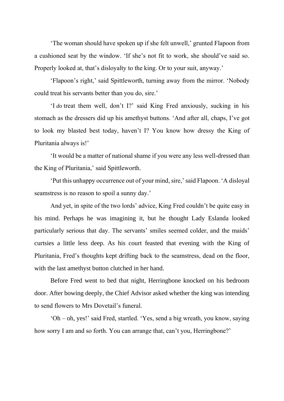'The woman should have spoken up if she felt unwell,' grunted Flapoon from a cushioned seat by the window. 'If she's not fit to work, she should've said so. Properly looked at, that's disloyalty to the king. Or to your suit, anyway.'

'Flapoon's right,' said Spittleworth, turning away from the mirror. 'Nobody could treat his servants better than you do, sire.'

'I *do* treat them well, don't I?' said King Fred anxiously, sucking in his stomach as the dressers did up his amethyst buttons. 'And after all, chaps, I've got to look my blasted best today, haven't I? You know how dressy the King of Pluritania always is!'

'It would be a matter of national shame if you were any less well-dressed than the King of Pluritania,' said Spittleworth.

'Put this unhappy occurrence out of your mind, sire,' said Flapoon. 'A disloyal seamstress is no reason to spoil a sunny day.'

And yet, in spite of the two lords' advice, King Fred couldn't be quite easy in his mind. Perhaps he was imagining it, but he thought Lady Eslanda looked particularly serious that day. The servants' smiles seemed colder, and the maids' curtsies a little less deep. As his court feasted that evening with the King of Pluritania, Fred's thoughts kept drifting back to the seamstress, dead on the floor, with the last amethyst button clutched in her hand.

Before Fred went to bed that night, Herringbone knocked on his bedroom door. After bowing deeply, the Chief Advisor asked whether the king was intending to send flowers to Mrs Dovetail's funeral.

'Oh – oh, yes!' said Fred, startled. 'Yes, send a big wreath, you know, saying how sorry I am and so forth. You can arrange that, can't you, Herringbone?'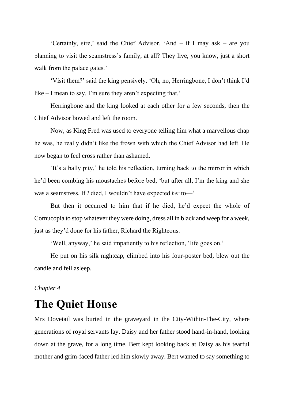'Certainly, sire,' said the Chief Advisor. 'And – if I may ask – are you planning to visit the seamstress's family, at all? They live, you know, just a short walk from the palace gates.'

'Visit them?' said the king pensively. 'Oh, no, Herringbone, I don't think I'd like – I mean to say, I'm sure they aren't expecting that.'

Herringbone and the king looked at each other for a few seconds, then the Chief Advisor bowed and left the room.

Now, as King Fred was used to everyone telling him what a marvellous chap he was, he really didn't like the frown with which the Chief Advisor had left. He now began to feel cross rather than ashamed.

'It's a bally pity,' he told his reflection, turning back to the mirror in which he'd been combing his moustaches before bed, 'but after all, I'm the king and she was a seamstress. If *I* died, I wouldn't have expected *her* to—'

But then it occurred to him that if he died, he'd expect the whole of Cornucopia to stop whatever they were doing, dress all in black and weep for a week, just as they'd done for his father, Richard the Righteous.

'Well, anyway,' he said impatiently to his reflection, 'life goes on.'

He put on his silk nightcap, climbed into his four-poster bed, blew out the candle and fell asleep.

#### *Chapter 4*

# **The Quiet House**

Mrs Dovetail was buried in the graveyard in the City-Within-The-City, where generations of royal servants lay. Daisy and her father stood hand-in-hand, looking down at the grave, for a long time. Bert kept looking back at Daisy as his tearful mother and grim-faced father led him slowly away. Bert wanted to say something to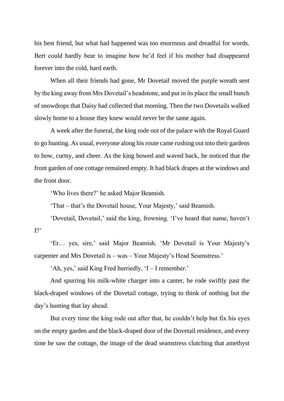his best friend, but what had happened was too enormous and dreadful for words. Bert could hardly bear to imagine how he'd feel if his mother had disappeared forever into the cold, hard earth.

When all their friends had gone, Mr Dovetail moved the purple wreath sent by the king away from Mrs Dovetail's headstone, and put in its place the small bunch of snowdrops that Daisy had collected that morning. Then the two Dovetails walked slowly home to a house they knew would never be the same again.

A week after the funeral, the king rode out of the palace with the Royal Guard to go hunting. As usual, everyone along his route came rushing out into their gardens to bow, curtsy, and cheer. As the king bowed and waved back, he noticed that the front garden of one cottage remained empty. It had black drapes at the windows and the front door.

'Who lives there?' he asked Major Beamish.

'That – that's the Dovetail house, Your Majesty,' said Beamish.

'Dovetail, Dovetail,' said the king, frowning. 'I've heard that name, haven't I?'

'Er… yes, sire,' said Major Beamish. 'Mr Dovetail is Your Majesty's carpenter and Mrs Dovetail is – was – Your Majesty's Head Seamstress.'

'Ah, yes,' said King Fred hurriedly, 'I – I remember.'

And spurring his milk-white charger into a canter, he rode swiftly past the black-draped windows of the Dovetail cottage, trying to think of nothing but the day's hunting that lay ahead.

But every time the king rode out after that, he couldn't help but fix his eyes on the empty garden and the black-draped door of the Dovetail residence, and every time he saw the cottage, the image of the dead seamstress clutching that amethyst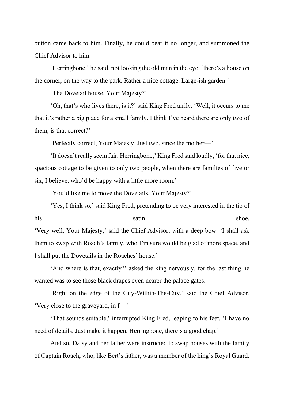button came back to him. Finally, he could bear it no longer, and summoned the Chief Advisor to him.

'Herringbone,' he said, not looking the old man in the eye, 'there's a house on the corner, on the way to the park. Rather a nice cottage. Large-ish garden.'

'The Dovetail house, Your Majesty?'

'Oh, that's who lives there, is it?' said King Fred airily. 'Well, it occurs to me that it's rather a big place for a small family. I think I've heard there are only two of them, is that correct?'

'Perfectly correct, Your Majesty. Just two, since the mother—'

'It doesn't really seem fair, Herringbone,' King Fred said loudly, 'for that nice, spacious cottage to be given to only two people, when there are families of five or six, I believe, who'd be happy with a little more room.'

'You'd like me to move the Dovetails, Your Majesty?'

'Yes, I think so,' said King Fred, pretending to be very interested in the tip of his satin shoe. 'Very well, Your Majesty,' said the Chief Advisor, with a deep bow. 'I shall ask them to swap with Roach's family, who I'm sure would be glad of more space, and I shall put the Dovetails in the Roaches' house.'

'And where is that, exactly?' asked the king nervously, for the last thing he wanted was to see those black drapes even nearer the palace gates.

'Right on the edge of the City-Within-The-City,' said the Chief Advisor. 'Very close to the graveyard, in f—'

'That sounds suitable,' interrupted King Fred, leaping to his feet. 'I have no need of details. Just make it happen, Herringbone, there's a good chap.'

And so, Daisy and her father were instructed to swap houses with the family of Captain Roach, who, like Bert's father, was a member of the king's Royal Guard.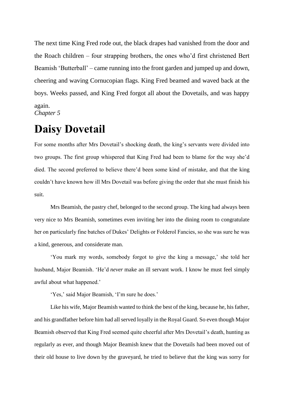The next time King Fred rode out, the black drapes had vanished from the door and the Roach children – four strapping brothers, the ones who'd first christened Bert Beamish 'Butterball' – came running into the front garden and jumped up and down, cheering and waving Cornucopian flags. King Fred beamed and waved back at the boys. Weeks passed, and King Fred forgot all about the Dovetails, and was happy again. *Chapter 5*

# **Daisy Dovetail**

For some months after Mrs Dovetail's shocking death, the king's servants were divided into two groups. The first group whispered that King Fred had been to blame for the way she'd died. The second preferred to believe there'd been some kind of mistake, and that the king couldn't have known how ill Mrs Dovetail was before giving the order that she must finish his suit.

Mrs Beamish, the pastry chef, belonged to the second group. The king had always been very nice to Mrs Beamish, sometimes even inviting her into the dining room to congratulate her on particularly fine batches of Dukes' Delights or Folderol Fancies, so she was sure he was a kind, generous, and considerate man.

'You mark my words, somebody forgot to give the king a message,' she told her husband, Major Beamish. 'He'd *never* make an ill servant work. I know he must feel simply awful about what happened.'

'Yes,' said Major Beamish, 'I'm sure he does.'

Like his wife, Major Beamish wanted to think the best of the king, because he, his father, and his grandfather before him had all served loyally in the Royal Guard. So even though Major Beamish observed that King Fred seemed quite cheerful after Mrs Dovetail's death, hunting as regularly as ever, and though Major Beamish knew that the Dovetails had been moved out of their old house to live down by the graveyard, he tried to believe that the king was sorry for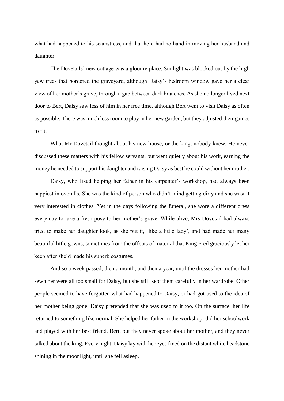what had happened to his seamstress, and that he'd had no hand in moving her husband and daughter.

The Dovetails' new cottage was a gloomy place. Sunlight was blocked out by the high yew trees that bordered the graveyard, although Daisy's bedroom window gave her a clear view of her mother's grave, through a gap between dark branches. As she no longer lived next door to Bert, Daisy saw less of him in her free time, although Bert went to visit Daisy as often as possible. There was much less room to play in her new garden, but they adjusted their games to fit.

What Mr Dovetail thought about his new house, or the king, nobody knew. He never discussed these matters with his fellow servants, but went quietly about his work, earning the money he needed to support his daughter and raising Daisy as best he could without her mother.

Daisy, who liked helping her father in his carpenter's workshop, had always been happiest in overalls. She was the kind of person who didn't mind getting dirty and she wasn't very interested in clothes. Yet in the days following the funeral, she wore a different dress every day to take a fresh posy to her mother's grave. While alive, Mrs Dovetail had always tried to make her daughter look, as she put it, 'like a little lady', and had made her many beautiful little gowns, sometimes from the offcuts of material that King Fred graciously let her keep after she'd made his superb costumes.

And so a week passed, then a month, and then a year, until the dresses her mother had sewn her were all too small for Daisy, but she still kept them carefully in her wardrobe. Other people seemed to have forgotten what had happened to Daisy, or had got used to the idea of her mother being gone. Daisy pretended that she was used to it too. On the surface, her life returned to something like normal. She helped her father in the workshop, did her schoolwork and played with her best friend, Bert, but they never spoke about her mother, and they never talked about the king. Every night, Daisy lay with her eyes fixed on the distant white headstone shining in the moonlight, until she fell asleep.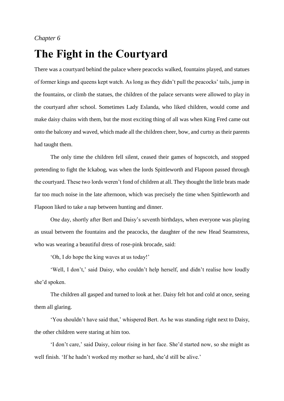### *Chapter 6*

### **The Fight in the Courtyard**

There was a courtyard behind the palace where peacocks walked, fountains played, and statues of former kings and queens kept watch. As long as they didn't pull the peacocks' tails, jump in the fountains, or climb the statues, the children of the palace servants were allowed to play in the courtyard after school. Sometimes Lady Eslanda, who liked children, would come and make daisy chains with them, but the most exciting thing of all was when King Fred came out onto the balcony and waved, which made all the children cheer, bow, and curtsy as their parents had taught them.

The only time the children fell silent, ceased their games of hopscotch, and stopped pretending to fight the Ickabog, was when the lords Spittleworth and Flapoon passed through the courtyard. These two lords weren't fond of children at all. They thought the little brats made far too much noise in the late afternoon, which was precisely the time when Spittleworth and Flapoon liked to take a nap between hunting and dinner.

One day, shortly after Bert and Daisy's seventh birthdays, when everyone was playing as usual between the fountains and the peacocks, the daughter of the new Head Seamstress, who was wearing a beautiful dress of rose-pink brocade, said:

'Oh, I *do* hope the king waves at us today!'

'Well, I don't,' said Daisy, who couldn't help herself, and didn't realise how loudly she'd spoken.

The children all gasped and turned to look at her. Daisy felt hot and cold at once, seeing them all glaring.

'You shouldn't have said that,' whispered Bert. As he was standing right next to Daisy, the other children were staring at him too.

'I don't care,' said Daisy, colour rising in her face. She'd started now, so she might as well finish. 'If he hadn't worked my mother so hard, she'd still be alive.'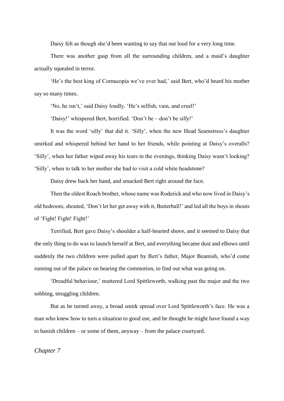Daisy felt as though she'd been wanting to say that out loud for a very long time.

There was another gasp from all the surrounding children, and a maid's daughter actually squealed in terror.

'He's the best king of Cornucopia we've ever had,' said Bert, who'd heard his mother say so many times.

'No, he isn't,' said Daisy loudly. 'He's selfish, vain, and cruel!'

'Daisy!' whispered Bert, horrified. 'Don't be – don't be *silly!*'

It was the word 'silly' that did it. 'Silly', when the new Head Seamstress's daughter smirked and whispered behind her hand to her friends, while pointing at Daisy's overalls? 'Silly', when her father wiped away his tears in the evenings, thinking Daisy wasn't looking? 'Silly', when to talk to her mother she had to visit a cold white headstone?

Daisy drew back her hand, and smacked Bert right around the face.

Then the oldest Roach brother, whose name was Roderick and who now lived in Daisy's old bedroom, shouted, 'Don't let her get away with it, Butterball!' and led all the boys in shouts of 'Fight! Fight! Fight!'

Terrified, Bert gave Daisy's shoulder a half-hearted shove, and it seemed to Daisy that the only thing to do was to launch herself at Bert, and everything became dust and elbows until suddenly the two children were pulled apart by Bert's father, Major Beamish, who'd come running out of the palace on hearing the commotion, to find out what was going on.

'Dreadful behaviour,' muttered Lord Spittleworth, walking past the major and the two sobbing, struggling children.

But as he turned away, a broad smirk spread over Lord Spittleworth's face. He was a man who knew how to turn a situation to good use, and he thought he might have found a way to banish children – or some of them, anyway – from the palace courtyard.

*Chapter 7*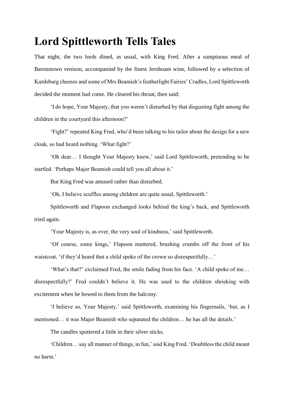## **Lord Spittleworth Tells Tales**

That night, the two lords dined, as usual, with King Fred. After a sumptuous meal of Baronstown venison, accompanied by the finest Jeroboam wine, followed by a selection of Kurdsburg cheeses and some of Mrs Beamish's featherlight Fairies' Cradles, Lord Spittleworth decided the moment had come. He cleared his throat, then said:

'I do hope, Your Majesty, that you weren't disturbed by that disgusting fight among the children in the courtyard this afternoon?'

'Fight?' repeated King Fred, who'd been talking to his tailor about the design for a new cloak, so had heard nothing. 'What fight?'

'Oh dear… I thought Your Majesty knew,' said Lord Spittleworth, pretending to be startled. 'Perhaps Major Beamish could tell you all about it.'

But King Fred was amused rather than disturbed.

'Oh, I believe scuffles among children are quite usual, Spittleworth.'

Spittleworth and Flapoon exchanged looks behind the king's back, and Spittleworth tried again.

'Your Majesty is, as ever, the very soul of kindness,' said Spittleworth.

'Of course, some kings,' Flapoon muttered, brushing crumbs off the front of his waistcoat, 'if they'd heard that a child spoke of the crown so disrespectfully…'

'What's that?' exclaimed Fred, the smile fading from his face. 'A child spoke of me… disrespectfully?' Fred couldn't believe it. He was used to the children shrieking with excitement when he bowed to them from the balcony.

'I believe so, Your Majesty,' said Spittleworth, examining his fingernails, 'but, as I mentioned… it was Major Beamish who separated the children… he has all the details.'

The candles sputtered a little in their silver sticks.

'Children… say all manner of things, in fun,' said King Fred. 'Doubtless the child meant no harm.'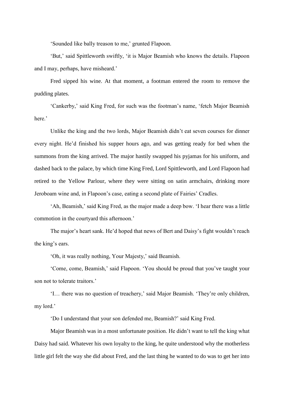'Sounded like bally treason to me,' grunted Flapoon.

'But,' said Spittleworth swiftly, 'it is Major Beamish who knows the details. Flapoon and I may, perhaps, have misheard.'

Fred sipped his wine. At that moment, a footman entered the room to remove the pudding plates.

'Cankerby,' said King Fred, for such was the footman's name, 'fetch Major Beamish here.'

Unlike the king and the two lords, Major Beamish didn't eat seven courses for dinner every night. He'd finished his supper hours ago, and was getting ready for bed when the summons from the king arrived. The major hastily swapped his pyjamas for his uniform, and dashed back to the palace, by which time King Fred, Lord Spittleworth, and Lord Flapoon had retired to the Yellow Parlour, where they were sitting on satin armchairs, drinking more Jeroboam wine and, in Flapoon's case, eating a second plate of Fairies' Cradles.

'Ah, Beamish,' said King Fred, as the major made a deep bow. 'I hear there was a little commotion in the courtyard this afternoon.'

The major's heart sank. He'd hoped that news of Bert and Daisy's fight wouldn't reach the king's ears.

'Oh, it was really nothing, Your Majesty,' said Beamish.

'Come, come, Beamish,' said Flapoon. 'You should be proud that you've taught your son not to tolerate traitors.'

'I… there was no question of treachery,' said Major Beamish. 'They're only children, my lord.'

'Do I understand that your son defended me, Beamish?' said King Fred.

Major Beamish was in a most unfortunate position. He didn't want to tell the king what Daisy had said. Whatever his own loyalty to the king, he quite understood why the motherless little girl felt the way she did about Fred, and the last thing he wanted to do was to get her into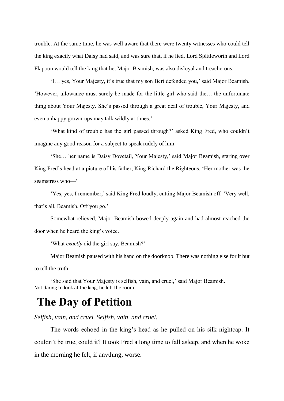trouble. At the same time, he was well aware that there were twenty witnesses who could tell the king exactly what Daisy had said, and was sure that, if he lied, Lord Spittleworth and Lord Flapoon would tell the king that he, Major Beamish, was also disloyal and treacherous.

'I… yes, Your Majesty, it's true that my son Bert defended you,' said Major Beamish. 'However, allowance must surely be made for the little girl who said the… the unfortunate thing about Your Majesty. She's passed through a great deal of trouble, Your Majesty, and even unhappy grown-ups may talk wildly at times.'

'What kind of trouble has the girl passed through?' asked King Fred, who couldn't imagine any good reason for a subject to speak rudely of him.

'She… her name is Daisy Dovetail, Your Majesty,' said Major Beamish, staring over King Fred's head at a picture of his father, King Richard the Righteous. 'Her mother was the seamstress who—'

'Yes, yes, I remember,' said King Fred loudly, cutting Major Beamish off. 'Very well, that's all, Beamish. Off you go.'

Somewhat relieved, Major Beamish bowed deeply again and had almost reached the door when he heard the king's voice.

'What *exactly* did the girl say, Beamish?'

Major Beamish paused with his hand on the doorknob. There was nothing else for it but to tell the truth.

'She said that Your Majesty is selfish, vain, and cruel,' said Major Beamish. Not daring to look at the king, he left the room.

# **The Day of Petition**

*Selfish, vain, and cruel. Selfish, vain, and cruel.*

The words echoed in the king's head as he pulled on his silk nightcap. It couldn't be true, could it? It took Fred a long time to fall asleep, and when he woke in the morning he felt, if anything, worse.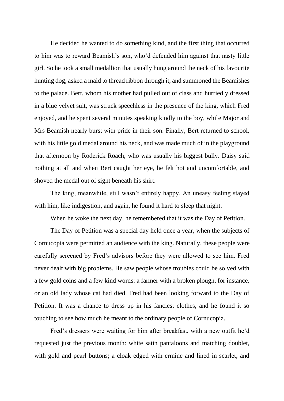He decided he wanted to do something kind, and the first thing that occurred to him was to reward Beamish's son, who'd defended him against that nasty little girl. So he took a small medallion that usually hung around the neck of his favourite hunting dog, asked a maid to thread ribbon through it, and summoned the Beamishes to the palace. Bert, whom his mother had pulled out of class and hurriedly dressed in a blue velvet suit, was struck speechless in the presence of the king, which Fred enjoyed, and he spent several minutes speaking kindly to the boy, while Major and Mrs Beamish nearly burst with pride in their son. Finally, Bert returned to school, with his little gold medal around his neck, and was made much of in the playground that afternoon by Roderick Roach, who was usually his biggest bully. Daisy said nothing at all and when Bert caught her eye, he felt hot and uncomfortable, and shoved the medal out of sight beneath his shirt.

The king, meanwhile, still wasn't entirely happy. An uneasy feeling stayed with him, like indigestion, and again, he found it hard to sleep that night.

When he woke the next day, he remembered that it was the Day of Petition.

The Day of Petition was a special day held once a year, when the subjects of Cornucopia were permitted an audience with the king. Naturally, these people were carefully screened by Fred's advisors before they were allowed to see him. Fred never dealt with big problems. He saw people whose troubles could be solved with a few gold coins and a few kind words: a farmer with a broken plough, for instance, or an old lady whose cat had died. Fred had been looking forward to the Day of Petition. It was a chance to dress up in his fanciest clothes, and he found it so touching to see how much he meant to the ordinary people of Cornucopia.

Fred's dressers were waiting for him after breakfast, with a new outfit he'd requested just the previous month: white satin pantaloons and matching doublet, with gold and pearl buttons; a cloak edged with ermine and lined in scarlet; and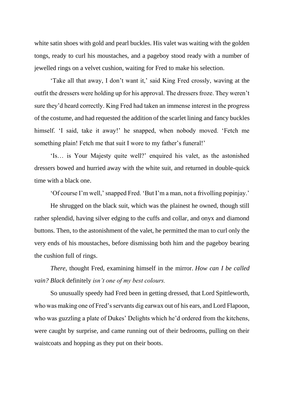white satin shoes with gold and pearl buckles. His valet was waiting with the golden tongs, ready to curl his moustaches, and a pageboy stood ready with a number of jewelled rings on a velvet cushion, waiting for Fred to make his selection.

'Take all that away, I don't want it,' said King Fred crossly, waving at the outfit the dressers were holding up for his approval. The dressers froze. They weren't sure they'd heard correctly. King Fred had taken an immense interest in the progress of the costume, and had requested the addition of the scarlet lining and fancy buckles himself. 'I said, take it away!' he snapped, when nobody moved. 'Fetch me something plain! Fetch me that suit I wore to my father's funeral!'

'Is… is Your Majesty quite well?' enquired his valet, as the astonished dressers bowed and hurried away with the white suit, and returned in double-quick time with a black one.

'Of course I'm well,' snapped Fred. 'But I'm a man, not a frivolling popinjay.'

He shrugged on the black suit, which was the plainest he owned, though still rather splendid, having silver edging to the cuffs and collar, and onyx and diamond buttons. Then, to the astonishment of the valet, he permitted the man to curl only the very ends of his moustaches, before dismissing both him and the pageboy bearing the cushion full of rings.

*There*, thought Fred, examining himself in the mirror. *How can I be called vain? Black* definitely *isn't one of my best colours.*

So unusually speedy had Fred been in getting dressed, that Lord Spittleworth, who was making one of Fred's servants dig earwax out of his ears, and Lord Flapoon, who was guzzling a plate of Dukes' Delights which he'd ordered from the kitchens, were caught by surprise, and came running out of their bedrooms, pulling on their waistcoats and hopping as they put on their boots.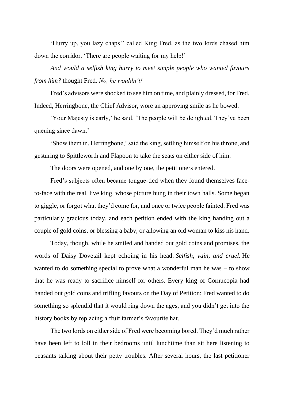'Hurry up, you lazy chaps!' called King Fred, as the two lords chased him down the corridor. 'There are people waiting for my help!'

*And would a selfish king hurry to meet simple people who wanted favours from him?* thought Fred. *No, he wouldn't!*

Fred's advisors were shocked to see him on time, and plainly dressed, for Fred. Indeed, Herringbone, the Chief Advisor, wore an approving smile as he bowed.

'Your Majesty is early,' he said. 'The people will be delighted. They've been queuing since dawn.'

'Show them in, Herringbone,' said the king, settling himself on his throne, and gesturing to Spittleworth and Flapoon to take the seats on either side of him.

The doors were opened, and one by one, the petitioners entered.

Fred's subjects often became tongue-tied when they found themselves faceto-face with the real, live king, whose picture hung in their town halls. Some began to giggle, or forgot what they'd come for, and once or twice people fainted. Fred was particularly gracious today, and each petition ended with the king handing out a couple of gold coins, or blessing a baby, or allowing an old woman to kiss his hand.

Today, though, while he smiled and handed out gold coins and promises, the words of Daisy Dovetail kept echoing in his head. *Selfish, vain, and cruel.* He wanted to do something special to prove what a wonderful man he was – to show that he was ready to sacrifice himself for others. Every king of Cornucopia had handed out gold coins and trifling favours on the Day of Petition: Fred wanted to do something so splendid that it would ring down the ages, and you didn't get into the history books by replacing a fruit farmer's favourite hat.

The two lords on either side of Fred were becoming bored. They'd much rather have been left to loll in their bedrooms until lunchtime than sit here listening to peasants talking about their petty troubles. After several hours, the last petitioner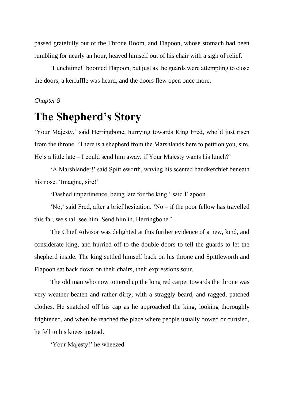passed gratefully out of the Throne Room, and Flapoon, whose stomach had been rumbling for nearly an hour, heaved himself out of his chair with a sigh of relief.

'Lunchtime!' boomed Flapoon, but just as the guards were attempting to close the doors, a kerfuffle was heard, and the doors flew open once more.

#### *Chapter 9*

# **The Shepherd's Story**

'Your Majesty,' said Herringbone, hurrying towards King Fred, who'd just risen from the throne. 'There is a shepherd from the Marshlands here to petition you, sire. He's a little late – I could send him away, if Your Majesty wants his lunch?'

'A Marshlander!' said Spittleworth, waving his scented handkerchief beneath his nose. 'Imagine, sire!'

'Dashed impertinence, being late for the king,' said Flapoon.

'No,' said Fred, after a brief hesitation. 'No – if the poor fellow has travelled this far, we shall see him. Send him in, Herringbone.'

The Chief Advisor was delighted at this further evidence of a new, kind, and considerate king, and hurried off to the double doors to tell the guards to let the shepherd inside. The king settled himself back on his throne and Spittleworth and Flapoon sat back down on their chairs, their expressions sour.

The old man who now tottered up the long red carpet towards the throne was very weather-beaten and rather dirty, with a straggly beard, and ragged, patched clothes. He snatched off his cap as he approached the king, looking thoroughly frightened, and when he reached the place where people usually bowed or curtsied, he fell to his knees instead.

'Your Majesty!' he wheezed.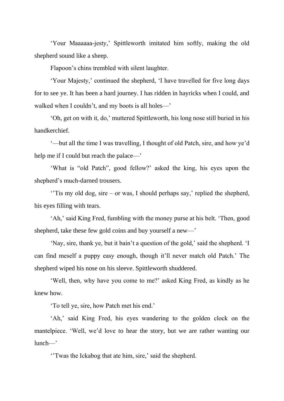'Your Maaaaaa-jesty,' Spittleworth imitated him softly, making the old shepherd sound like a sheep.

Flapoon's chins trembled with silent laughter.

'Your Majesty,' continued the shepherd, 'I have travelled for five long days for to see ye. It has been a hard journey. I has ridden in hayricks when I could, and walked when I couldn't, and my boots is all holes—'

'Oh, get on with it, do,' muttered Spittleworth, his long nose still buried in his handkerchief.

'—but all the time I was travelling, I thought of old Patch, sire, and how ye'd help me if I could but reach the palace—'

'What is "old Patch", good fellow?' asked the king, his eyes upon the shepherd's much-darned trousers.

''Tis my old dog, sire – or was, I should perhaps say,' replied the shepherd, his eyes filling with tears.

'Ah,' said King Fred, fumbling with the money purse at his belt. 'Then, good shepherd, take these few gold coins and buy yourself a new—'

'Nay, sire, thank ye, but it bain't a question of the gold,' said the shepherd. 'I can find meself a puppy easy enough, though it'll never match old Patch.' The shepherd wiped his nose on his sleeve. Spittleworth shuddered.

'Well, then, why have you come to me?' asked King Fred, as kindly as he knew how.

'To tell ye, sire, how Patch met his end.'

'Ah,' said King Fred, his eyes wandering to the golden clock on the mantelpiece. 'Well, we'd love to hear the story, but we are rather wanting our lunch—'

''Twas the Ickabog that ate him, sire,' said the shepherd.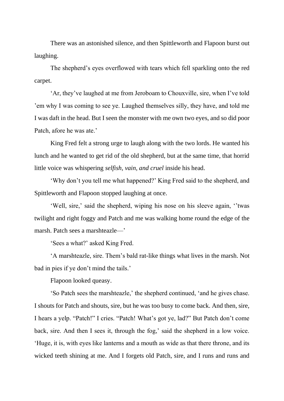There was an astonished silence, and then Spittleworth and Flapoon burst out laughing.

The shepherd's eyes overflowed with tears which fell sparkling onto the red carpet.

'Ar, they've laughed at me from Jeroboam to Chouxville, sire, when I've told 'em why I was coming to see ye. Laughed themselves silly, they have, and told me I was daft in the head. But I seen the monster with me own two eyes, and so did poor Patch, afore he was ate.'

King Fred felt a strong urge to laugh along with the two lords. He wanted his lunch and he wanted to get rid of the old shepherd, but at the same time, that horrid little voice was whispering *selfish, vain, and cruel* inside his head.

'Why don't you tell me what happened?' King Fred said to the shepherd, and Spittleworth and Flapoon stopped laughing at once.

'Well, sire,' said the shepherd, wiping his nose on his sleeve again, ''twas twilight and right foggy and Patch and me was walking home round the edge of the marsh. Patch sees a marshteazle—'

'Sees a what?' asked King Fred.

'A marshteazle, sire. Them's bald rat-like things what lives in the marsh. Not bad in pies if ye don't mind the tails.'

Flapoon looked queasy.

'So Patch sees the marshteazle,' the shepherd continued, 'and he gives chase. I shouts for Patch and shouts, sire, but he was too busy to come back. And then, sire, I hears a yelp. "Patch!" I cries. "Patch! What's got ye, lad?" But Patch don't come back, sire. And then I sees it, through the fog,' said the shepherd in a low voice. 'Huge, it is, with eyes like lanterns and a mouth as wide as that there throne, and its wicked teeth shining at me. And I forgets old Patch, sire, and I runs and runs and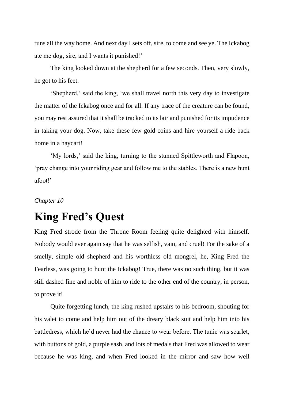runs all the way home. And next day I sets off, sire, to come and see ye. The Ickabog ate me dog, sire, and I wants it punished!'

The king looked down at the shepherd for a few seconds. Then, very slowly, he got to his feet.

'Shepherd,' said the king, 'we shall travel north this very day to investigate the matter of the Ickabog once and for all. If any trace of the creature can be found, you may rest assured that it shall be tracked to its lair and punished for its impudence in taking your dog. Now, take these few gold coins and hire yourself a ride back home in a haycart!

'My lords,' said the king, turning to the stunned Spittleworth and Flapoon, 'pray change into your riding gear and follow me to the stables. There is a new hunt afoot!'

### *Chapter 10*

### **King Fred's Quest**

King Fred strode from the Throne Room feeling quite delighted with himself. Nobody would ever again say that he was selfish, vain, and cruel! For the sake of a smelly, simple old shepherd and his worthless old mongrel, he, King Fred the Fearless, was going to hunt the Ickabog! True, there was no such thing, but it was still dashed fine and noble of him to ride to the other end of the country, in person, to prove it!

Quite forgetting lunch, the king rushed upstairs to his bedroom, shouting for his valet to come and help him out of the dreary black suit and help him into his battledress, which he'd never had the chance to wear before. The tunic was scarlet, with buttons of gold, a purple sash, and lots of medals that Fred was allowed to wear because he was king, and when Fred looked in the mirror and saw how well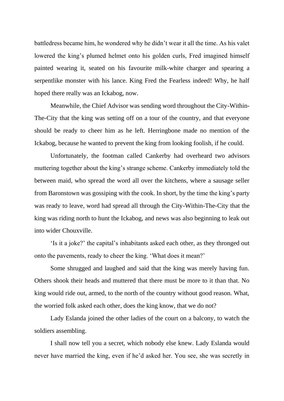battledress became him, he wondered why he didn't wear it all the time. As his valet lowered the king's plumed helmet onto his golden curls, Fred imagined himself painted wearing it, seated on his favourite milk-white charger and spearing a serpentlike monster with his lance. King Fred the Fearless indeed! Why, he half hoped there really was an Ickabog, now.

Meanwhile, the Chief Advisor was sending word throughout the City-Within-The-City that the king was setting off on a tour of the country, and that everyone should be ready to cheer him as he left. Herringbone made no mention of the Ickabog, because he wanted to prevent the king from looking foolish, if he could.

Unfortunately, the footman called Cankerby had overheard two advisors muttering together about the king's strange scheme. Cankerby immediately told the between maid, who spread the word all over the kitchens, where a sausage seller from Baronstown was gossiping with the cook. In short, by the time the king's party was ready to leave, word had spread all through the City-Within-The-City that the king was riding north to hunt the Ickabog, and news was also beginning to leak out into wider Chouxville.

'Is it a joke?' the capital's inhabitants asked each other, as they thronged out onto the pavements, ready to cheer the king. 'What does it mean?'

Some shrugged and laughed and said that the king was merely having fun. Others shook their heads and muttered that there must be more to it than that. No king would ride out, armed, to the north of the country without good reason. What, the worried folk asked each other, does the king know, that we do not?

Lady Eslanda joined the other ladies of the court on a balcony, to watch the soldiers assembling.

I shall now tell you a secret, which nobody else knew. Lady Eslanda would never have married the king, even if he'd asked her. You see, she was secretly in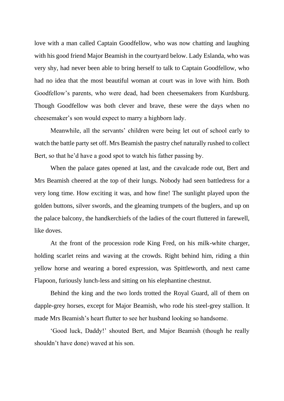love with a man called Captain Goodfellow, who was now chatting and laughing with his good friend Major Beamish in the courtyard below. Lady Eslanda, who was very shy, had never been able to bring herself to talk to Captain Goodfellow, who had no idea that the most beautiful woman at court was in love with him. Both Goodfellow's parents, who were dead, had been cheesemakers from Kurdsburg. Though Goodfellow was both clever and brave, these were the days when no cheesemaker's son would expect to marry a highborn lady.

Meanwhile, all the servants' children were being let out of school early to watch the battle party set off. Mrs Beamish the pastry chef naturally rushed to collect Bert, so that he'd have a good spot to watch his father passing by.

When the palace gates opened at last, and the cavalcade rode out, Bert and Mrs Beamish cheered at the top of their lungs. Nobody had seen battledress for a very long time. How exciting it was, and how fine! The sunlight played upon the golden buttons, silver swords, and the gleaming trumpets of the buglers, and up on the palace balcony, the handkerchiefs of the ladies of the court fluttered in farewell, like doves.

At the front of the procession rode King Fred, on his milk-white charger, holding scarlet reins and waving at the crowds. Right behind him, riding a thin yellow horse and wearing a bored expression, was Spittleworth, and next came Flapoon, furiously lunch-less and sitting on his elephantine chestnut.

Behind the king and the two lords trotted the Royal Guard, all of them on dapple-grey horses, except for Major Beamish, who rode his steel-grey stallion. It made Mrs Beamish's heart flutter to see her husband looking so handsome.

'Good luck, Daddy!' shouted Bert, and Major Beamish (though he really shouldn't have done) waved at his son.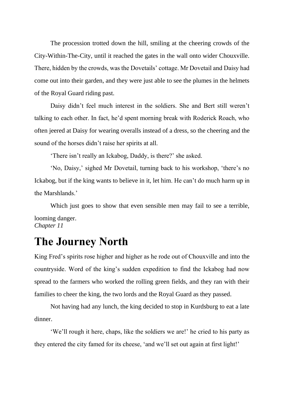The procession trotted down the hill, smiling at the cheering crowds of the City-Within-The-City, until it reached the gates in the wall onto wider Chouxville. There, hidden by the crowds, was the Dovetails' cottage. Mr Dovetail and Daisy had come out into their garden, and they were just able to see the plumes in the helmets of the Royal Guard riding past.

Daisy didn't feel much interest in the soldiers. She and Bert still weren't talking to each other. In fact, he'd spent morning break with Roderick Roach, who often jeered at Daisy for wearing overalls instead of a dress, so the cheering and the sound of the horses didn't raise her spirits at all.

'There isn't really an Ickabog, Daddy, is there?' she asked.

'No, Daisy,' sighed Mr Dovetail, turning back to his workshop, 'there's no Ickabog, but if the king wants to believe in it, let him. He can't do much harm up in the Marshlands.'

Which just goes to show that even sensible men may fail to see a terrible, looming danger. *Chapter 11*

## **The Journey North**

King Fred's spirits rose higher and higher as he rode out of Chouxville and into the countryside. Word of the king's sudden expedition to find the Ickabog had now spread to the farmers who worked the rolling green fields, and they ran with their families to cheer the king, the two lords and the Royal Guard as they passed.

Not having had any lunch, the king decided to stop in Kurdsburg to eat a late dinner.

'We'll rough it here, chaps, like the soldiers we are!' he cried to his party as they entered the city famed for its cheese, 'and we'll set out again at first light!'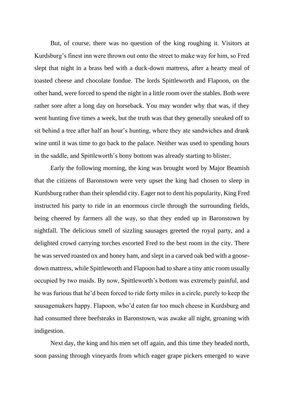But, of course, there was no question of the king roughing it. Visitors at Kurdsburg's finest inn were thrown out onto the street to make way for him, so Fred slept that night in a brass bed with a duck-down mattress, after a hearty meal of toasted cheese and chocolate fondue. The lords Spittleworth and Flapoon, on the other hand, were forced to spend the night in a little room over the stables. Both were rather sore after a long day on horseback. You may wonder why that was, if they went hunting five times a week, but the truth was that they generally sneaked off to sit behind a tree after half an hour's hunting, where they ate sandwiches and drank wine until it was time to go back to the palace. Neither was used to spending hours in the saddle, and Spittleworth's bony bottom was already starting to blister.

Early the following morning, the king was brought word by Major Beamish that the citizens of Baronstown were very upset the king had chosen to sleep in Kurdsburg rather than their splendid city. Eager not to dent his popularity, King Fred instructed his party to ride in an enormous circle through the surrounding fields, being cheered by farmers all the way, so that they ended up in Baronstown by nightfall. The delicious smell of sizzling sausages greeted the royal party, and a delighted crowd carrying torches escorted Fred to the best room in the city. There he was served roasted ox and honey ham, and slept in a carved oak bed with a goosedown mattress, while Spittleworth and Flapoon had to share a tiny attic room usually occupied by two maids. By now, Spittleworth's bottom was extremely painful, and he was furious that he'd been forced to ride forty miles in a circle, purely to keep the sausagemakers happy. Flapoon, who'd eaten far too much cheese in Kurdsburg and had consumed three beefsteaks in Baronstown, was awake all night, groaning with indigestion.

Next day, the king and his men set off again, and this time they headed north, soon passing through vineyards from which eager grape pickers emerged to wave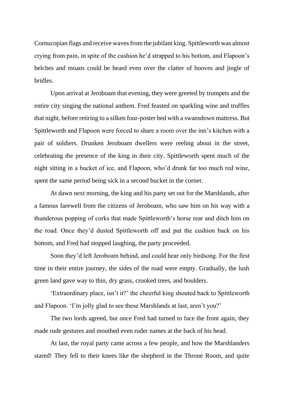Cornucopian flags and receive waves from the jubilant king. Spittleworth was almost crying from pain, in spite of the cushion he'd strapped to his bottom, and Flapoon's belches and moans could be heard even over the clatter of hooves and jingle of bridles.

Upon arrival at Jeroboam that evening, they were greeted by trumpets and the entire city singing the national anthem. Fred feasted on sparkling wine and truffles that night, before retiring to a silken four-poster bed with a swansdown mattress. But Spittleworth and Flapoon were forced to share a room over the inn's kitchen with a pair of soldiers. Drunken Jeroboam dwellers were reeling about in the street, celebrating the presence of the king in their city. Spittleworth spent much of the night sitting in a bucket of ice, and Flapoon, who'd drunk far too much red wine, spent the same period being sick in a second bucket in the corner.

At dawn next morning, the king and his party set out for the Marshlands, after a famous farewell from the citizens of Jeroboam, who saw him on his way with a thunderous popping of corks that made Spittleworth's horse rear and ditch him on the road. Once they'd dusted Spittleworth off and put the cushion back on his bottom, and Fred had stopped laughing, the party proceeded.

Soon they'd left Jeroboam behind, and could hear only birdsong. For the first time in their entire journey, the sides of the road were empty. Gradually, the lush green land gave way to thin, dry grass, crooked trees, and boulders.

'Extraordinary place, isn't it?' the cheerful king shouted back to Spittleworth and Flapoon. 'I'm jolly glad to see these Marshlands at last, aren't you?'

The two lords agreed, but once Fred had turned to face the front again, they made rude gestures and mouthed even ruder names at the back of his head.

At last, the royal party came across a few people, and how the Marshlanders stared! They fell to their knees like the shepherd in the Throne Room, and quite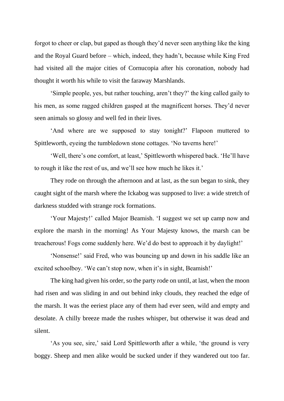forgot to cheer or clap, but gaped as though they'd never seen anything like the king and the Royal Guard before – which, indeed, they hadn't, because while King Fred had visited all the major cities of Cornucopia after his coronation, nobody had thought it worth his while to visit the faraway Marshlands.

'Simple people, yes, but rather touching, aren't they?' the king called gaily to his men, as some ragged children gasped at the magnificent horses. They'd never seen animals so glossy and well fed in their lives.

'And where are we supposed to stay tonight?' Flapoon muttered to Spittleworth, eyeing the tumbledown stone cottages. 'No taverns here!'

'Well, there's one comfort, at least,' Spittleworth whispered back. 'He'll have to rough it like the rest of us, and we'll see how much he likes it.'

They rode on through the afternoon and at last, as the sun began to sink, they caught sight of the marsh where the Ickabog was supposed to live: a wide stretch of darkness studded with strange rock formations.

'Your Majesty!' called Major Beamish. 'I suggest we set up camp now and explore the marsh in the morning! As Your Majesty knows, the marsh can be treacherous! Fogs come suddenly here. We'd do best to approach it by daylight!'

'Nonsense!' said Fred, who was bouncing up and down in his saddle like an excited schoolboy. 'We can't stop now, when it's in sight, Beamish!'

The king had given his order, so the party rode on until, at last, when the moon had risen and was sliding in and out behind inky clouds, they reached the edge of the marsh. It was the eeriest place any of them had ever seen, wild and empty and desolate. A chilly breeze made the rushes whisper, but otherwise it was dead and silent.

'As you see, sire,' said Lord Spittleworth after a while, 'the ground is very boggy. Sheep and men alike would be sucked under if they wandered out too far.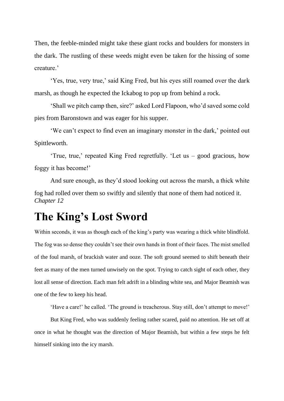Then, the feeble-minded might take these giant rocks and boulders for monsters in the dark. The rustling of these weeds might even be taken for the hissing of some creature.'

'Yes, true, very true,' said King Fred, but his eyes still roamed over the dark marsh, as though he expected the Ickabog to pop up from behind a rock.

'Shall we pitch camp then, sire?' asked Lord Flapoon, who'd saved some cold pies from Baronstown and was eager for his supper.

'We can't expect to find even an imaginary monster in the dark,' pointed out Spittleworth.

'True, true,' repeated King Fred regretfully. 'Let us – good gracious, how foggy it has become!'

And sure enough, as they'd stood looking out across the marsh, a thick white fog had rolled over them so swiftly and silently that none of them had noticed it. *Chapter 12*

## **The King's Lost Sword**

Within seconds, it was as though each of the king's party was wearing a thick white blindfold. The fog was so dense they couldn't see their own hands in front of their faces. The mist smelled of the foul marsh, of brackish water and ooze. The soft ground seemed to shift beneath their feet as many of the men turned unwisely on the spot. Trying to catch sight of each other, they lost all sense of direction. Each man felt adrift in a blinding white sea, and Major Beamish was one of the few to keep his head.

'Have a care!' he called. 'The ground is treacherous. Stay still, don't attempt to move!'

But King Fred, who was suddenly feeling rather scared, paid no attention. He set off at once in what he thought was the direction of Major Beamish, but within a few steps he felt himself sinking into the icy marsh.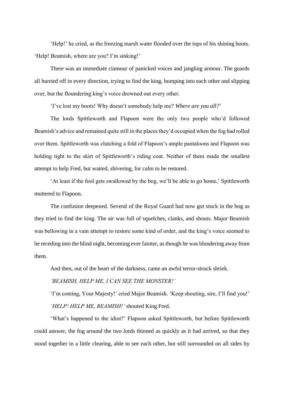'Help!' he cried, as the freezing marsh water flooded over the tops of his shining boots. 'Help! Beamish, where are you? I'm sinking!'

There was an immediate clamour of panicked voices and jangling armour. The guards all hurried off in every direction, trying to find the king, bumping into each other and slipping over, but the floundering king's voice drowned out every other.

'I've lost my boots! Why doesn't somebody help me? *Where are you all?*'

The lords Spittleworth and Flapoon were the only two people who'd followed Beamish's advice and remained quite still in the places they'd occupied when the fog had rolled over them. Spittleworth was clutching a fold of Flapoon's ample pantaloons and Flapoon was holding tight to the skirt of Spittleworth's riding coat. Neither of them made the smallest attempt to help Fred, but waited, shivering, for calm to be restored.

'At least if the fool gets swallowed by the bog, we'll be able to go home,' Spittleworth muttered to Flapoon.

The confusion deepened. Several of the Royal Guard had now got stuck in the bog as they tried to find the king. The air was full of squelches, clanks, and shouts. Major Beamish was bellowing in a vain attempt to restore some kind of order, and the king's voice seemed to be receding into the blind night, becoming ever fainter, as though he was blundering away from them.

And then, out of the heart of the darkness, came an awful terror-struck shriek.

*'BEAMISH, HELP ME, I CAN SEE THE MONSTER!'*

'I'm coming, Your Majesty!' cried Major Beamish. 'Keep shouting, sire, I'll find you!' *'HELP! HELP ME, BEAMISH!'* shouted King Fred.

'What's happened to the idiot?' Flapoon asked Spittleworth, but before Spittleworth could answer, the fog around the two lords thinned as quickly as it had arrived, so that they stood together in a little clearing, able to see each other, but still surrounded on all sides by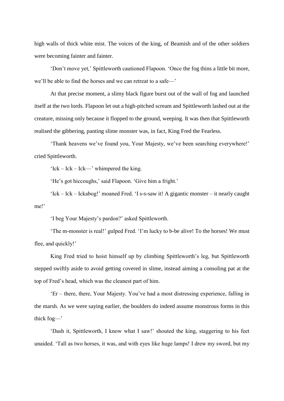high walls of thick white mist. The voices of the king, of Beamish and of the other soldiers were becoming fainter and fainter.

'Don't move yet,' Spittleworth cautioned Flapoon. 'Once the fog thins a little bit more, we'll be able to find the horses and we can retreat to a safe—'

At that precise moment, a slimy black figure burst out of the wall of fog and launched itself at the two lords. Flapoon let out a high-pitched scream and Spittleworth lashed out at the creature, missing only because it flopped to the ground, weeping. It was then that Spittleworth realised the gibbering, panting slime monster was, in fact, King Fred the Fearless.

'Thank heavens we've found you, Your Majesty, we've been searching everywhere!' cried Spittleworth.

'Ick – Ick – Ick—' whimpered the king.

'He's got hiccoughs,' said Flapoon. 'Give him a fright.'

'Ick – Ick – Ickabog!' moaned Fred. 'I s-s-saw it! A gigantic monster – it nearly caught me!'

'I beg Your Majesty's pardon?' asked Spittleworth.

'The m-monster is real!' gulped Fred. 'I'm lucky to b-be alive! To the horses! We must flee, and quickly!'

King Fred tried to hoist himself up by climbing Spittleworth's leg, but Spittleworth stepped swiftly aside to avoid getting covered in slime, instead aiming a consoling pat at the top of Fred's head, which was the cleanest part of him.

'Er – there, there, Your Majesty. You've had a most distressing experience, falling in the marsh. As we were saying earlier, the boulders do indeed assume monstrous forms in this thick fog—'

'Dash it, Spittleworth, I know what I saw!' shouted the king, staggering to his feet unaided. 'Tall as two horses, it was, and with eyes like huge lamps! I drew my sword, but my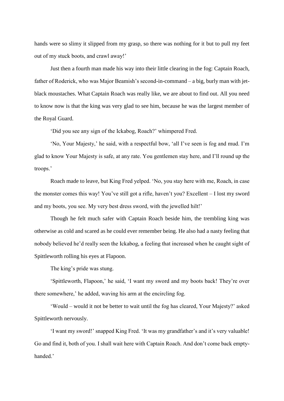hands were so slimy it slipped from my grasp, so there was nothing for it but to pull my feet out of my stuck boots, and crawl away!'

Just then a fourth man made his way into their little clearing in the fog: Captain Roach, father of Roderick, who was Major Beamish's second-in-command – a big, burly man with jetblack moustaches. What Captain Roach was really like, we are about to find out. All you need to know now is that the king was very glad to see him, because he was the largest member of the Royal Guard.

'Did you see any sign of the Ickabog, Roach?' whimpered Fred.

'No, Your Majesty,' he said, with a respectful bow, 'all I've seen is fog and mud. I'm glad to know Your Majesty is safe, at any rate. You gentlemen stay here, and I'll round up the troops.'

Roach made to leave, but King Fred yelped. 'No, you stay here with me, Roach, in case the monster comes this way! You've still got a rifle, haven't you? Excellent – I lost my sword and my boots, you see. My very best dress sword, with the jewelled hilt!'

Though he felt much safer with Captain Roach beside him, the trembling king was otherwise as cold and scared as he could ever remember being. He also had a nasty feeling that nobody believed he'd really seen the Ickabog, a feeling that increased when he caught sight of Spittleworth rolling his eyes at Flapoon.

The king's pride was stung.

'Spittleworth, Flapoon,' he said, 'I want my sword and my boots back! They're over there somewhere,' he added, waving his arm at the encircling fog.

'Would – would it not be better to wait until the fog has cleared, Your Majesty?' asked Spittleworth nervously.

'I want my sword!' snapped King Fred. 'It was my grandfather's and it's very valuable! Go and find it, both of you. I shall wait here with Captain Roach. And don't come back emptyhanded.'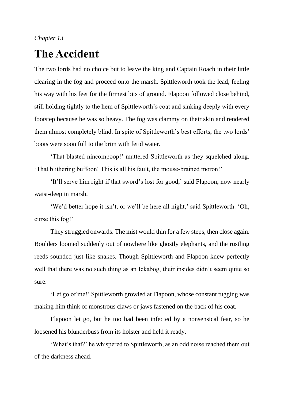#### *Chapter 13*

#### **The Accident**

The two lords had no choice but to leave the king and Captain Roach in their little clearing in the fog and proceed onto the marsh. Spittleworth took the lead, feeling his way with his feet for the firmest bits of ground. Flapoon followed close behind, still holding tightly to the hem of Spittleworth's coat and sinking deeply with every footstep because he was so heavy. The fog was clammy on their skin and rendered them almost completely blind. In spite of Spittleworth's best efforts, the two lords' boots were soon full to the brim with fetid water.

'That blasted nincompoop!' muttered Spittleworth as they squelched along. 'That blithering buffoon! This is all his fault, the mouse-brained moron!'

'It'll serve him right if that sword's lost for good,' said Flapoon, now nearly waist-deep in marsh.

'We'd better hope it isn't, or we'll be here all night,' said Spittleworth. 'Oh, curse this fog!'

They struggled onwards. The mist would thin for a few steps, then close again. Boulders loomed suddenly out of nowhere like ghostly elephants, and the rustling reeds sounded just like snakes. Though Spittleworth and Flapoon knew perfectly well that there was no such thing as an Ickabog, their insides didn't seem quite so sure.

'Let go of me!' Spittleworth growled at Flapoon, whose constant tugging was making him think of monstrous claws or jaws fastened on the back of his coat.

Flapoon let go, but he too had been infected by a nonsensical fear, so he loosened his blunderbuss from its holster and held it ready.

'What's that?' he whispered to Spittleworth, as an odd noise reached them out of the darkness ahead.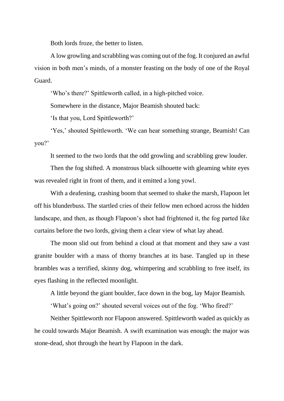Both lords froze, the better to listen.

A low growling and scrabbling was coming out of the fog. It conjured an awful vision in both men's minds, of a monster feasting on the body of one of the Royal Guard.

'Who's there?' Spittleworth called, in a high-pitched voice.

Somewhere in the distance, Major Beamish shouted back:

'Is that you, Lord Spittleworth?'

'Yes,' shouted Spittleworth. 'We can hear something strange, Beamish! Can you?'

It seemed to the two lords that the odd growling and scrabbling grew louder.

Then the fog shifted. A monstrous black silhouette with gleaming white eyes was revealed right in front of them, and it emitted a long yowl.

With a deafening, crashing boom that seemed to shake the marsh, Flapoon let off his blunderbuss. The startled cries of their fellow men echoed across the hidden landscape, and then, as though Flapoon's shot had frightened it, the fog parted like curtains before the two lords, giving them a clear view of what lay ahead.

The moon slid out from behind a cloud at that moment and they saw a vast granite boulder with a mass of thorny branches at its base. Tangled up in these brambles was a terrified, skinny dog, whimpering and scrabbling to free itself, its eyes flashing in the reflected moonlight.

A little beyond the giant boulder, face down in the bog, lay Major Beamish.

'What's going on?' shouted several voices out of the fog. 'Who fired?'

Neither Spittleworth nor Flapoon answered. Spittleworth waded as quickly as he could towards Major Beamish. A swift examination was enough: the major was stone-dead, shot through the heart by Flapoon in the dark.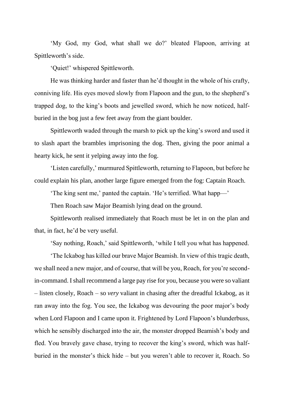'My God, my God, what shall we do?' bleated Flapoon, arriving at Spittleworth's side.

'Quiet!' whispered Spittleworth.

He was thinking harder and faster than he'd thought in the whole of his crafty, conniving life. His eyes moved slowly from Flapoon and the gun, to the shepherd's trapped dog, to the king's boots and jewelled sword, which he now noticed, halfburied in the bog just a few feet away from the giant boulder.

Spittleworth waded through the marsh to pick up the king's sword and used it to slash apart the brambles imprisoning the dog. Then, giving the poor animal a hearty kick, he sent it yelping away into the fog.

'Listen carefully,' murmured Spittleworth, returning to Flapoon, but before he could explain his plan, another large figure emerged from the fog: Captain Roach.

'The king sent me,' panted the captain. 'He's terrified. What happ—'

Then Roach saw Major Beamish lying dead on the ground.

Spittleworth realised immediately that Roach must be let in on the plan and that, in fact, he'd be very useful.

'Say nothing, Roach,' said Spittleworth, 'while I tell you what has happened.

'The Ickabog has killed our brave Major Beamish. In view of this tragic death, we shall need a new major, and of course, that will be you, Roach, for you're secondin-command. I shall recommend a large pay rise for you, because you were so valiant – listen closely, Roach – so *very* valiant in chasing after the dreadful Ickabog, as it ran away into the fog. You see, the Ickabog was devouring the poor major's body when Lord Flapoon and I came upon it. Frightened by Lord Flapoon's blunderbuss, which he sensibly discharged into the air, the monster dropped Beamish's body and fled. You bravely gave chase, trying to recover the king's sword, which was halfburied in the monster's thick hide – but you weren't able to recover it, Roach. So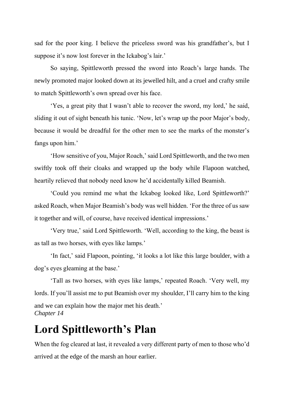sad for the poor king. I believe the priceless sword was his grandfather's, but I suppose it's now lost forever in the Ickabog's lair.'

So saying, Spittleworth pressed the sword into Roach's large hands. The newly promoted major looked down at its jewelled hilt, and a cruel and crafty smile to match Spittleworth's own spread over his face.

'Yes, a great pity that I wasn't able to recover the sword, my lord,' he said, sliding it out of sight beneath his tunic. 'Now, let's wrap up the poor Major's body, because it would be dreadful for the other men to see the marks of the monster's fangs upon him.'

'How sensitive of you, Major Roach,' said Lord Spittleworth, and the two men swiftly took off their cloaks and wrapped up the body while Flapoon watched, heartily relieved that nobody need know he'd accidentally killed Beamish.

'Could you remind me what the Ickabog looked like, Lord Spittleworth?' asked Roach, when Major Beamish's body was well hidden. 'For the three of us saw it together and will, of course, have received identical impressions.'

'Very true,' said Lord Spittleworth. 'Well, according to the king, the beast is as tall as two horses, with eyes like lamps.'

'In fact,' said Flapoon, pointing, 'it looks a lot like this large boulder, with a dog's eyes gleaming at the base.'

'Tall as two horses, with eyes like lamps,' repeated Roach. 'Very well, my lords. If you'll assist me to put Beamish over my shoulder, I'll carry him to the king and we can explain how the major met his death.' *Chapter 14*

## **Lord Spittleworth's Plan**

When the fog cleared at last, it revealed a very different party of men to those who'd arrived at the edge of the marsh an hour earlier.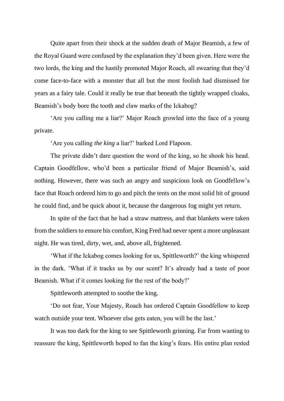Quite apart from their shock at the sudden death of Major Beamish, a few of the Royal Guard were confused by the explanation they'd been given. Here were the two lords, the king and the hastily promoted Major Roach, all swearing that they'd come face-to-face with a monster that all but the most foolish had dismissed for years as a fairy tale. Could it really be true that beneath the tightly wrapped cloaks, Beamish's body bore the tooth and claw marks of the Ickabog?

'Are you calling me a liar?' Major Roach growled into the face of a young private.

'Are you calling *the king* a liar?' barked Lord Flapoon.

The private didn't dare question the word of the king, so he shook his head. Captain Goodfellow, who'd been a particular friend of Major Beamish's, said nothing. However, there was such an angry and suspicious look on Goodfellow's face that Roach ordered him to go and pitch the tents on the most solid bit of ground he could find, and be quick about it, because the dangerous fog might yet return.

In spite of the fact that he had a straw mattress, and that blankets were taken from the soldiers to ensure his comfort, King Fred had never spent a more unpleasant night. He was tired, dirty, wet, and, above all, frightened.

'What if the Ickabog comes looking for us, Spittleworth?' the king whispered in the dark. 'What if it tracks us by our scent? It's already had a taste of poor Beamish. What if it comes looking for the rest of the body?'

Spittleworth attempted to soothe the king.

'Do not fear, Your Majesty, Roach has ordered Captain Goodfellow to keep watch outside your tent. Whoever else gets eaten, you will be the last.'

It was too dark for the king to see Spittleworth grinning. Far from wanting to reassure the king, Spittleworth hoped to fan the king's fears. His entire plan rested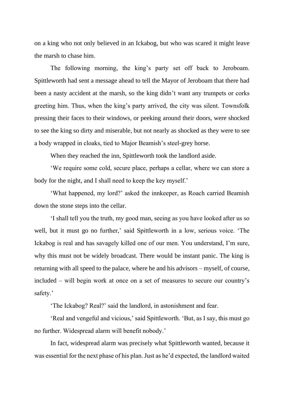on a king who not only believed in an Ickabog, but who was scared it might leave the marsh to chase him.

The following morning, the king's party set off back to Jeroboam. Spittleworth had sent a message ahead to tell the Mayor of Jeroboam that there had been a nasty accident at the marsh, so the king didn't want any trumpets or corks greeting him. Thus, when the king's party arrived, the city was silent. Townsfolk pressing their faces to their windows, or peeking around their doors, were shocked to see the king so dirty and miserable, but not nearly as shocked as they were to see a body wrapped in cloaks, tied to Major Beamish's steel-grey horse.

When they reached the inn, Spittleworth took the landlord aside.

'We require some cold, secure place, perhaps a cellar, where we can store a body for the night, and I shall need to keep the key myself.'

'What happened, my lord?' asked the innkeeper, as Roach carried Beamish down the stone steps into the cellar.

'I shall tell you the truth, my good man, seeing as you have looked after us so well, but it must go no further,' said Spittleworth in a low, serious voice. 'The Ickabog is real and has savagely killed one of our men. You understand, I'm sure, why this must not be widely broadcast. There would be instant panic. The king is returning with all speed to the palace, where he and his advisors – myself, of course, included – will begin work at once on a set of measures to secure our country's safety.'

'The Ickabog? Real?' said the landlord, in astonishment and fear.

'Real and vengeful and vicious,' said Spittleworth. 'But, as I say, this must go no further. Widespread alarm will benefit nobody.'

In fact, widespread alarm was precisely what Spittleworth wanted, because it was essential for the next phase of his plan. Just as he'd expected, the landlord waited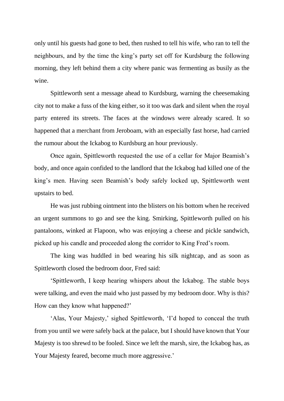only until his guests had gone to bed, then rushed to tell his wife, who ran to tell the neighbours, and by the time the king's party set off for Kurdsburg the following morning, they left behind them a city where panic was fermenting as busily as the wine.

Spittleworth sent a message ahead to Kurdsburg, warning the cheesemaking city not to make a fuss of the king either, so it too was dark and silent when the royal party entered its streets. The faces at the windows were already scared. It so happened that a merchant from Jeroboam, with an especially fast horse, had carried the rumour about the Ickabog to Kurdsburg an hour previously.

Once again, Spittleworth requested the use of a cellar for Major Beamish's body, and once again confided to the landlord that the Ickabog had killed one of the king's men. Having seen Beamish's body safely locked up, Spittleworth went upstairs to bed.

He was just rubbing ointment into the blisters on his bottom when he received an urgent summons to go and see the king. Smirking, Spittleworth pulled on his pantaloons, winked at Flapoon, who was enjoying a cheese and pickle sandwich, picked up his candle and proceeded along the corridor to King Fred's room.

The king was huddled in bed wearing his silk nightcap, and as soon as Spittleworth closed the bedroom door, Fred said:

'Spittleworth, I keep hearing whispers about the Ickabog. The stable boys were talking, and even the maid who just passed by my bedroom door. Why is this? How can they know what happened?'

'Alas, Your Majesty,' sighed Spittleworth, 'I'd hoped to conceal the truth from you until we were safely back at the palace, but I should have known that Your Majesty is too shrewd to be fooled. Since we left the marsh, sire, the Ickabog has, as Your Majesty feared, become much more aggressive.'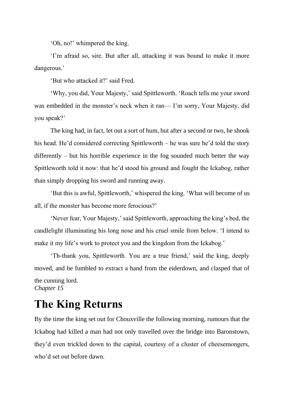'Oh, no!' whimpered the king.

'I'm afraid so, sire. But after all, attacking it was bound to make it more dangerous.'

'But who attacked it?' said Fred.

'Why, you did, Your Majesty,' said Spittleworth. 'Roach tells me your sword was embedded in the monster's neck when it ran— I'm sorry, Your Majesty, did you speak?'

The king had, in fact, let out a sort of hum, but after a second or two, he shook his head. He'd considered correcting Spittleworth – he was sure he'd told the story differently – but his horrible experience in the fog sounded much better the way Spittleworth told it now: that he'd stood his ground and fought the Ickabog, rather than simply dropping his sword and running away.

'But this is awful, Spittleworth,' whispered the king. 'What will become of us all, if the monster has become more ferocious?'

'Never fear, Your Majesty,' said Spittleworth, approaching the king's bed, the candlelight illuminating his long nose and his cruel smile from below. 'I intend to make it my life's work to protect you and the kingdom from the Ickabog.'

'Th-thank you, Spittleworth. You are a true friend,' said the king, deeply moved, and he fumbled to extract a hand from the eiderdown, and clasped that of the cunning lord. *Chapter 15*

## **The King Returns**

By the time the king set out for Chouxville the following morning, rumours that the Ickabog had killed a man had not only travelled over the bridge into Baronstown, they'd even trickled down to the capital, courtesy of a cluster of cheesemongers, who'd set out before dawn.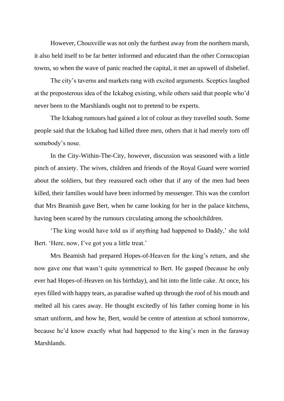However, Chouxville was not only the furthest away from the northern marsh, it also held itself to be far better informed and educated than the other Cornucopian towns, so when the wave of panic reached the capital, it met an upswell of disbelief.

The city's taverns and markets rang with excited arguments. Sceptics laughed at the preposterous idea of the Ickabog existing, while others said that people who'd never been to the Marshlands ought not to pretend to be experts.

The Ickabog rumours had gained a lot of colour as they travelled south. Some people said that the Ickabog had killed three men, others that it had merely torn off somebody's nose.

In the City-Within-The-City, however, discussion was seasoned with a little pinch of anxiety. The wives, children and friends of the Royal Guard were worried about the soldiers, but they reassured each other that if any of the men had been killed, their families would have been informed by messenger. This was the comfort that Mrs Beamish gave Bert, when he came looking for her in the palace kitchens, having been scared by the rumours circulating among the schoolchildren.

'The king would have told us if anything had happened to Daddy,' she told Bert. 'Here, now, I've got you a little treat.'

Mrs Beamish had prepared Hopes-of-Heaven for the king's return, and she now gave one that wasn't quite symmetrical to Bert. He gasped (because he only ever had Hopes-of-Heaven on his birthday), and bit into the little cake. At once, his eyes filled with happy tears, as paradise wafted up through the roof of his mouth and melted all his cares away. He thought excitedly of his father coming home in his smart uniform, and how he, Bert, would be centre of attention at school tomorrow, because he'd know exactly what had happened to the king's men in the faraway Marshlands.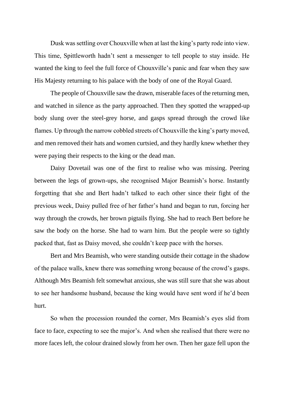Dusk was settling over Chouxville when at last the king's party rode into view. This time, Spittleworth hadn't sent a messenger to tell people to stay inside. He wanted the king to feel the full force of Chouxville's panic and fear when they saw His Majesty returning to his palace with the body of one of the Royal Guard.

The people of Chouxville saw the drawn, miserable faces of the returning men, and watched in silence as the party approached. Then they spotted the wrapped-up body slung over the steel-grey horse, and gasps spread through the crowd like flames. Up through the narrow cobbled streets of Chouxville the king's party moved, and men removed their hats and women curtsied, and they hardly knew whether they were paying their respects to the king or the dead man.

Daisy Dovetail was one of the first to realise who was missing. Peering between the legs of grown-ups, she recognised Major Beamish's horse. Instantly forgetting that she and Bert hadn't talked to each other since their fight of the previous week, Daisy pulled free of her father's hand and began to run, forcing her way through the crowds, her brown pigtails flying. She had to reach Bert before he saw the body on the horse. She had to warn him. But the people were so tightly packed that, fast as Daisy moved, she couldn't keep pace with the horses.

Bert and Mrs Beamish, who were standing outside their cottage in the shadow of the palace walls, knew there was something wrong because of the crowd's gasps. Although Mrs Beamish felt somewhat anxious, she was still sure that she was about to see her handsome husband, because the king would have sent word if he'd been hurt.

So when the procession rounded the corner, Mrs Beamish's eyes slid from face to face, expecting to see the major's. And when she realised that there were no more faces left, the colour drained slowly from her own. Then her gaze fell upon the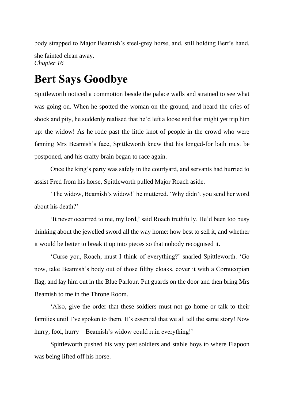body strapped to Major Beamish's steel-grey horse, and, still holding Bert's hand, she fainted clean away. *Chapter 16*

## **Bert Says Goodbye**

Spittleworth noticed a commotion beside the palace walls and strained to see what was going on. When he spotted the woman on the ground, and heard the cries of shock and pity, he suddenly realised that he'd left a loose end that might yet trip him up: the widow! As he rode past the little knot of people in the crowd who were fanning Mrs Beamish's face, Spittleworth knew that his longed-for bath must be postponed, and his crafty brain began to race again.

Once the king's party was safely in the courtyard, and servants had hurried to assist Fred from his horse, Spittleworth pulled Major Roach aside.

'The widow, Beamish's widow!' he muttered. 'Why didn't you send her word about his death?'

'It never occurred to me, my lord,' said Roach truthfully. He'd been too busy thinking about the jewelled sword all the way home: how best to sell it, and whether it would be better to break it up into pieces so that nobody recognised it.

'Curse you, Roach, must I think of everything?' snarled Spittleworth. 'Go now, take Beamish's body out of those filthy cloaks, cover it with a Cornucopian flag, and lay him out in the Blue Parlour. Put guards on the door and then bring Mrs Beamish to me in the Throne Room.

'Also, give the order that these soldiers must not go home or talk to their families until I've spoken to them. It's essential that we all tell the same story! Now hurry, fool, hurry – Beamish's widow could ruin everything!'

Spittleworth pushed his way past soldiers and stable boys to where Flapoon was being lifted off his horse.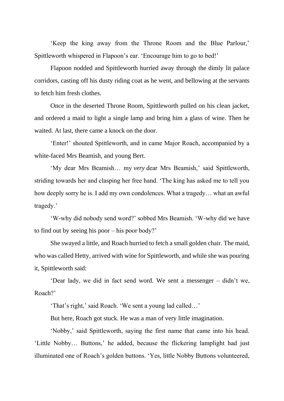'Keep the king away from the Throne Room and the Blue Parlour,' Spittleworth whispered in Flapoon's ear. 'Encourage him to go to bed!'

Flapoon nodded and Spittleworth hurried away through the dimly lit palace corridors, casting off his dusty riding coat as he went, and bellowing at the servants to fetch him fresh clothes.

Once in the deserted Throne Room, Spittleworth pulled on his clean jacket, and ordered a maid to light a single lamp and bring him a glass of wine. Then he waited. At last, there came a knock on the door.

'Enter!' shouted Spittleworth, and in came Major Roach, accompanied by a white-faced Mrs Beamish, and young Bert.

'My dear Mrs Beamish… my *very* dear Mrs Beamish,' said Spittleworth, striding towards her and clasping her free hand. 'The king has asked me to tell you how deeply sorry he is. I add my own condolences. What a tragedy… what an awful tragedy.'

'W-why did nobody send word?' sobbed Mrs Beamish. 'W-why did we have to find out by seeing his poor – his poor body?'

She swayed a little, and Roach hurried to fetch a small golden chair. The maid, who was called Hetty, arrived with wine for Spittleworth, and while she was pouring it, Spittleworth said:

'Dear lady, we did in fact send word. We sent a messenger – didn't we, Roach?'

'That's right,' said Roach. 'We sent a young lad called…'

But here, Roach got stuck. He was a man of very little imagination.

'Nobby,' said Spittleworth, saying the first name that came into his head. 'Little Nobby… Buttons,' he added, because the flickering lamplight had just illuminated one of Roach's golden buttons. 'Yes, little Nobby Buttons volunteered,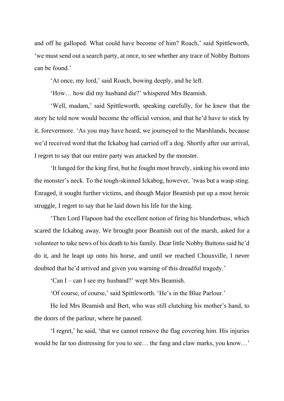and off he galloped. What could have become of him? Roach,' said Spittleworth, 'we must send out a search party, at once, to see whether any trace of Nobby Buttons can be found.'

'At once, my lord,' said Roach, bowing deeply, and he left.

'How… how did my husband die?' whispered Mrs Beamish.

'Well, madam,' said Spittleworth, speaking carefully, for he knew that the story he told now would become the official version, and that he'd have to stick by it, forevermore. 'As you may have heard, we journeyed to the Marshlands, because we'd received word that the Ickabog had carried off a dog. Shortly after our arrival, I regret to say that our entire party was attacked by the monster.

'It lunged for the king first, but he fought most bravely, sinking his sword into the monster's neck. To the tough-skinned Ickabog, however, 'twas but a wasp sting. Enraged, it sought further victims, and though Major Beamish put up a most heroic struggle, I regret to say that he laid down his life for the king.

'Then Lord Flapoon had the excellent notion of firing his blunderbuss, which scared the Ickabog away. We brought poor Beamish out of the marsh, asked for a volunteer to take news of his death to his family. Dear little Nobby Buttons said he'd do it, and he leapt up onto his horse, and until we reached Chouxville, I never doubted that he'd arrived and given you warning of this dreadful tragedy.'

'Can I – can I see my husband?' wept Mrs Beamish.

'Of course, of course,' said Spittleworth. 'He's in the Blue Parlour.'

He led Mrs Beamish and Bert, who was still clutching his mother's hand, to the doors of the parlour, where he paused.

'I regret,' he said, 'that we cannot remove the flag covering him. His injuries would be far too distressing for you to see… the fang and claw marks, you know…'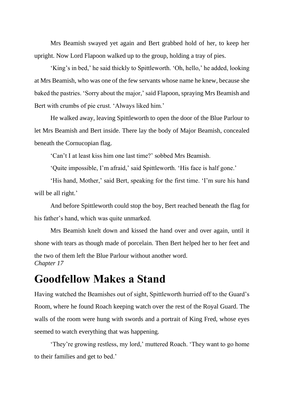Mrs Beamish swayed yet again and Bert grabbed hold of her, to keep her upright. Now Lord Flapoon walked up to the group, holding a tray of pies.

'King's in bed,' he said thickly to Spittleworth. 'Oh, hello,' he added, looking at Mrs Beamish, who was one of the few servants whose name he knew, because she baked the pastries. 'Sorry about the major,' said Flapoon, spraying Mrs Beamish and Bert with crumbs of pie crust. 'Always liked him.'

He walked away, leaving Spittleworth to open the door of the Blue Parlour to let Mrs Beamish and Bert inside. There lay the body of Major Beamish, concealed beneath the Cornucopian flag.

'Can't I at least kiss him one last time?' sobbed Mrs Beamish.

'Quite impossible, I'm afraid,' said Spittleworth. 'His face is half gone.'

'His hand, Mother,' said Bert, speaking for the first time. 'I'm sure his hand will be all right.'

And before Spittleworth could stop the boy, Bert reached beneath the flag for his father's hand, which was quite unmarked.

Mrs Beamish knelt down and kissed the hand over and over again, until it shone with tears as though made of porcelain. Then Bert helped her to her feet and the two of them left the Blue Parlour without another word. *Chapter 17*

#### **Goodfellow Makes a Stand**

Having watched the Beamishes out of sight, Spittleworth hurried off to the Guard's Room, where he found Roach keeping watch over the rest of the Royal Guard. The walls of the room were hung with swords and a portrait of King Fred, whose eyes seemed to watch everything that was happening.

'They're growing restless, my lord,' muttered Roach. 'They want to go home to their families and get to bed.'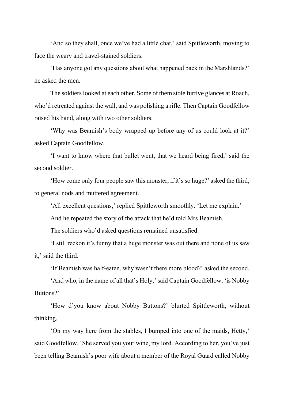'And so they shall, once we've had a little chat,' said Spittleworth, moving to face the weary and travel-stained soldiers.

'Has anyone got any questions about what happened back in the Marshlands?' he asked the men.

The soldiers looked at each other. Some of them stole furtive glances at Roach, who'd retreated against the wall, and was polishing a rifle. Then Captain Goodfellow raised his hand, along with two other soldiers.

'Why was Beamish's body wrapped up before any of us could look at it?' asked Captain Goodfellow.

'I want to know where that bullet went, that we heard being fired,' said the second soldier.

'How come only four people saw this monster, if it's so huge?' asked the third, to general nods and muttered agreement.

'All excellent questions,' replied Spittleworth smoothly. 'Let me explain.'

And he repeated the story of the attack that he'd told Mrs Beamish.

The soldiers who'd asked questions remained unsatisfied.

'I still reckon it's funny that a huge monster was out there and none of us saw it,' said the third.

'If Beamish was half-eaten, why wasn't there more blood?' asked the second.

'And who, in the name of all that's Holy,' said Captain Goodfellow, 'is Nobby Buttons?'

'How d'you know about Nobby Buttons?' blurted Spittleworth, without thinking.

'On my way here from the stables, I bumped into one of the maids, Hetty,' said Goodfellow. 'She served you your wine, my lord. According to her, you've just been telling Beamish's poor wife about a member of the Royal Guard called Nobby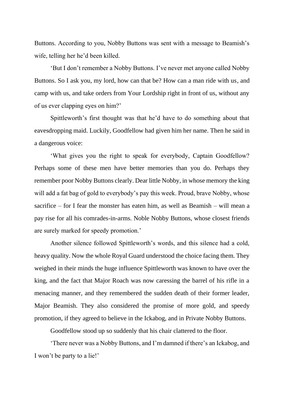Buttons. According to you, Nobby Buttons was sent with a message to Beamish's wife, telling her he'd been killed.

'But I don't remember a Nobby Buttons. I've never met anyone called Nobby Buttons. So I ask you, my lord, how can that be? How can a man ride with us, and camp with us, and take orders from Your Lordship right in front of us, without any of us ever clapping eyes on him?'

Spittleworth's first thought was that he'd have to do something about that eavesdropping maid. Luckily, Goodfellow had given him her name. Then he said in a dangerous voice:

'What gives you the right to speak for everybody, Captain Goodfellow? Perhaps some of these men have better memories than you do. Perhaps they remember poor Nobby Buttons clearly. Dear little Nobby, in whose memory the king will add a fat bag of gold to everybody's pay this week. Proud, brave Nobby, whose sacrifice – for I fear the monster has eaten him, as well as Beamish – will mean a pay rise for all his comrades-in-arms. Noble Nobby Buttons, whose closest friends are surely marked for speedy promotion.'

Another silence followed Spittleworth's words, and this silence had a cold, heavy quality. Now the whole Royal Guard understood the choice facing them. They weighed in their minds the huge influence Spittleworth was known to have over the king, and the fact that Major Roach was now caressing the barrel of his rifle in a menacing manner, and they remembered the sudden death of their former leader, Major Beamish. They also considered the promise of more gold, and speedy promotion, if they agreed to believe in the Ickabog, and in Private Nobby Buttons.

Goodfellow stood up so suddenly that his chair clattered to the floor.

'There never was a Nobby Buttons, and I'm damned if there's an Ickabog, and I won't be party to a lie!'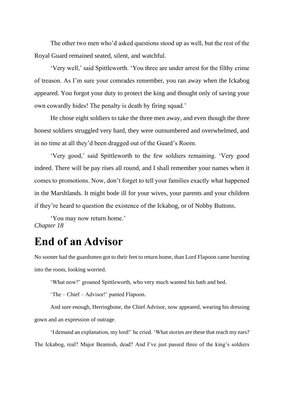The other two men who'd asked questions stood up as well, but the rest of the Royal Guard remained seated, silent, and watchful.

'Very well,' said Spittleworth. 'You three are under arrest for the filthy crime of treason. As I'm sure your comrades remember, you ran away when the Ickabog appeared. You forgot your duty to protect the king and thought only of saving your own cowardly hides! The penalty is death by firing squad.'

He chose eight soldiers to take the three men away, and even though the three honest soldiers struggled very hard, they were outnumbered and overwhelmed, and in no time at all they'd been dragged out of the Guard's Room.

'Very good,' said Spittleworth to the few soldiers remaining. 'Very good indeed. There will be pay rises all round, and I shall remember your names when it comes to promotions. Now, don't forget to tell your families exactly what happened in the Marshlands. It might bode ill for your wives, your parents and your children if they're heard to question the existence of the Ickabog, or of Nobby Buttons.

'You may now return home.' *Chapter 18*

## **End of an Advisor**

No sooner had the guardsmen got to their feet to return home, than Lord Flapoon came bursting into the room, looking worried.

'What now?' groaned Spittleworth, who very much wanted his bath and bed.

'The – Chief – Advisor!' panted Flapoon.

And sure enough, Herringbone, the Chief Advisor, now appeared, wearing his dressing gown and an expression of outrage.

'I demand an explanation, my lord!' he cried. 'What stories are these that reach my ears? The Ickabog, real? Major Beamish, dead? And I've just passed three of the king's soldiers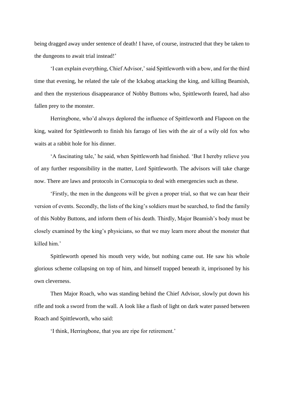being dragged away under sentence of death! I have, of course, instructed that they be taken to the dungeons to await trial instead!'

'I can explain everything, Chief Advisor,' said Spittleworth with a bow, and for the third time that evening, he related the tale of the Ickabog attacking the king, and killing Beamish, and then the mysterious disappearance of Nobby Buttons who, Spittleworth feared, had also fallen prey to the monster.

Herringbone, who'd always deplored the influence of Spittleworth and Flapoon on the king, waited for Spittleworth to finish his farrago of lies with the air of a wily old fox who waits at a rabbit hole for his dinner.

'A fascinating tale,' he said, when Spittleworth had finished. 'But I hereby relieve you of any further responsibility in the matter, Lord Spittleworth. The advisors will take charge now. There are laws and protocols in Cornucopia to deal with emergencies such as these.

'Firstly, the men in the dungeons will be given a proper trial, so that we can hear their version of events. Secondly, the lists of the king's soldiers must be searched, to find the family of this Nobby Buttons, and inform them of his death. Thirdly, Major Beamish's body must be closely examined by the king's physicians, so that we may learn more about the monster that killed him.'

Spittleworth opened his mouth very wide, but nothing came out. He saw his whole glorious scheme collapsing on top of him, and himself trapped beneath it, imprisoned by his own cleverness.

Then Major Roach, who was standing behind the Chief Advisor, slowly put down his rifle and took a sword from the wall. A look like a flash of light on dark water passed between Roach and Spittleworth, who said:

'I think, Herringbone, that you are ripe for retirement.'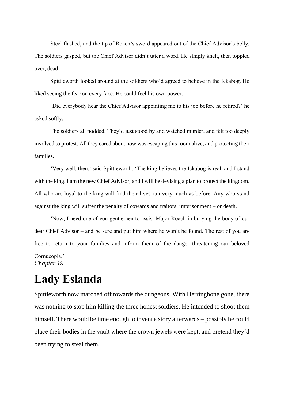Steel flashed, and the tip of Roach's sword appeared out of the Chief Advisor's belly. The soldiers gasped, but the Chief Advisor didn't utter a word. He simply knelt, then toppled over, dead.

Spittleworth looked around at the soldiers who'd agreed to believe in the Ickabog. He liked seeing the fear on every face. He could feel his own power.

'Did everybody hear the Chief Advisor appointing me to his job before he retired?' he asked softly.

The soldiers all nodded. They'd just stood by and watched murder, and felt too deeply involved to protest. All they cared about now was escaping this room alive, and protecting their families.

'Very well, then,' said Spittleworth. 'The king believes the Ickabog is real, and I stand with the king. I am the new Chief Advisor, and I will be devising a plan to protect the kingdom. All who are loyal to the king will find their lives run very much as before. Any who stand against the king will suffer the penalty of cowards and traitors: imprisonment – or death.

'Now, I need one of you gentlemen to assist Major Roach in burying the body of our dear Chief Advisor – and be sure and put him where he won't be found. The rest of you are free to return to your families and inform them of the danger threatening our beloved Cornucopia.' *Chapter 19*

### **Lady Eslanda**

Spittleworth now marched off towards the dungeons. With Herringbone gone, there was nothing to stop him killing the three honest soldiers. He intended to shoot them himself. There would be time enough to invent a story afterwards – possibly he could place their bodies in the vault where the crown jewels were kept, and pretend they'd been trying to steal them.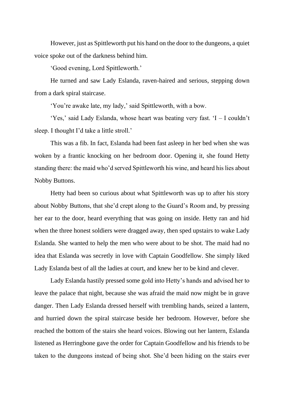However, just as Spittleworth put his hand on the door to the dungeons, a quiet voice spoke out of the darkness behind him.

'Good evening, Lord Spittleworth.'

He turned and saw Lady Eslanda, raven-haired and serious, stepping down from a dark spiral staircase.

'You're awake late, my lady,' said Spittleworth, with a bow.

'Yes,' said Lady Eslanda, whose heart was beating very fast. 'I – I couldn't sleep. I thought I'd take a little stroll.'

This was a fib. In fact, Eslanda had been fast asleep in her bed when she was woken by a frantic knocking on her bedroom door. Opening it, she found Hetty standing there: the maid who'd served Spittleworth his wine, and heard his lies about Nobby Buttons.

Hetty had been so curious about what Spittleworth was up to after his story about Nobby Buttons, that she'd crept along to the Guard's Room and, by pressing her ear to the door, heard everything that was going on inside. Hetty ran and hid when the three honest soldiers were dragged away, then sped upstairs to wake Lady Eslanda. She wanted to help the men who were about to be shot. The maid had no idea that Eslanda was secretly in love with Captain Goodfellow. She simply liked Lady Eslanda best of all the ladies at court, and knew her to be kind and clever.

Lady Eslanda hastily pressed some gold into Hetty's hands and advised her to leave the palace that night, because she was afraid the maid now might be in grave danger. Then Lady Eslanda dressed herself with trembling hands, seized a lantern, and hurried down the spiral staircase beside her bedroom. However, before she reached the bottom of the stairs she heard voices. Blowing out her lantern, Eslanda listened as Herringbone gave the order for Captain Goodfellow and his friends to be taken to the dungeons instead of being shot. She'd been hiding on the stairs ever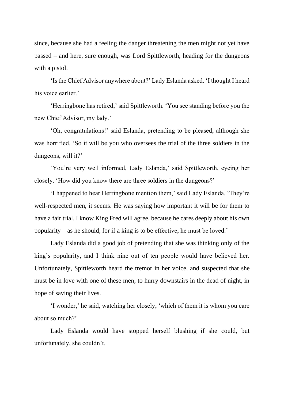since, because she had a feeling the danger threatening the men might not yet have passed – and here, sure enough, was Lord Spittleworth, heading for the dungeons with a pistol.

'Is the Chief Advisor anywhere about?' Lady Eslanda asked. 'I thought I heard his voice earlier.'

'Herringbone has retired,' said Spittleworth. 'You see standing before you the new Chief Advisor, my lady.'

'Oh, congratulations!' said Eslanda, pretending to be pleased, although she was horrified. 'So it will be you who oversees the trial of the three soldiers in the dungeons, will it?'

'You're very well informed, Lady Eslanda,' said Spittleworth, eyeing her closely. 'How did you know there are three soldiers in the dungeons?'

'I happened to hear Herringbone mention them,' said Lady Eslanda. 'They're well-respected men, it seems. He was saying how important it will be for them to have a fair trial. I know King Fred will agree, because he cares deeply about his own popularity – as he should, for if a king is to be effective, he must be loved.'

Lady Eslanda did a good job of pretending that she was thinking only of the king's popularity, and I think nine out of ten people would have believed her. Unfortunately, Spittleworth heard the tremor in her voice, and suspected that she must be in love with one of these men, to hurry downstairs in the dead of night, in hope of saving their lives.

'I wonder,' he said, watching her closely, 'which of them it is whom you care about so much?'

Lady Eslanda would have stopped herself blushing if she could, but unfortunately, she couldn't.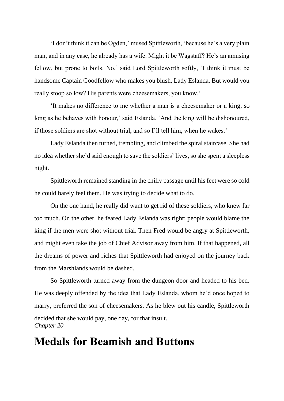'I don't think it can be Ogden,' mused Spittleworth, 'because he's a very plain man, and in any case, he already has a wife. Might it be Wagstaff? He's an amusing fellow, but prone to boils. No,' said Lord Spittleworth softly, 'I think it must be handsome Captain Goodfellow who makes you blush, Lady Eslanda. But would you really stoop so low? His parents were cheesemakers, you know.'

'It makes no difference to me whether a man is a cheesemaker or a king, so long as he behaves with honour,' said Eslanda. 'And the king will be dishonoured, if those soldiers are shot without trial, and so I'll tell him, when he wakes.'

Lady Eslanda then turned, trembling, and climbed the spiral staircase. She had no idea whether she'd said enough to save the soldiers' lives, so she spent a sleepless night.

Spittleworth remained standing in the chilly passage until his feet were so cold he could barely feel them. He was trying to decide what to do.

On the one hand, he really did want to get rid of these soldiers, who knew far too much. On the other, he feared Lady Eslanda was right: people would blame the king if the men were shot without trial. Then Fred would be angry at Spittleworth, and might even take the job of Chief Advisor away from him. If that happened, all the dreams of power and riches that Spittleworth had enjoyed on the journey back from the Marshlands would be dashed.

So Spittleworth turned away from the dungeon door and headed to his bed. He was deeply offended by the idea that Lady Eslanda, whom he'd once hoped to marry, preferred the son of cheesemakers. As he blew out his candle, Spittleworth decided that she would pay, one day, for that insult. *Chapter 20*

## **Medals for Beamish and Buttons**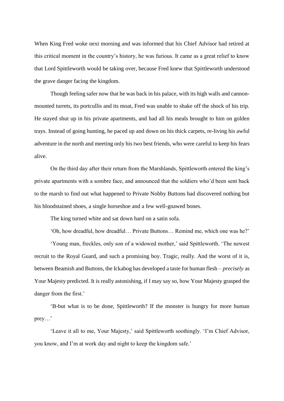When King Fred woke next morning and was informed that his Chief Advisor had retired at this critical moment in the country's history, he was furious. It came as a great relief to know that Lord Spittleworth would be taking over, because Fred knew that Spittleworth understood the grave danger facing the kingdom.

Though feeling safer now that he was back in his palace, with its high walls and cannonmounted turrets, its portcullis and its moat, Fred was unable to shake off the shock of his trip. He stayed shut up in his private apartments, and had all his meals brought to him on golden trays. Instead of going hunting, he paced up and down on his thick carpets, re-living his awful adventure in the north and meeting only his two best friends, who were careful to keep his fears alive.

On the third day after their return from the Marshlands, Spittleworth entered the king's private apartments with a sombre face, and announced that the soldiers who'd been sent back to the marsh to find out what happened to Private Nobby Buttons had discovered nothing but his bloodstained shoes, a single horseshoe and a few well-gnawed bones.

The king turned white and sat down hard on a satin sofa.

'Oh, how dreadful, how dreadful… Private Buttons… Remind me, which one was he?'

'Young man, freckles, only son of a widowed mother,' said Spittleworth. 'The newest recruit to the Royal Guard, and such a promising boy. Tragic, really. And the worst of it is, between Beamish and Buttons, the Ickabog has developed a taste for human flesh – *precisely* as Your Majesty predicted. It is really astonishing, if I may say so, how Your Majesty grasped the danger from the first.'

'B-but what is to be done, Spittleworth? If the monster is hungry for more human prey…'

'Leave it all to me, Your Majesty,' said Spittleworth soothingly. 'I'm Chief Advisor, you know, and I'm at work day and night to keep the kingdom safe.'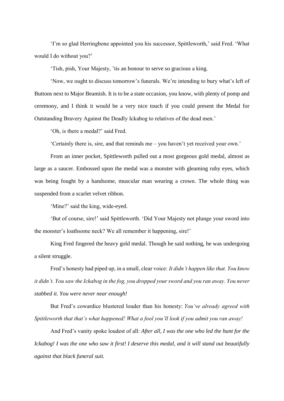'I'm so glad Herringbone appointed you his successor, Spittleworth,' said Fred. 'What would I do without you?'

'Tish, pish, Your Majesty, 'tis an honour to serve so gracious a king.

'Now, we ought to discuss tomorrow's funerals. We're intending to bury what's left of Buttons next to Major Beamish. It is to be a state occasion, you know, with plenty of pomp and ceremony, and I think it would be a very nice touch if you could present the Medal for Outstanding Bravery Against the Deadly Ickabog to relatives of the dead men.'

'Oh, is there a medal?' said Fred.

'Certainly there is, sire, and that reminds me – you haven't yet received your own.'

From an inner pocket, Spittleworth pulled out a most gorgeous gold medal, almost as large as a saucer. Embossed upon the medal was a monster with gleaming ruby eyes, which was being fought by a handsome, muscular man wearing a crown. The whole thing was suspended from a scarlet velvet ribbon.

'Mine?' said the king, wide-eyed.

'But of course, sire!' said Spittleworth. 'Did Your Majesty not plunge your sword into the monster's loathsome neck? We all remember it happening, sire!'

King Fred fingered the heavy gold medal. Though he said nothing, he was undergoing a silent struggle.

Fred's honesty had piped up, in a small, clear voice: *It didn't happen like that. You know it didn't. You saw the Ickabog in the fog, you dropped your sword and you ran away. You never stabbed it. You were never near enough!*

But Fred's cowardice blustered louder than his honesty: *You've already agreed with Spittleworth that that's what happened! What a fool you'll look if you admit you ran away!*

And Fred's vanity spoke loudest of all: *After all, I was the one who led the hunt for the Ickabog! I was the one who saw it first! I deserve this medal, and it will stand out beautifully against that black funeral suit.*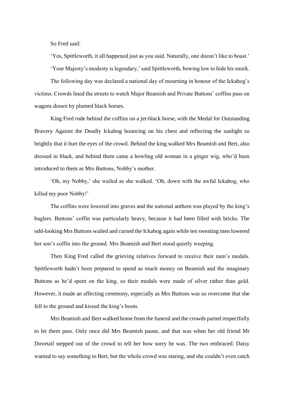So Fred said:

'Yes, Spittleworth, it all happened just as you said. Naturally, one doesn't like to boast.' 'Your Majesty's modesty is legendary,' said Spittleworth, bowing low to hide his smirk.

The following day was declared a national day of mourning in honour of the Ickabog's victims. Crowds lined the streets to watch Major Beamish and Private Buttons' coffins pass on wagons drawn by plumed black horses.

King Fred rode behind the coffins on a jet-black horse, with the Medal for Outstanding Bravery Against the Deadly Ickabog bouncing on his chest and reflecting the sunlight so brightly that it hurt the eyes of the crowd. Behind the king walked Mrs Beamish and Bert, also dressed in black, and behind them came a howling old woman in a ginger wig, who'd been introduced to them as Mrs Buttons, Nobby's mother.

'Oh, my Nobby,' she wailed as she walked. 'Oh, down with the awful Ickabog, who killed my poor Nobby!'

The coffins were lowered into graves and the national anthem was played by the king's buglers. Buttons' coffin was particularly heavy, because it had been filled with bricks. The odd-looking Mrs Buttons wailed and cursed the Ickabog again while ten sweating men lowered her son's coffin into the ground. Mrs Beamish and Bert stood quietly weeping.

Then King Fred called the grieving relatives forward to receive their men's medals. Spittleworth hadn't been prepared to spend as much money on Beamish and the imaginary Buttons as he'd spent on the king, so their medals were made of silver rather than gold. However, it made an affecting ceremony, especially as Mrs Buttons was so overcome that she fell to the ground and kissed the king's boots.

Mrs Beamish and Bert walked home from the funeral and the crowds parted respectfully to let them pass. Only once did Mrs Beamish pause, and that was when her old friend Mr Dovetail stepped out of the crowd to tell her how sorry he was. The two embraced. Daisy wanted to say something to Bert, but the whole crowd was staring, and she couldn't even catch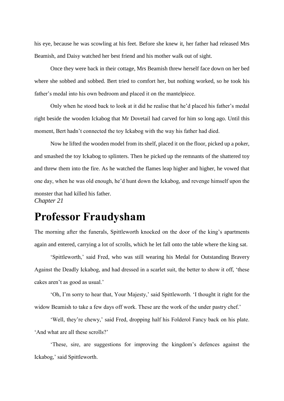his eye, because he was scowling at his feet. Before she knew it, her father had released Mrs Beamish, and Daisy watched her best friend and his mother walk out of sight.

Once they were back in their cottage, Mrs Beamish threw herself face down on her bed where she sobbed and sobbed. Bert tried to comfort her, but nothing worked, so he took his father's medal into his own bedroom and placed it on the mantelpiece.

Only when he stood back to look at it did he realise that he'd placed his father's medal right beside the wooden Ickabog that Mr Dovetail had carved for him so long ago. Until this moment, Bert hadn't connected the toy Ickabog with the way his father had died.

Now he lifted the wooden model from its shelf, placed it on the floor, picked up a poker, and smashed the toy Ickabog to splinters. Then he picked up the remnants of the shattered toy and threw them into the fire. As he watched the flames leap higher and higher, he vowed that one day, when he was old enough, he'd hunt down the Ickabog, and revenge himself upon the monster that had killed his father. *Chapter 21*

#### **Professor Fraudysham**

The morning after the funerals, Spittleworth knocked on the door of the king's apartments again and entered, carrying a lot of scrolls, which he let fall onto the table where the king sat.

'Spittleworth,' said Fred, who was still wearing his Medal for Outstanding Bravery Against the Deadly Ickabog, and had dressed in a scarlet suit, the better to show it off, 'these cakes aren't as good as usual.'

'Oh, I'm sorry to hear that, Your Majesty,' said Spittleworth. 'I thought it right for the widow Beamish to take a few days off work. These are the work of the under pastry chef.'

'Well, they're chewy,' said Fred, dropping half his Folderol Fancy back on his plate. 'And what are all these scrolls?'

'These, sire, are suggestions for improving the kingdom's defences against the Ickabog,' said Spittleworth.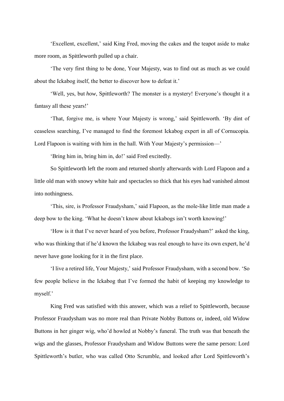'Excellent, excellent,' said King Fred, moving the cakes and the teapot aside to make more room, as Spittleworth pulled up a chair.

'The very first thing to be done, Your Majesty, was to find out as much as we could about the Ickabog itself, the better to discover how to defeat it.'

'Well, yes, but *how*, Spittleworth? The monster is a mystery! Everyone's thought it a fantasy all these years!'

'That, forgive me, is where Your Majesty is wrong,' said Spittleworth. 'By dint of ceaseless searching, I've managed to find the foremost Ickabog expert in all of Cornucopia. Lord Flapoon is waiting with him in the hall. With Your Majesty's permission—'

'Bring him in, bring him in, do!' said Fred excitedly.

So Spittleworth left the room and returned shortly afterwards with Lord Flapoon and a little old man with snowy white hair and spectacles so thick that his eyes had vanished almost into nothingness.

'This, sire, is Professor Fraudysham,' said Flapoon, as the mole-like little man made a deep bow to the king. 'What he doesn't know about Ickabogs isn't worth knowing!'

'How is it that I've never heard of you before, Professor Fraudysham?' asked the king, who was thinking that if he'd known the Ickabog was real enough to have its own expert, he'd never have gone looking for it in the first place.

'I live a retired life, Your Majesty,' said Professor Fraudysham, with a second bow. 'So few people believe in the Ickabog that I've formed the habit of keeping my knowledge to myself.'

King Fred was satisfied with this answer, which was a relief to Spittleworth, because Professor Fraudysham was no more real than Private Nobby Buttons or, indeed, old Widow Buttons in her ginger wig, who'd howled at Nobby's funeral. The truth was that beneath the wigs and the glasses, Professor Fraudysham and Widow Buttons were the same person: Lord Spittleworth's butler, who was called Otto Scrumble, and looked after Lord Spittleworth's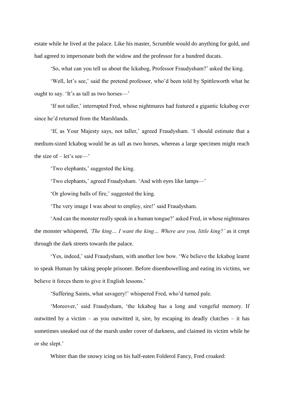estate while he lived at the palace. Like his master, Scrumble would do anything for gold, and had agreed to impersonate both the widow and the professor for a hundred ducats.

'So, what can you tell us about the Ickabog, Professor Fraudysham?' asked the king.

'Well, let's see,' said the pretend professor, who'd been told by Spittleworth what he ought to say. 'It's as tall as two horses—'

'If not taller,' interrupted Fred, whose nightmares had featured a gigantic Ickabog ever since he'd returned from the Marshlands.

'If, as Your Majesty says, not taller,' agreed Fraudysham. 'I should estimate that a medium-sized Ickabog would be as tall as two horses, whereas a large specimen might reach the size of – let's see—'

'Two elephants,' suggested the king.

'Two elephants,' agreed Fraudysham. 'And with eyes like lamps—'

'Or glowing balls of fire,' suggested the king.

'The very image I was about to employ, sire!' said Fraudysham.

'And can the monster really speak in a human tongue?' asked Fred, in whose nightmares the monster whispered, *'The king… I want the king… Where are you, little king?'* as it crept through the dark streets towards the palace.

'Yes, indeed,' said Fraudysham, with another low bow. 'We believe the Ickabog learnt to speak Human by taking people prisoner. Before disembowelling and eating its victims, we believe it forces them to give it English lessons.'

'Suffering Saints, what savagery!' whispered Fred, who'd turned pale.

'Moreover,' said Fraudysham, 'the Ickabog has a long and vengeful memory. If outwitted by a victim – as you outwitted it, sire, by escaping its deadly clutches – it has sometimes sneaked out of the marsh under cover of darkness, and claimed its victim while he or she slept.'

Whiter than the snowy icing on his half-eaten Folderol Fancy, Fred croaked: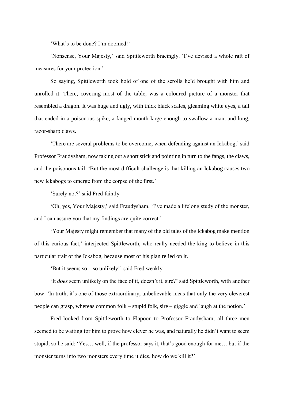'What's to be done? I'm doomed!'

'Nonsense, Your Majesty,' said Spittleworth bracingly. 'I've devised a whole raft of measures for your protection.'

So saying, Spittleworth took hold of one of the scrolls he'd brought with him and unrolled it. There, covering most of the table, was a coloured picture of a monster that resembled a dragon. It was huge and ugly, with thick black scales, gleaming white eyes, a tail that ended in a poisonous spike, a fanged mouth large enough to swallow a man, and long, razor-sharp claws.

'There are several problems to be overcome, when defending against an Ickabog,' said Professor Fraudysham, now taking out a short stick and pointing in turn to the fangs, the claws, and the poisonous tail. 'But the most difficult challenge is that killing an Ickabog causes two new Ickabogs to emerge from the corpse of the first.'

'Surely not?' said Fred faintly.

'Oh, yes, Your Majesty,' said Fraudysham. 'I've made a lifelong study of the monster, and I can assure you that my findings are quite correct.'

'Your Majesty might remember that many of the old tales of the Ickabog make mention of this curious fact,' interjected Spittleworth, who really needed the king to believe in this particular trait of the Ickabog, because most of his plan relied on it.

'But it seems so – so unlikely!' said Fred weakly.

'It *does* seem unlikely on the face of it, doesn't it, sire?' said Spittleworth, with another bow. 'In truth, it's one of those extraordinary, unbelievable ideas that only the very cleverest people can grasp, whereas common folk – stupid folk, sire – giggle and laugh at the notion.'

Fred looked from Spittleworth to Flapoon to Professor Fraudysham; all three men seemed to be waiting for him to prove how clever he was, and naturally he didn't want to seem stupid, so he said: 'Yes… well, if the professor says it, that's good enough for me… but if the monster turns into two monsters every time it dies, how do we kill it?'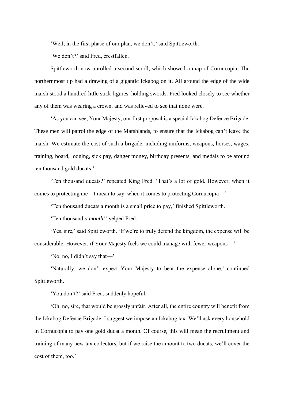'Well, in the first phase of our plan, we don't,' said Spittleworth.

'We don't?' said Fred, crestfallen.

Spittleworth now unrolled a second scroll, which showed a map of Cornucopia. The northernmost tip had a drawing of a gigantic Ickabog on it. All around the edge of the wide marsh stood a hundred little stick figures, holding swords. Fred looked closely to see whether any of them was wearing a crown, and was relieved to see that none were.

'As you can see, Your Majesty, our first proposal is a special Ickabog Defence Brigade. These men will patrol the edge of the Marshlands, to ensure that the Ickabog can't leave the marsh. We estimate the cost of such a brigade, including uniforms, weapons, horses, wages, training, board, lodging, sick pay, danger money, birthday presents, and medals to be around ten thousand gold ducats.'

'Ten thousand ducats?' repeated King Fred. 'That's a lot of gold. However, when it comes to protecting me – I mean to say, when it comes to protecting Cornucopia—'

'Ten thousand ducats a month is a small price to pay,' finished Spittleworth.

'Ten thousand *a month*!' yelped Fred.

'Yes, sire,' said Spittleworth. 'If we're to truly defend the kingdom, the expense will be considerable. However, if Your Majesty feels we could manage with fewer weapons—'

'No, no, I didn't say that—'

'Naturally, we don't expect Your Majesty to bear the expense alone,' continued Spittleworth.

'You don't?' said Fred, suddenly hopeful.

'Oh, no, sire, that would be grossly unfair. After all, the entire country will benefit from the Ickabog Defence Brigade. I suggest we impose an Ickabog tax. We'll ask every household in Cornucopia to pay one gold ducat a month. Of course, this will mean the recruitment and training of many new tax collectors, but if we raise the amount to two ducats, we'll cover the cost of them, too.'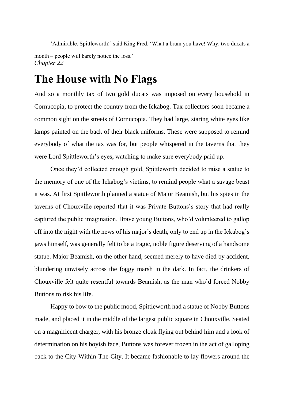'Admirable, Spittleworth!' said King Fred. 'What a brain you have! Why, two ducats a month – people will barely notice the loss.' *Chapter 22*

#### **The House with No Flags**

And so a monthly tax of two gold ducats was imposed on every household in Cornucopia, to protect the country from the Ickabog. Tax collectors soon became a common sight on the streets of Cornucopia. They had large, staring white eyes like lamps painted on the back of their black uniforms. These were supposed to remind everybody of what the tax was for, but people whispered in the taverns that they were Lord Spittleworth's eyes, watching to make sure everybody paid up.

Once they'd collected enough gold, Spittleworth decided to raise a statue to the memory of one of the Ickabog's victims, to remind people what a savage beast it was. At first Spittleworth planned a statue of Major Beamish, but his spies in the taverns of Chouxville reported that it was Private Buttons's story that had really captured the public imagination. Brave young Buttons, who'd volunteered to gallop off into the night with the news of his major's death, only to end up in the Ickabog's jaws himself, was generally felt to be a tragic, noble figure deserving of a handsome statue. Major Beamish, on the other hand, seemed merely to have died by accident, blundering unwisely across the foggy marsh in the dark. In fact, the drinkers of Chouxville felt quite resentful towards Beamish, as the man who'd forced Nobby Buttons to risk his life.

Happy to bow to the public mood, Spittleworth had a statue of Nobby Buttons made, and placed it in the middle of the largest public square in Chouxville. Seated on a magnificent charger, with his bronze cloak flying out behind him and a look of determination on his boyish face, Buttons was forever frozen in the act of galloping back to the City-Within-The-City. It became fashionable to lay flowers around the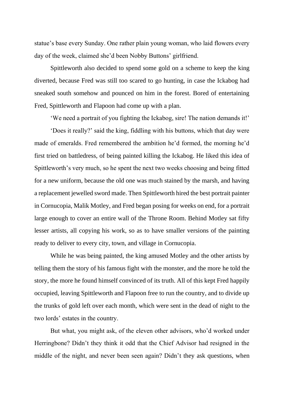statue's base every Sunday. One rather plain young woman, who laid flowers every day of the week, claimed she'd been Nobby Buttons' girlfriend.

Spittleworth also decided to spend some gold on a scheme to keep the king diverted, because Fred was still too scared to go hunting, in case the Ickabog had sneaked south somehow and pounced on him in the forest. Bored of entertaining Fred, Spittleworth and Flapoon had come up with a plan.

'We need a portrait of you fighting the Ickabog, sire! The nation demands it!'

'Does it really?' said the king, fiddling with his buttons, which that day were made of emeralds. Fred remembered the ambition he'd formed, the morning he'd first tried on battledress, of being painted killing the Ickabog. He liked this idea of Spittleworth's very much, so he spent the next two weeks choosing and being fitted for a new uniform, because the old one was much stained by the marsh, and having a replacement jewelled sword made. Then Spittleworth hired the best portrait painter in Cornucopia, Malik Motley, and Fred began posing for weeks on end, for a portrait large enough to cover an entire wall of the Throne Room. Behind Motley sat fifty lesser artists, all copying his work, so as to have smaller versions of the painting ready to deliver to every city, town, and village in Cornucopia.

While he was being painted, the king amused Motley and the other artists by telling them the story of his famous fight with the monster, and the more he told the story, the more he found himself convinced of its truth. All of this kept Fred happily occupied, leaving Spittleworth and Flapoon free to run the country, and to divide up the trunks of gold left over each month, which were sent in the dead of night to the two lords' estates in the country.

But what, you might ask, of the eleven other advisors, who'd worked under Herringbone? Didn't they think it odd that the Chief Advisor had resigned in the middle of the night, and never been seen again? Didn't they ask questions, when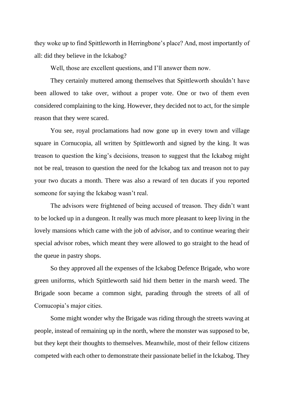they woke up to find Spittleworth in Herringbone's place? And, most importantly of all: did they believe in the Ickabog?

Well, those are excellent questions, and I'll answer them now.

They certainly muttered among themselves that Spittleworth shouldn't have been allowed to take over, without a proper vote. One or two of them even considered complaining to the king. However, they decided not to act, for the simple reason that they were scared.

You see, royal proclamations had now gone up in every town and village square in Cornucopia, all written by Spittleworth and signed by the king. It was treason to question the king's decisions, treason to suggest that the Ickabog might not be real, treason to question the need for the Ickabog tax and treason not to pay your two ducats a month. There was also a reward of ten ducats if you reported someone for saying the Ickabog wasn't real.

The advisors were frightened of being accused of treason. They didn't want to be locked up in a dungeon. It really was much more pleasant to keep living in the lovely mansions which came with the job of advisor, and to continue wearing their special advisor robes, which meant they were allowed to go straight to the head of the queue in pastry shops.

So they approved all the expenses of the Ickabog Defence Brigade, who wore green uniforms, which Spittleworth said hid them better in the marsh weed. The Brigade soon became a common sight, parading through the streets of all of Cornucopia's major cities.

Some might wonder why the Brigade was riding through the streets waving at people, instead of remaining up in the north, where the monster was supposed to be, but they kept their thoughts to themselves. Meanwhile, most of their fellow citizens competed with each other to demonstrate their passionate belief in the Ickabog. They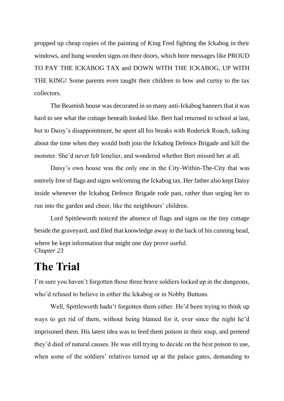propped up cheap copies of the painting of King Fred fighting the Ickabog in their windows, and hung wooden signs on their doors, which bore messages like PROUD TO PAY THE ICKABOG TAX and DOWN WITH THE ICKABOG, UP WITH THE KING! Some parents even taught their children to bow and curtsy to the tax collectors.

The Beamish house was decorated in so many anti-Ickabog banners that it was hard to see what the cottage beneath looked like. Bert had returned to school at last, but to Daisy's disappointment, he spent all his breaks with Roderick Roach, talking about the time when they would both join the Ickabog Defence Brigade and kill the monster. She'd never felt lonelier, and wondered whether Bert missed her at all.

Daisy's own house was the only one in the City-Within-The-City that was entirely free of flags and signs welcoming the Ickabog tax. Her father also kept Daisy inside whenever the Ickabog Defence Brigade rode past, rather than urging her to run into the garden and cheer, like the neighbours' children.

Lord Spittleworth noticed the absence of flags and signs on the tiny cottage beside the graveyard, and filed that knowledge away in the back of his cunning head, where he kept information that might one day prove useful. *Chapter 23*

# **The Trial**

I'm sure you haven't forgotten those three brave soldiers locked up in the dungeons, who'd refused to believe in either the Ickabog or in Nobby Buttons.

Well, Spittleworth hadn't forgotten them either. He'd been trying to think up ways to get rid of them, without being blamed for it, ever since the night he'd imprisoned them. His latest idea was to feed them poison in their soup, and pretend they'd died of natural causes. He was still trying to decide on the best poison to use, when some of the soldiers' relatives turned up at the palace gates, demanding to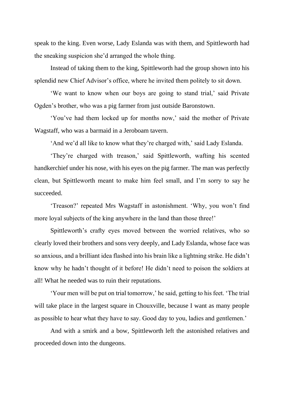speak to the king. Even worse, Lady Eslanda was with them, and Spittleworth had the sneaking suspicion she'd arranged the whole thing.

Instead of taking them to the king, Spittleworth had the group shown into his splendid new Chief Advisor's office, where he invited them politely to sit down.

'We want to know when our boys are going to stand trial,' said Private Ogden's brother, who was a pig farmer from just outside Baronstown.

'You've had them locked up for months now,' said the mother of Private Wagstaff, who was a barmaid in a Jeroboam tavern.

'And we'd all like to know what they're charged with,' said Lady Eslanda.

'They're charged with treason,' said Spittleworth, wafting his scented handkerchief under his nose, with his eyes on the pig farmer. The man was perfectly clean, but Spittleworth meant to make him feel small, and I'm sorry to say he succeeded.

'Treason?' repeated Mrs Wagstaff in astonishment. 'Why, you won't find more loyal subjects of the king anywhere in the land than those three!'

Spittleworth's crafty eyes moved between the worried relatives, who so clearly loved their brothers and sons very deeply, and Lady Eslanda, whose face was so anxious, and a brilliant idea flashed into his brain like a lightning strike. He didn't know why he hadn't thought of it before! He didn't need to poison the soldiers at all! What he needed was to ruin their reputations.

'Your men will be put on trial tomorrow,' he said, getting to his feet. 'The trial will take place in the largest square in Chouxville, because I want as many people as possible to hear what they have to say. Good day to you, ladies and gentlemen.'

And with a smirk and a bow, Spittleworth left the astonished relatives and proceeded down into the dungeons.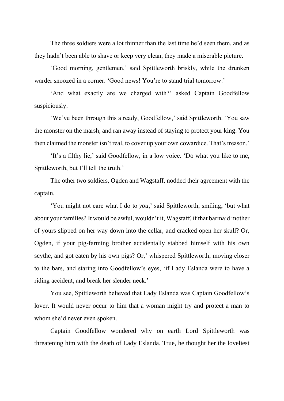The three soldiers were a lot thinner than the last time he'd seen them, and as they hadn't been able to shave or keep very clean, they made a miserable picture.

'Good morning, gentlemen,' said Spittleworth briskly, while the drunken warder snoozed in a corner. 'Good news! You're to stand trial tomorrow.'

'And what exactly are we charged with?' asked Captain Goodfellow suspiciously.

'We've been through this already, Goodfellow,' said Spittleworth. 'You saw the monster on the marsh, and ran away instead of staying to protect your king. You then claimed the monster isn't real, to cover up your own cowardice. That's treason.'

'It's a filthy lie,' said Goodfellow, in a low voice. 'Do what you like to me, Spittleworth, but I'll tell the truth.'

The other two soldiers, Ogden and Wagstaff, nodded their agreement with the captain.

'You might not care what I do to *you*,' said Spittleworth, smiling, 'but what about your families? It would be awful, wouldn't it, Wagstaff, if that barmaid mother of yours slipped on her way down into the cellar, and cracked open her skull? Or, Ogden, if your pig-farming brother accidentally stabbed himself with his own scythe, and got eaten by his own pigs? Or,' whispered Spittleworth, moving closer to the bars, and staring into Goodfellow's eyes, 'if Lady Eslanda were to have a riding accident, and break her slender neck.'

You see, Spittleworth believed that Lady Eslanda was Captain Goodfellow's lover. It would never occur to him that a woman might try and protect a man to whom she'd never even spoken.

Captain Goodfellow wondered why on earth Lord Spittleworth was threatening him with the death of Lady Eslanda. True, he thought her the loveliest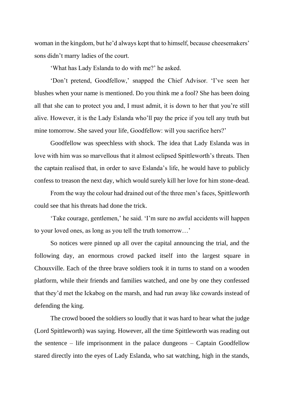woman in the kingdom, but he'd always kept that to himself, because cheesemakers' sons didn't marry ladies of the court.

'What has Lady Eslanda to do with me?' he asked.

'Don't pretend, Goodfellow,' snapped the Chief Advisor. 'I've seen her blushes when your name is mentioned. Do you think me a fool? She has been doing all that she can to protect you and, I must admit, it is down to her that you're still alive. However, it is the Lady Eslanda who'll pay the price if you tell any truth but mine tomorrow. She saved your life, Goodfellow: will you sacrifice hers?'

Goodfellow was speechless with shock. The idea that Lady Eslanda was in love with him was so marvellous that it almost eclipsed Spittleworth's threats. Then the captain realised that, in order to save Eslanda's life, he would have to publicly confess to treason the next day, which would surely kill her love for him stone-dead.

From the way the colour had drained out of the three men's faces, Spittleworth could see that his threats had done the trick.

'Take courage, gentlemen,' he said. 'I'm sure no awful accidents will happen to your loved ones, as long as you tell the truth tomorrow…'

So notices were pinned up all over the capital announcing the trial, and the following day, an enormous crowd packed itself into the largest square in Chouxville. Each of the three brave soldiers took it in turns to stand on a wooden platform, while their friends and families watched, and one by one they confessed that they'd met the Ickabog on the marsh, and had run away like cowards instead of defending the king.

The crowd booed the soldiers so loudly that it was hard to hear what the judge (Lord Spittleworth) was saying. However, all the time Spittleworth was reading out the sentence – life imprisonment in the palace dungeons – Captain Goodfellow stared directly into the eyes of Lady Eslanda, who sat watching, high in the stands,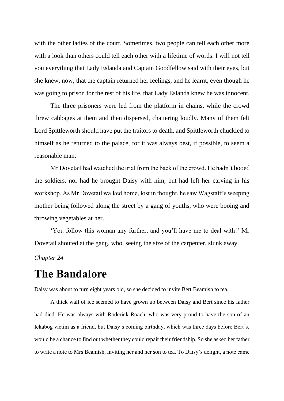with the other ladies of the court. Sometimes, two people can tell each other more with a look than others could tell each other with a lifetime of words. I will not tell you everything that Lady Eslanda and Captain Goodfellow said with their eyes, but she knew, now, that the captain returned her feelings, and he learnt, even though he was going to prison for the rest of his life, that Lady Eslanda knew he was innocent.

The three prisoners were led from the platform in chains, while the crowd threw cabbages at them and then dispersed, chattering loudly. Many of them felt Lord Spittleworth should have put the traitors to death, and Spittleworth chuckled to himself as he returned to the palace, for it was always best, if possible, to seem a reasonable man.

Mr Dovetail had watched the trial from the back of the crowd. He hadn't booed the soldiers, nor had he brought Daisy with him, but had left her carving in his workshop. As Mr Dovetail walked home, lost in thought, he saw Wagstaff's weeping mother being followed along the street by a gang of youths, who were booing and throwing vegetables at her.

'You follow this woman any further, and you'll have me to deal with!' Mr Dovetail shouted at the gang, who, seeing the size of the carpenter, slunk away.

*Chapter 24*

## **The Bandalore**

Daisy was about to turn eight years old, so she decided to invite Bert Beamish to tea.

A thick wall of ice seemed to have grown up between Daisy and Bert since his father had died. He was always with Roderick Roach, who was very proud to have the son of an Ickabog victim as a friend, but Daisy's coming birthday, which was three days before Bert's, would be a chance to find out whether they could repair their friendship. So she asked her father to write a note to Mrs Beamish, inviting her and her son to tea. To Daisy's delight, a note came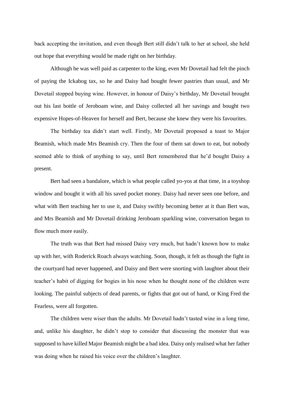back accepting the invitation, and even though Bert still didn't talk to her at school, she held out hope that everything would be made right on her birthday.

Although he was well paid as carpenter to the king, even Mr Dovetail had felt the pinch of paying the Ickabog tax, so he and Daisy had bought fewer pastries than usual, and Mr Dovetail stopped buying wine. However, in honour of Daisy's birthday, Mr Dovetail brought out his last bottle of Jeroboam wine, and Daisy collected all her savings and bought two expensive Hopes-of-Heaven for herself and Bert, because she knew they were his favourites.

The birthday tea didn't start well. Firstly, Mr Dovetail proposed a toast to Major Beamish, which made Mrs Beamish cry. Then the four of them sat down to eat, but nobody seemed able to think of anything to say, until Bert remembered that he'd bought Daisy a present.

Bert had seen a bandalore, which is what people called yo-yos at that time, in a toyshop window and bought it with all his saved pocket money. Daisy had never seen one before, and what with Bert teaching her to use it, and Daisy swiftly becoming better at it than Bert was, and Mrs Beamish and Mr Dovetail drinking Jeroboam sparkling wine, conversation began to flow much more easily.

The truth was that Bert had missed Daisy very much, but hadn't known how to make up with her, with Roderick Roach always watching. Soon, though, it felt as though the fight in the courtyard had never happened, and Daisy and Bert were snorting with laughter about their teacher's habit of digging for bogies in his nose when he thought none of the children were looking. The painful subjects of dead parents, or fights that got out of hand, or King Fred the Fearless, were all forgotten.

The children were wiser than the adults. Mr Dovetail hadn't tasted wine in a long time, and, unlike his daughter, he didn't stop to consider that discussing the monster that was supposed to have killed Major Beamish might be a bad idea. Daisy only realised what her father was doing when he raised his voice over the children's laughter.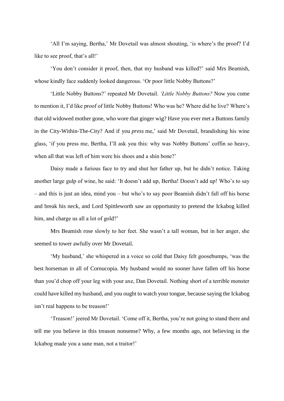'All I'm saying, Bertha,' Mr Dovetail was almost shouting, 'is where's the proof? I'd like to see proof, that's all!'

'You don't consider it proof, then, that my husband was killed?' said Mrs Beamish, whose kindly face suddenly looked dangerous. 'Or poor little Nobby Buttons?'

'Little Nobby Buttons?' repeated Mr Dovetail. *'Little Nobby Buttons?* Now you come to mention it, I'd like proof of little Nobby Buttons! Who was he? Where did he live? Where's that old widowed mother gone, who wore that ginger wig? Have you ever met a Buttons family in the City-Within-The-City? And if you *press* me,' said Mr Dovetail, brandishing his wine glass, 'if you press me, Bertha, I'll ask you this: why was Nobby Buttons' coffin so heavy, when all that was left of him were his shoes and a shin bone?'

Daisy made a furious face to try and shut her father up, but he didn't notice. Taking another large gulp of wine, he said: 'It doesn't add up, Bertha! Doesn't add up! Who's to say – and this is just an idea, mind you – but who's to say poor Beamish didn't fall off his horse and break his neck, and Lord Spittleworth saw an opportunity to pretend the Ickabog killed him, and charge us all a lot of gold?'

Mrs Beamish rose slowly to her feet. She wasn't a tall woman, but in her anger, she seemed to tower awfully over Mr Dovetail.

'My husband,' she whispered in a voice so cold that Daisy felt goosebumps, 'was the best horseman in all of Cornucopia. My husband would no sooner have fallen off his horse than you'd chop off your leg with your axe, Dan Dovetail. Nothing short of a terrible monster could have killed my husband, and you ought to watch your tongue, because saying the Ickabog isn't real happens to be treason!'

'Treason!' jeered Mr Dovetail. 'Come off it, Bertha, you're not going to stand there and tell me you believe in this treason nonsense? Why, a few months ago, not believing in the Ickabog made you a sane man, not a traitor!'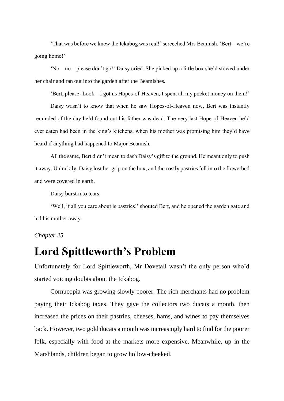'That was before we knew the Ickabog was real!' screeched Mrs Beamish. 'Bert – we're going home!'

'No – no – please don't go!' Daisy cried. She picked up a little box she'd stowed under her chair and ran out into the garden after the Beamishes.

'Bert, please! Look – I got us Hopes-of-Heaven, I spent all my pocket money on them!'

Daisy wasn't to know that when he saw Hopes-of-Heaven now, Bert was instantly reminded of the day he'd found out his father was dead. The very last Hope-of-Heaven he'd ever eaten had been in the king's kitchens, when his mother was promising him they'd have heard if anything had happened to Major Beamish.

All the same, Bert didn't mean to dash Daisy's gift to the ground. He meant only to push it away. Unluckily, Daisy lost her grip on the box, and the costly pastries fell into the flowerbed and were covered in earth.

Daisy burst into tears.

'Well, if all you care about is pastries!' shouted Bert, and he opened the garden gate and led his mother away.

#### *Chapter 25*

## **Lord Spittleworth's Problem**

Unfortunately for Lord Spittleworth, Mr Dovetail wasn't the only person who'd started voicing doubts about the Ickabog.

Cornucopia was growing slowly poorer. The rich merchants had no problem paying their Ickabog taxes. They gave the collectors two ducats a month, then increased the prices on their pastries, cheeses, hams, and wines to pay themselves back. However, two gold ducats a month was increasingly hard to find for the poorer folk, especially with food at the markets more expensive. Meanwhile, up in the Marshlands, children began to grow hollow-cheeked.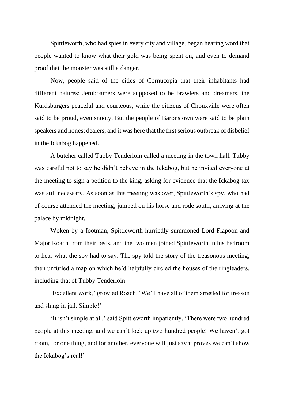Spittleworth, who had spies in every city and village, began hearing word that people wanted to know what their gold was being spent on, and even to demand proof that the monster was still a danger.

Now, people said of the cities of Cornucopia that their inhabitants had different natures: Jeroboamers were supposed to be brawlers and dreamers, the Kurdsburgers peaceful and courteous, while the citizens of Chouxville were often said to be proud, even snooty. But the people of Baronstown were said to be plain speakers and honest dealers, and it was here that the first serious outbreak of disbelief in the Ickabog happened.

A butcher called Tubby Tenderloin called a meeting in the town hall. Tubby was careful not to say he didn't believe in the Ickabog, but he invited everyone at the meeting to sign a petition to the king, asking for evidence that the Ickabog tax was still necessary. As soon as this meeting was over, Spittleworth's spy, who had of course attended the meeting, jumped on his horse and rode south, arriving at the palace by midnight.

Woken by a footman, Spittleworth hurriedly summoned Lord Flapoon and Major Roach from their beds, and the two men joined Spittleworth in his bedroom to hear what the spy had to say. The spy told the story of the treasonous meeting, then unfurled a map on which he'd helpfully circled the houses of the ringleaders, including that of Tubby Tenderloin.

'Excellent work,' growled Roach. 'We'll have all of them arrested for treason and slung in jail. Simple!'

'It isn't simple at all,' said Spittleworth impatiently. 'There were two hundred people at this meeting, and we can't lock up two hundred people! We haven't got room, for one thing, and for another, everyone will just say it proves we can't show the Ickabog's real!'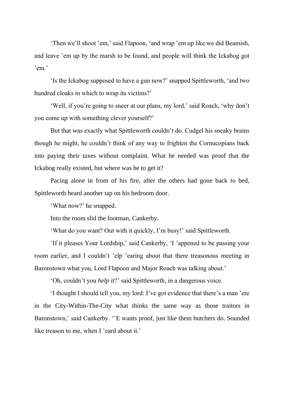'Then we'll shoot 'em,' said Flapoon, 'and wrap 'em up like we did Beamish, and leave 'em up by the marsh to be found, and people will think the Ickabog got 'em.'

'Is the Ickabog supposed to have a gun now?' snapped Spittleworth, 'and two hundred cloaks in which to wrap its victims?'

'Well, if you're going to sneer at our plans, my lord,' said Roach, 'why don't you come up with something clever yourself?'

But that was exactly what Spittleworth couldn't do. Cudgel his sneaky brains though he might, he couldn't think of any way to frighten the Cornucopians back into paying their taxes without complaint. What he needed was proof that the Ickabog really existed, but where was he to get it?

Pacing alone in front of his fire, after the others had gone back to bed, Spittleworth heard another tap on his bedroom door.

'What now?' he snapped.

Into the room slid the footman, Cankerby.

'What do you want? Out with it quickly, I'm busy!' said Spittleworth.

'If it pleases Your Lordship,' said Cankerby, 'I 'appened to be passing your room earlier, and I couldn't 'elp 'earing about that there treasonous meeting in Baronstown what you, Lord Flapoon and Major Roach was talking about.'

'Oh, couldn't you *help* it?' said Spittleworth, in a dangerous voice.

'I thought I should tell you, my lord: I've got evidence that there's a man 'ere in the City-Within-The-City what thinks the same way as those traitors in Baronstown,' said Cankerby. "E wants proof, just like them butchers do. Sounded like treason to me, when I 'eard about it.'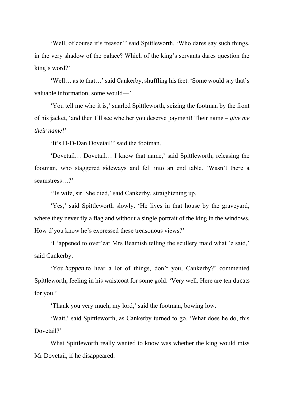'Well, of course it's treason!' said Spittleworth. 'Who dares say such things, in the very shadow of the palace? Which of the king's servants dares question the king's word?'

'Well… as to that…' said Cankerby, shuffling his feet. 'Some would say that's valuable information, some would—'

'You tell me who it is,' snarled Spittleworth, seizing the footman by the front of his jacket, 'and then I'll see whether you deserve payment! Their name – *give me their name!*'

'It's D-D-Dan Dovetail!' said the footman.

'Dovetail… Dovetail… I know that name,' said Spittleworth, releasing the footman, who staggered sideways and fell into an end table. 'Wasn't there a seamstress…?'

''Is wife, sir. She died,' said Cankerby, straightening up.

'Yes,' said Spittleworth slowly. 'He lives in that house by the graveyard, where they never fly a flag and without a single portrait of the king in the windows. How d'you know he's expressed these treasonous views?'

'I 'appened to over'ear Mrs Beamish telling the scullery maid what 'e said,' said Cankerby.

'You *happen* to hear a lot of things, don't you, Cankerby?' commented Spittleworth, feeling in his waistcoat for some gold. 'Very well. Here are ten ducats for you.'

'Thank you very much, my lord,' said the footman, bowing low.

'Wait,' said Spittleworth, as Cankerby turned to go. 'What does he do, this Dovetail?'

What Spittleworth really wanted to know was whether the king would miss Mr Dovetail, if he disappeared.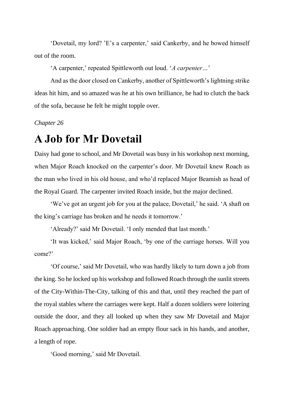'Dovetail, my lord? 'E's a carpenter,' said Cankerby, and he bowed himself out of the room.

'A carpenter,' repeated Spittleworth out loud. '*A carpenter…*'

And as the door closed on Cankerby, another of Spittleworth's lightning strike ideas hit him, and so amazed was he at his own brilliance, he had to clutch the back of the sofa, because he felt he might topple over.

*Chapter 26*

## **A Job for Mr Dovetail**

Daisy had gone to school, and Mr Dovetail was busy in his workshop next morning, when Major Roach knocked on the carpenter's door. Mr Dovetail knew Roach as the man who lived in his old house, and who'd replaced Major Beamish as head of the Royal Guard. The carpenter invited Roach inside, but the major declined.

'We've got an urgent job for you at the palace, Dovetail,' he said. 'A shaft on the king's carriage has broken and he needs it tomorrow.'

'Already?' said Mr Dovetail. 'I only mended that last month.'

'It was kicked,' said Major Roach, 'by one of the carriage horses. Will you come?'

'Of course,' said Mr Dovetail, who was hardly likely to turn down a job from the king. So he locked up his workshop and followed Roach through the sunlit streets of the City-Within-The-City, talking of this and that, until they reached the part of the royal stables where the carriages were kept. Half a dozen soldiers were loitering outside the door, and they all looked up when they saw Mr Dovetail and Major Roach approaching. One soldier had an empty flour sack in his hands, and another, a length of rope.

'Good morning,' said Mr Dovetail.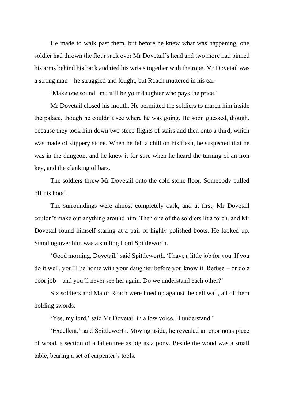He made to walk past them, but before he knew what was happening, one soldier had thrown the flour sack over Mr Dovetail's head and two more had pinned his arms behind his back and tied his wrists together with the rope. Mr Dovetail was a strong man – he struggled and fought, but Roach muttered in his ear:

'Make one sound, and it'll be your daughter who pays the price.'

Mr Dovetail closed his mouth. He permitted the soldiers to march him inside the palace, though he couldn't see where he was going. He soon guessed, though, because they took him down two steep flights of stairs and then onto a third, which was made of slippery stone. When he felt a chill on his flesh, he suspected that he was in the dungeon, and he knew it for sure when he heard the turning of an iron key, and the clanking of bars.

The soldiers threw Mr Dovetail onto the cold stone floor. Somebody pulled off his hood.

The surroundings were almost completely dark, and at first, Mr Dovetail couldn't make out anything around him. Then one of the soldiers lit a torch, and Mr Dovetail found himself staring at a pair of highly polished boots. He looked up. Standing over him was a smiling Lord Spittleworth.

'Good morning, Dovetail,' said Spittleworth. 'I have a little job for you. If you do it well, you'll be home with your daughter before you know it. Refuse – or do a poor job – and you'll never see her again. Do we understand each other?'

Six soldiers and Major Roach were lined up against the cell wall, all of them holding swords.

'Yes, my lord,' said Mr Dovetail in a low voice. 'I understand.'

'Excellent,' said Spittleworth. Moving aside, he revealed an enormous piece of wood, a section of a fallen tree as big as a pony. Beside the wood was a small table, bearing a set of carpenter's tools.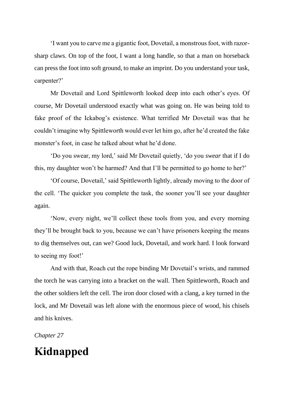'I want you to carve me a gigantic foot, Dovetail, a monstrous foot, with razorsharp claws. On top of the foot, I want a long handle, so that a man on horseback can press the foot into soft ground, to make an imprint. Do you understand your task, carpenter?'

Mr Dovetail and Lord Spittleworth looked deep into each other's eyes. Of course, Mr Dovetail understood exactly what was going on. He was being told to fake proof of the Ickabog's existence. What terrified Mr Dovetail was that he couldn't imagine why Spittleworth would ever let him go, after he'd created the fake monster's foot, in case he talked about what he'd done.

'Do you swear, my lord,' said Mr Dovetail quietly, 'do you *swear* that if I do this, my daughter won't be harmed? And that I'll be permitted to go home to her?'

'Of course, Dovetail,' said Spittleworth lightly, already moving to the door of the cell. 'The quicker you complete the task, the sooner you'll see your daughter again.

'Now, every night, we'll collect these tools from you, and every morning they'll be brought back to you, because we can't have prisoners keeping the means to dig themselves out, can we? Good luck, Dovetail, and work hard. I look forward to seeing my foot!'

And with that, Roach cut the rope binding Mr Dovetail's wrists, and rammed the torch he was carrying into a bracket on the wall. Then Spittleworth, Roach and the other soldiers left the cell. The iron door closed with a clang, a key turned in the lock, and Mr Dovetail was left alone with the enormous piece of wood, his chisels and his knives.

*Chapter 27*

# **Kidnapped**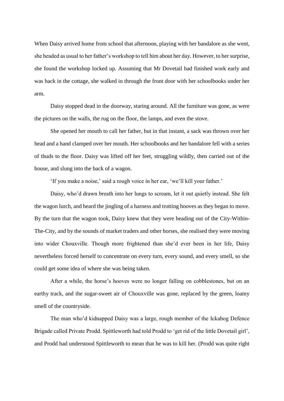When Daisy arrived home from school that afternoon, playing with her bandalore as she went, she headed as usual to her father's workshop to tell him about her day. However, to her surprise, she found the workshop locked up. Assuming that Mr Dovetail had finished work early and was back in the cottage, she walked in through the front door with her schoolbooks under her arm.

Daisy stopped dead in the doorway, staring around. All the furniture was gone, as were the pictures on the walls, the rug on the floor, the lamps, and even the stove.

She opened her mouth to call her father, but in that instant, a sack was thrown over her head and a hand clamped over her mouth. Her schoolbooks and her bandalore fell with a series of thuds to the floor. Daisy was lifted off her feet, struggling wildly, then carried out of the house, and slung into the back of a wagon.

'If you make a noise,' said a rough voice in her ear, 'we'll kill your father.'

Daisy, who'd drawn breath into her lungs to scream, let it out quietly instead. She felt the wagon lurch, and heard the jingling of a harness and trotting hooves as they began to move. By the turn that the wagon took, Daisy knew that they were heading out of the City-Within-The-City, and by the sounds of market traders and other horses, she realised they were moving into wider Chouxville. Though more frightened than she'd ever been in her life, Daisy nevertheless forced herself to concentrate on every turn, every sound, and every smell, so she could get some idea of where she was being taken.

After a while, the horse's hooves were no longer falling on cobblestones, but on an earthy track, and the sugar-sweet air of Chouxville was gone, replaced by the green, loamy smell of the countryside.

The man who'd kidnapped Daisy was a large, rough member of the Ickabog Defence Brigade called Private Prodd. Spittleworth had told Prodd to 'get rid of the little Dovetail girl', and Prodd had understood Spittleworth to mean that he was to kill her. (Prodd was quite right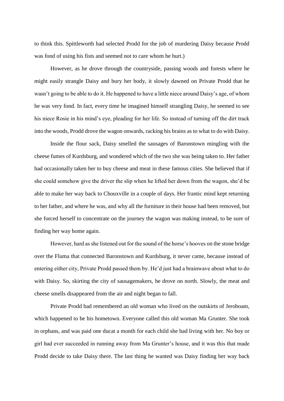to think this. Spittleworth had selected Prodd for the job of murdering Daisy because Prodd was fond of using his fists and seemed not to care whom he hurt.)

However, as he drove through the countryside, passing woods and forests where he might easily strangle Daisy and bury her body, it slowly dawned on Private Prodd that he wasn't going to be able to do it. He happened to have a little niece around Daisy's age, of whom he was very fond. In fact, every time he imagined himself strangling Daisy, he seemed to see his niece Rosie in his mind's eye, pleading for her life. So instead of turning off the dirt track into the woods, Prodd drove the wagon onwards, racking his brains as to what to do with Daisy.

Inside the flour sack, Daisy smelled the sausages of Baronstown mingling with the cheese fumes of Kurdsburg, and wondered which of the two she was being taken to. Her father had occasionally taken her to buy cheese and meat in these famous cities. She believed that if she could somehow give the driver the slip when he lifted her down from the wagon, she'd be able to make her way back to Chouxville in a couple of days. Her frantic mind kept returning to her father, and where he was, and why all the furniture in their house had been removed, but she forced herself to concentrate on the journey the wagon was making instead, to be sure of finding her way home again.

However, hard as she listened out for the sound of the horse's hooves on the stone bridge over the Fluma that connected Baronstown and Kurdsburg, it never came, because instead of entering either city, Private Prodd passed them by. He'd just had a brainwave about what to do with Daisy. So, skirting the city of sausagemakers, he drove on north. Slowly, the meat and cheese smells disappeared from the air and night began to fall.

Private Prodd had remembered an old woman who lived on the outskirts of Jeroboam, which happened to be his hometown. Everyone called this old woman Ma Grunter. She took in orphans, and was paid one ducat a month for each child she had living with her. No boy or girl had ever succeeded in running away from Ma Grunter's house, and it was this that made Prodd decide to take Daisy there. The last thing he wanted was Daisy finding her way back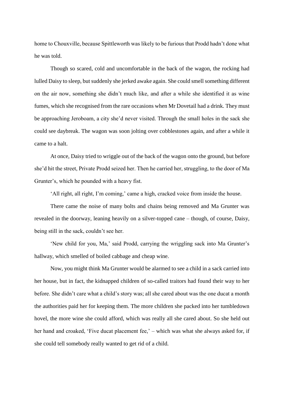home to Chouxville, because Spittleworth was likely to be furious that Prodd hadn't done what he was told.

Though so scared, cold and uncomfortable in the back of the wagon, the rocking had lulled Daisy to sleep, but suddenly she jerked awake again. She could smell something different on the air now, something she didn't much like, and after a while she identified it as wine fumes, which she recognised from the rare occasions when Mr Dovetail had a drink. They must be approaching Jeroboam, a city she'd never visited. Through the small holes in the sack she could see daybreak. The wagon was soon jolting over cobblestones again, and after a while it came to a halt.

At once, Daisy tried to wriggle out of the back of the wagon onto the ground, but before she'd hit the street, Private Prodd seized her. Then he carried her, struggling, to the door of Ma Grunter's, which he pounded with a heavy fist.

'All right, all right, I'm coming,' came a high, cracked voice from inside the house.

There came the noise of many bolts and chains being removed and Ma Grunter was revealed in the doorway, leaning heavily on a silver-topped cane – though, of course, Daisy, being still in the sack, couldn't see her.

'New child for you, Ma,' said Prodd, carrying the wriggling sack into Ma Grunter's hallway, which smelled of boiled cabbage and cheap wine.

Now, you might think Ma Grunter would be alarmed to see a child in a sack carried into her house, but in fact, the kidnapped children of so-called traitors had found their way to her before. She didn't care what a child's story was; all she cared about was the one ducat a month the authorities paid her for keeping them. The more children she packed into her tumbledown hovel, the more wine she could afford, which was really all she cared about. So she held out her hand and croaked, 'Five ducat placement fee,' – which was what she always asked for, if she could tell somebody really wanted to get rid of a child.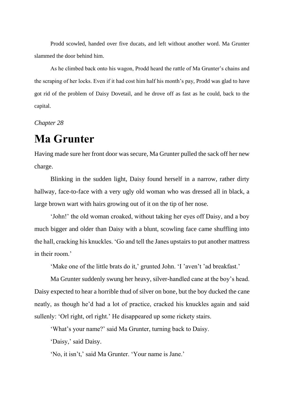Prodd scowled, handed over five ducats, and left without another word. Ma Grunter slammed the door behind him.

As he climbed back onto his wagon, Prodd heard the rattle of Ma Grunter's chains and the scraping of her locks. Even if it had cost him half his month's pay, Prodd was glad to have got rid of the problem of Daisy Dovetail, and he drove off as fast as he could, back to the capital.

*Chapter 28*

## **Ma Grunter**

Having made sure her front door was secure, Ma Grunter pulled the sack off her new charge.

Blinking in the sudden light, Daisy found herself in a narrow, rather dirty hallway, face-to-face with a very ugly old woman who was dressed all in black, a large brown wart with hairs growing out of it on the tip of her nose.

'John!' the old woman croaked, without taking her eyes off Daisy, and a boy much bigger and older than Daisy with a blunt, scowling face came shuffling into the hall, cracking his knuckles. 'Go and tell the Janes upstairs to put another mattress in their room.'

'Make one of the little brats do it,' grunted John. 'I 'aven't 'ad breakfast.'

Ma Grunter suddenly swung her heavy, silver-handled cane at the boy's head. Daisy expected to hear a horrible thud of silver on bone, but the boy ducked the cane neatly, as though he'd had a lot of practice, cracked his knuckles again and said sullenly: 'Orl right, orl right.' He disappeared up some rickety stairs.

'What's your name?' said Ma Grunter, turning back to Daisy.

'Daisy,' said Daisy.

'No, it isn't,' said Ma Grunter. 'Your name is Jane.'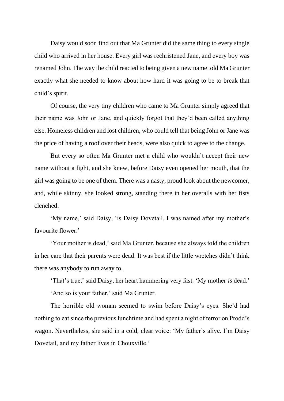Daisy would soon find out that Ma Grunter did the same thing to every single child who arrived in her house. Every girl was rechristened Jane, and every boy was renamed John. The way the child reacted to being given a new name told Ma Grunter exactly what she needed to know about how hard it was going to be to break that child's spirit.

Of course, the very tiny children who came to Ma Grunter simply agreed that their name was John or Jane, and quickly forgot that they'd been called anything else. Homeless children and lost children, who could tell that being John or Jane was the price of having a roof over their heads, were also quick to agree to the change.

But every so often Ma Grunter met a child who wouldn't accept their new name without a fight, and she knew, before Daisy even opened her mouth, that the girl was going to be one of them. There was a nasty, proud look about the newcomer, and, while skinny, she looked strong, standing there in her overalls with her fists clenched.

'My name,' said Daisy, 'is Daisy Dovetail. I was named after my mother's favourite flower.'

'Your mother is dead,' said Ma Grunter, because she always told the children in her care that their parents were dead. It was best if the little wretches didn't think there was anybody to run away to.

'That's true,' said Daisy, her heart hammering very fast. 'My mother *is* dead.'

'And so is your father,' said Ma Grunter.

The horrible old woman seemed to swim before Daisy's eyes. She'd had nothing to eat since the previous lunchtime and had spent a night of terror on Prodd's wagon. Nevertheless, she said in a cold, clear voice: 'My father's alive. I'm Daisy Dovetail, and my father lives in Chouxville.'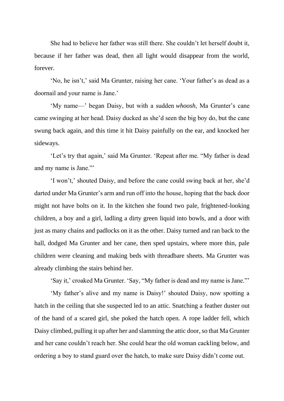She had to believe her father was still there. She couldn't let herself doubt it, because if her father was dead, then all light would disappear from the world, forever.

'No, he isn't,' said Ma Grunter, raising her cane. 'Your father's as dead as a doornail and your name is Jane.'

'My name—' began Daisy, but with a sudden *whoosh*, Ma Grunter's cane came swinging at her head. Daisy ducked as she'd seen the big boy do, but the cane swung back again, and this time it hit Daisy painfully on the ear, and knocked her sideways.

'Let's try that again,' said Ma Grunter. 'Repeat after me. "My father is dead and my name is Jane."'

'I won't,' shouted Daisy, and before the cane could swing back at her, she'd darted under Ma Grunter's arm and run off into the house, hoping that the back door might not have bolts on it. In the kitchen she found two pale, frightened-looking children, a boy and a girl, ladling a dirty green liquid into bowls, and a door with just as many chains and padlocks on it as the other. Daisy turned and ran back to the hall, dodged Ma Grunter and her cane, then sped upstairs, where more thin, pale children were cleaning and making beds with threadbare sheets. Ma Grunter was already climbing the stairs behind her.

'Say it,' croaked Ma Grunter. 'Say, "My father is dead and my name is Jane."'

'My father's alive and my name is Daisy!' shouted Daisy, now spotting a hatch in the ceiling that she suspected led to an attic. Snatching a feather duster out of the hand of a scared girl, she poked the hatch open. A rope ladder fell, which Daisy climbed, pulling it up after her and slamming the attic door, so that Ma Grunter and her cane couldn't reach her. She could hear the old woman cackling below, and ordering a boy to stand guard over the hatch, to make sure Daisy didn't come out.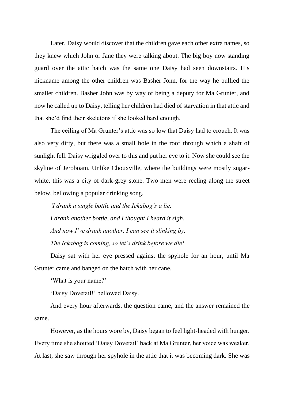Later, Daisy would discover that the children gave each other extra names, so they knew which John or Jane they were talking about. The big boy now standing guard over the attic hatch was the same one Daisy had seen downstairs. His nickname among the other children was Basher John, for the way he bullied the smaller children. Basher John was by way of being a deputy for Ma Grunter, and now he called up to Daisy, telling her children had died of starvation in that attic and that she'd find their skeletons if she looked hard enough.

The ceiling of Ma Grunter's attic was so low that Daisy had to crouch. It was also very dirty, but there was a small hole in the roof through which a shaft of sunlight fell. Daisy wriggled over to this and put her eye to it. Now she could see the skyline of Jeroboam. Unlike Chouxville, where the buildings were mostly sugarwhite, this was a city of dark-grey stone. Two men were reeling along the street below, bellowing a popular drinking song.

*'I drank a single bottle and the Ickabog's a lie, I drank another bottle, and I thought I heard it sigh, And now I've drunk another, I can see it slinking by, The Ickabog is coming, so let's drink before we die!'*

Daisy sat with her eye pressed against the spyhole for an hour, until Ma Grunter came and banged on the hatch with her cane.

'What is your name?'

'Daisy Dovetail!' bellowed Daisy.

And every hour afterwards, the question came, and the answer remained the same.

However, as the hours wore by, Daisy began to feel light-headed with hunger. Every time she shouted 'Daisy Dovetail' back at Ma Grunter, her voice was weaker. At last, she saw through her spyhole in the attic that it was becoming dark. She was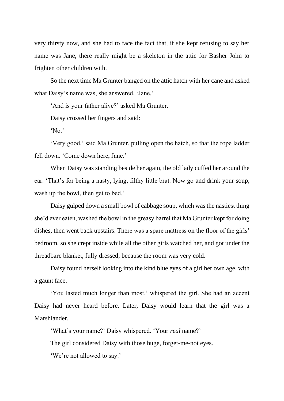very thirsty now, and she had to face the fact that, if she kept refusing to say her name was Jane, there really might be a skeleton in the attic for Basher John to frighten other children with.

So the next time Ma Grunter banged on the attic hatch with her cane and asked what Daisy's name was, she answered, 'Jane.'

'And is your father alive?' asked Ma Grunter.

Daisy crossed her fingers and said:

'No.'

'Very good,' said Ma Grunter, pulling open the hatch, so that the rope ladder fell down. 'Come down here, Jane.'

When Daisy was standing beside her again, the old lady cuffed her around the ear. 'That's for being a nasty, lying, filthy little brat. Now go and drink your soup, wash up the bowl, then get to bed.'

Daisy gulped down a small bowl of cabbage soup, which was the nastiest thing she'd ever eaten, washed the bowl in the greasy barrel that Ma Grunter kept for doing dishes, then went back upstairs. There was a spare mattress on the floor of the girls' bedroom, so she crept inside while all the other girls watched her, and got under the threadbare blanket, fully dressed, because the room was very cold.

Daisy found herself looking into the kind blue eyes of a girl her own age, with a gaunt face.

'You lasted much longer than most,' whispered the girl. She had an accent Daisy had never heard before. Later, Daisy would learn that the girl was a Marshlander.

'What's your name?' Daisy whispered. 'Your *real* name?'

The girl considered Daisy with those huge, forget-me-not eyes.

'We're not allowed to say.'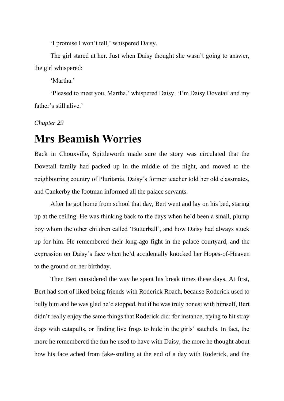'I promise I won't tell,' whispered Daisy.

The girl stared at her. Just when Daisy thought she wasn't going to answer, the girl whispered:

'Martha.'

'Pleased to meet you, Martha,' whispered Daisy. 'I'm Daisy Dovetail and my father's still alive.'

*Chapter 29*

## **Mrs Beamish Worries**

Back in Chouxville, Spittleworth made sure the story was circulated that the Dovetail family had packed up in the middle of the night, and moved to the neighbouring country of Pluritania. Daisy's former teacher told her old classmates, and Cankerby the footman informed all the palace servants.

After he got home from school that day, Bert went and lay on his bed, staring up at the ceiling. He was thinking back to the days when he'd been a small, plump boy whom the other children called 'Butterball', and how Daisy had always stuck up for him. He remembered their long-ago fight in the palace courtyard, and the expression on Daisy's face when he'd accidentally knocked her Hopes-of-Heaven to the ground on her birthday.

Then Bert considered the way he spent his break times these days. At first, Bert had sort of liked being friends with Roderick Roach, because Roderick used to bully him and he was glad he'd stopped, but if he was truly honest with himself, Bert didn't really enjoy the same things that Roderick did: for instance, trying to hit stray dogs with catapults, or finding live frogs to hide in the girls' satchels. In fact, the more he remembered the fun he used to have with Daisy, the more he thought about how his face ached from fake-smiling at the end of a day with Roderick, and the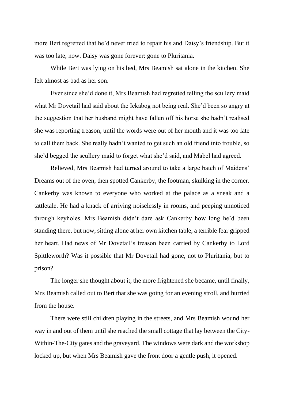more Bert regretted that he'd never tried to repair his and Daisy's friendship. But it was too late, now. Daisy was gone forever: gone to Pluritania.

While Bert was lying on his bed, Mrs Beamish sat alone in the kitchen. She felt almost as bad as her son.

Ever since she'd done it, Mrs Beamish had regretted telling the scullery maid what Mr Dovetail had said about the Ickabog not being real. She'd been so angry at the suggestion that her husband might have fallen off his horse she hadn't realised she was reporting treason, until the words were out of her mouth and it was too late to call them back. She really hadn't wanted to get such an old friend into trouble, so she'd begged the scullery maid to forget what she'd said, and Mabel had agreed.

Relieved, Mrs Beamish had turned around to take a large batch of Maidens' Dreams out of the oven, then spotted Cankerby, the footman, skulking in the corner. Cankerby was known to everyone who worked at the palace as a sneak and a tattletale. He had a knack of arriving noiselessly in rooms, and peeping unnoticed through keyholes. Mrs Beamish didn't dare ask Cankerby how long he'd been standing there, but now, sitting alone at her own kitchen table, a terrible fear gripped her heart. Had news of Mr Dovetail's treason been carried by Cankerby to Lord Spittleworth? Was it possible that Mr Dovetail had gone, not to Pluritania, but to prison?

The longer she thought about it, the more frightened she became, until finally, Mrs Beamish called out to Bert that she was going for an evening stroll, and hurried from the house.

There were still children playing in the streets, and Mrs Beamish wound her way in and out of them until she reached the small cottage that lay between the City-Within-The-City gates and the graveyard. The windows were dark and the workshop locked up, but when Mrs Beamish gave the front door a gentle push, it opened.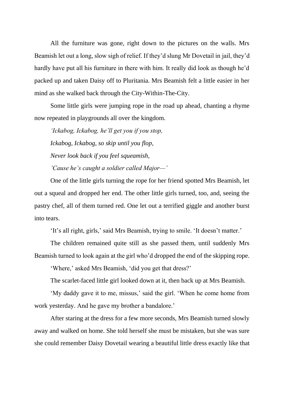All the furniture was gone, right down to the pictures on the walls. Mrs Beamish let out a long, slow sigh of relief. If they'd slung Mr Dovetail in jail, they'd hardly have put all his furniture in there with him. It really did look as though he'd packed up and taken Daisy off to Pluritania. Mrs Beamish felt a little easier in her mind as she walked back through the City-Within-The-City.

Some little girls were jumping rope in the road up ahead, chanting a rhyme now repeated in playgrounds all over the kingdom.

*'Ickabog, Ickabog, he'll get you if you stop, Ickabog, Ickabog, so skip until you flop, Never look back if you feel squeamish, 'Cause he's caught a soldier called Major—'*

One of the little girls turning the rope for her friend spotted Mrs Beamish, let out a squeal and dropped her end. The other little girls turned, too, and, seeing the pastry chef, all of them turned red. One let out a terrified giggle and another burst into tears.

'It's all right, girls,' said Mrs Beamish, trying to smile. 'It doesn't matter.'

The children remained quite still as she passed them, until suddenly Mrs Beamish turned to look again at the girl who'd dropped the end of the skipping rope.

'Where,' asked Mrs Beamish, 'did you get that dress?'

The scarlet-faced little girl looked down at it, then back up at Mrs Beamish.

'My daddy gave it to me, missus,' said the girl. 'When he come home from work yesterday. And he gave my brother a bandalore.'

After staring at the dress for a few more seconds, Mrs Beamish turned slowly away and walked on home. She told herself she must be mistaken, but she was sure she could remember Daisy Dovetail wearing a beautiful little dress exactly like that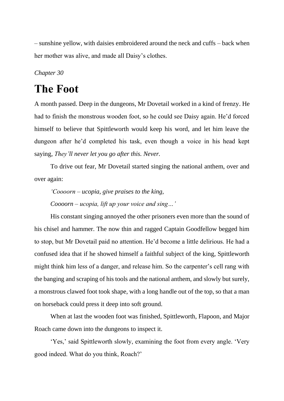– sunshine yellow, with daisies embroidered around the neck and cuffs – back when her mother was alive, and made all Daisy's clothes.

*Chapter 30*

# **The Foot**

A month passed. Deep in the dungeons, Mr Dovetail worked in a kind of frenzy. He had to finish the monstrous wooden foot, so he could see Daisy again. He'd forced himself to believe that Spittleworth would keep his word, and let him leave the dungeon after he'd completed his task, even though a voice in his head kept saying, *They'll never let you go after this. Never.*

To drive out fear, Mr Dovetail started singing the national anthem, over and over again:

*'Coooorn – ucopia, give praises to the king, Coooorn – ucopia, lift up your voice and sing…'*

His constant singing annoyed the other prisoners even more than the sound of his chisel and hammer. The now thin and ragged Captain Goodfellow begged him to stop, but Mr Dovetail paid no attention. He'd become a little delirious. He had a confused idea that if he showed himself a faithful subject of the king, Spittleworth might think him less of a danger, and release him. So the carpenter's cell rang with the banging and scraping of his tools and the national anthem, and slowly but surely, a monstrous clawed foot took shape, with a long handle out of the top, so that a man on horseback could press it deep into soft ground.

When at last the wooden foot was finished, Spittleworth, Flapoon, and Major Roach came down into the dungeons to inspect it.

'Yes,' said Spittleworth slowly, examining the foot from every angle. 'Very good indeed. What do you think, Roach?'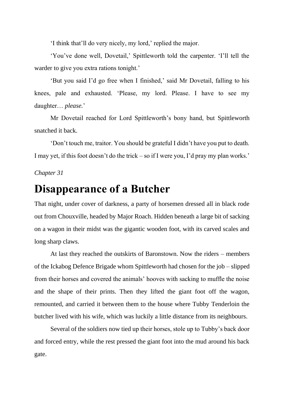'I think that'll do very nicely, my lord,' replied the major.

'You've done well, Dovetail,' Spittleworth told the carpenter. 'I'll tell the warder to give you extra rations tonight.'

'But you said I'd go free when I finished,' said Mr Dovetail, falling to his knees, pale and exhausted. 'Please, my lord. Please. I have to see my daughter… *please.*'

Mr Dovetail reached for Lord Spittleworth's bony hand, but Spittleworth snatched it back.

'Don't touch me, traitor. You should be grateful I didn't have you put to death. I may yet, if this foot doesn't do the trick – so if I were you, I'd pray my plan works.'

#### *Chapter 31*

# **Disappearance of a Butcher**

That night, under cover of darkness, a party of horsemen dressed all in black rode out from Chouxville, headed by Major Roach. Hidden beneath a large bit of sacking on a wagon in their midst was the gigantic wooden foot, with its carved scales and long sharp claws.

At last they reached the outskirts of Baronstown. Now the riders – members of the Ickabog Defence Brigade whom Spittleworth had chosen for the job – slipped from their horses and covered the animals' hooves with sacking to muffle the noise and the shape of their prints. Then they lifted the giant foot off the wagon, remounted, and carried it between them to the house where Tubby Tenderloin the butcher lived with his wife, which was luckily a little distance from its neighbours.

Several of the soldiers now tied up their horses, stole up to Tubby's back door and forced entry, while the rest pressed the giant foot into the mud around his back gate.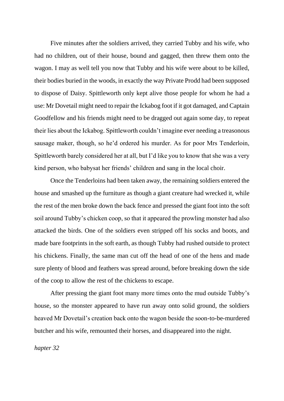Five minutes after the soldiers arrived, they carried Tubby and his wife, who had no children, out of their house, bound and gagged, then threw them onto the wagon. I may as well tell you now that Tubby and his wife were about to be killed, their bodies buried in the woods, in exactly the way Private Prodd had been supposed to dispose of Daisy. Spittleworth only kept alive those people for whom he had a use: Mr Dovetail might need to repair the Ickabog foot if it got damaged, and Captain Goodfellow and his friends might need to be dragged out again some day, to repeat their lies about the Ickabog. Spittleworth couldn't imagine ever needing a treasonous sausage maker, though, so he'd ordered his murder. As for poor Mrs Tenderloin, Spittleworth barely considered her at all, but I'd like you to know that she was a very kind person, who babysat her friends' children and sang in the local choir.

Once the Tenderloins had been taken away, the remaining soldiers entered the house and smashed up the furniture as though a giant creature had wrecked it, while the rest of the men broke down the back fence and pressed the giant foot into the soft soil around Tubby's chicken coop, so that it appeared the prowling monster had also attacked the birds. One of the soldiers even stripped off his socks and boots, and made bare footprints in the soft earth, as though Tubby had rushed outside to protect his chickens. Finally, the same man cut off the head of one of the hens and made sure plenty of blood and feathers was spread around, before breaking down the side of the coop to allow the rest of the chickens to escape.

After pressing the giant foot many more times onto the mud outside Tubby's house, so the monster appeared to have run away onto solid ground, the soldiers heaved Mr Dovetail's creation back onto the wagon beside the soon-to-be-murdered butcher and his wife, remounted their horses, and disappeared into the night.

*hapter 32*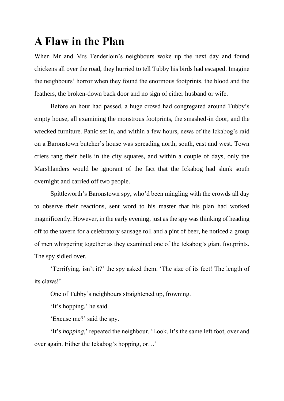# **A Flaw in the Plan**

When Mr and Mrs Tenderloin's neighbours woke up the next day and found chickens all over the road, they hurried to tell Tubby his birds had escaped. Imagine the neighbours' horror when they found the enormous footprints, the blood and the feathers, the broken-down back door and no sign of either husband or wife.

Before an hour had passed, a huge crowd had congregated around Tubby's empty house, all examining the monstrous footprints, the smashed-in door, and the wrecked furniture. Panic set in, and within a few hours, news of the Ickabog's raid on a Baronstown butcher's house was spreading north, south, east and west. Town criers rang their bells in the city squares, and within a couple of days, only the Marshlanders would be ignorant of the fact that the Ickabog had slunk south overnight and carried off two people.

Spittleworth's Baronstown spy, who'd been mingling with the crowds all day to observe their reactions, sent word to his master that his plan had worked magnificently. However, in the early evening, just as the spy was thinking of heading off to the tavern for a celebratory sausage roll and a pint of beer, he noticed a group of men whispering together as they examined one of the Ickabog's giant footprints. The spy sidled over.

'Terrifying, isn't it?' the spy asked them. 'The size of its feet! The length of its claws!'

One of Tubby's neighbours straightened up, frowning.

'It's hopping,' he said.

'Excuse me?' said the spy.

'It's *hopping*,' repeated the neighbour. 'Look. It's the same left foot, over and over again. Either the Ickabog's hopping, or…'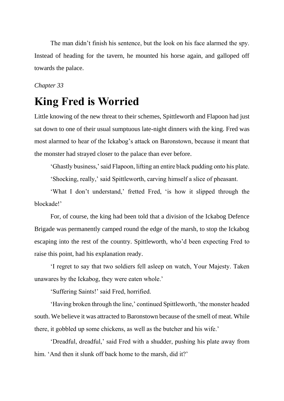The man didn't finish his sentence, but the look on his face alarmed the spy. Instead of heading for the tavern, he mounted his horse again, and galloped off towards the palace.

#### *Chapter 33*

# **King Fred is Worried**

Little knowing of the new threat to their schemes, Spittleworth and Flapoon had just sat down to one of their usual sumptuous late-night dinners with the king. Fred was most alarmed to hear of the Ickabog's attack on Baronstown, because it meant that the monster had strayed closer to the palace than ever before.

'Ghastly business,' said Flapoon, lifting an entire black pudding onto his plate.

'Shocking, really,' said Spittleworth, carving himself a slice of pheasant.

'What I don't understand,' fretted Fred, 'is how it slipped through the blockade!'

For, of course, the king had been told that a division of the Ickabog Defence Brigade was permanently camped round the edge of the marsh, to stop the Ickabog escaping into the rest of the country. Spittleworth, who'd been expecting Fred to raise this point, had his explanation ready.

'I regret to say that two soldiers fell asleep on watch, Your Majesty. Taken unawares by the Ickabog, they were eaten whole.'

'Suffering Saints!' said Fred, horrified.

'Having broken through the line,' continued Spittleworth, 'the monster headed south. We believe it was attracted to Baronstown because of the smell of meat. While there, it gobbled up some chickens, as well as the butcher and his wife.'

'Dreadful, dreadful,' said Fred with a shudder, pushing his plate away from him. 'And then it slunk off back home to the marsh, did it?'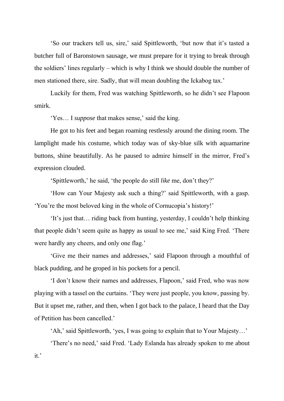'So our trackers tell us, sire,' said Spittleworth, 'but now that it's tasted a butcher full of Baronstown sausage, we must prepare for it trying to break through the soldiers' lines regularly – which is why I think we should double the number of men stationed there, sire. Sadly, that will mean doubling the Ickabog tax.'

Luckily for them, Fred was watching Spittleworth, so he didn't see Flapoon smirk.

'Yes… I *suppose* that makes sense,' said the king.

He got to his feet and began roaming restlessly around the dining room. The lamplight made his costume, which today was of sky-blue silk with aquamarine buttons, shine beautifully. As he paused to admire himself in the mirror, Fred's expression clouded.

'Spittleworth,' he said, 'the people do still *like* me, don't they?'

'How can Your Majesty ask such a thing?' said Spittleworth, with a gasp. 'You're the most beloved king in the whole of Cornucopia's history!'

'It's just that… riding back from hunting, yesterday, I couldn't help thinking that people didn't seem quite as happy as usual to see me,' said King Fred. 'There were hardly any cheers, and only one flag.'

'Give me their names and addresses,' said Flapoon through a mouthful of black pudding, and he groped in his pockets for a pencil.

'I don't know their names and addresses, Flapoon,' said Fred, who was now playing with a tassel on the curtains. 'They were just people, you know, passing by. But it upset me, rather, and then, when I got back to the palace, I heard that the Day of Petition has been cancelled.'

'Ah,' said Spittleworth, 'yes, I was going to explain that to Your Majesty…'

'There's no need,' said Fred. 'Lady Eslanda has already spoken to me about it.'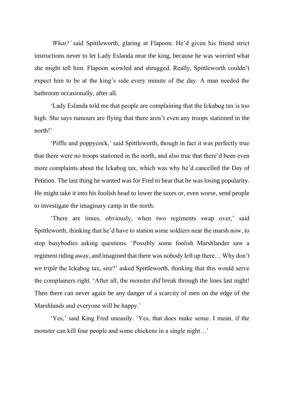*'What?'* said Spittleworth, glaring at Flapoon. He'd given his friend strict instructions never to let Lady Eslanda near the king, because he was worried what she might tell him. Flapoon scowled and shrugged. Really, Spittleworth couldn't expect him to be at the king's side every minute of the day. A man needed the bathroom occasionally, after all.

'Lady Eslanda told me that people are complaining that the Ickabog tax is too high. She says rumours are flying that there aren't even any troops stationed in the north!'

'Piffle and poppycock,' said Spittleworth, though in fact it was perfectly true that there were no troops stationed in the north, and also true that there'd been even more complaints about the Ickabog tax, which was why he'd cancelled the Day of Petition. The last thing he wanted was for Fred to hear that he was losing popularity. He might take it into his foolish head to lower the taxes or, even worse, send people to investigate the imaginary camp in the north.

'There are times, obviously, when two regiments swap over,' said Spittleworth, thinking that he'd have to station some soldiers near the marsh now, to stop busybodies asking questions. 'Possibly some foolish Marshlander saw a regiment riding away, and imagined that there was nobody left up there… Why don't we *triple* the Ickabog tax, sire?' asked Spittleworth, thinking that this would serve the complainers right. 'After all, the monster *did* break through the lines last night! Then there can never again be any danger of a scarcity of men on the edge of the Marshlands and everyone will be happy.'

'Yes,' said King Fred uneasily. 'Yes, that does make sense. I mean, if the monster can kill four people and some chickens in a single night...'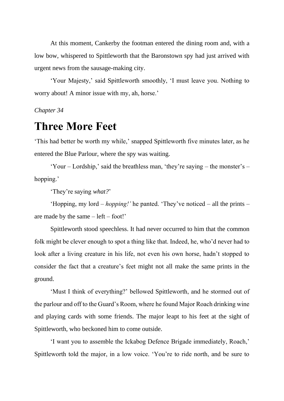At this moment, Cankerby the footman entered the dining room and, with a low bow, whispered to Spittleworth that the Baronstown spy had just arrived with urgent news from the sausage-making city.

'Your Majesty,' said Spittleworth smoothly, 'I must leave you. Nothing to worry about! A minor issue with my, ah, horse.'

*Chapter 34*

### **Three More Feet**

'This had better be worth my while,' snapped Spittleworth five minutes later, as he entered the Blue Parlour, where the spy was waiting.

'Your – Lordship,' said the breathless man, 'they're saying – the monster's – hopping.'

'They're saying *what?*'

'Hopping, my lord – *hopping!'* he panted. 'They've noticed – all the prints – are made by the same – left – foot!'

Spittleworth stood speechless. It had never occurred to him that the common folk might be clever enough to spot a thing like that. Indeed, he, who'd never had to look after a living creature in his life, not even his own horse, hadn't stopped to consider the fact that a creature's feet might not all make the same prints in the ground.

'Must I think of everything?' bellowed Spittleworth, and he stormed out of the parlour and off to the Guard's Room, where he found Major Roach drinking wine and playing cards with some friends. The major leapt to his feet at the sight of Spittleworth, who beckoned him to come outside.

'I want you to assemble the Ickabog Defence Brigade immediately, Roach,' Spittleworth told the major, in a low voice. 'You're to ride north, and be sure to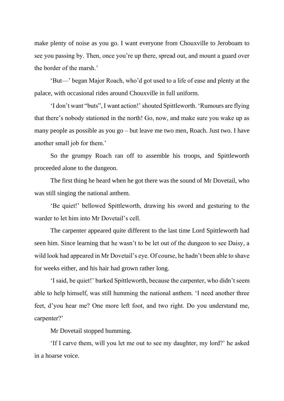make plenty of noise as you go. I want everyone from Chouxville to Jeroboam to see you passing by. Then, once you're up there, spread out, and mount a guard over the border of the marsh.'

'But—' began Major Roach, who'd got used to a life of ease and plenty at the palace, with occasional rides around Chouxville in full uniform.

'I don't want "buts", I want action!' shouted Spittleworth. 'Rumours are flying that there's nobody stationed in the north! Go, now, and make sure you wake up as many people as possible as you go – but leave me two men, Roach. Just two. I have another small job for them.'

So the grumpy Roach ran off to assemble his troops, and Spittleworth proceeded alone to the dungeon.

The first thing he heard when he got there was the sound of Mr Dovetail, who was still singing the national anthem.

'Be quiet!' bellowed Spittleworth, drawing his sword and gesturing to the warder to let him into Mr Dovetail's cell.

The carpenter appeared quite different to the last time Lord Spittleworth had seen him. Since learning that he wasn't to be let out of the dungeon to see Daisy, a wild look had appeared in Mr Dovetail's eye. Of course, he hadn't been able to shave for weeks either, and his hair had grown rather long.

'I said, be quiet!' barked Spittleworth, because the carpenter, who didn't seem able to help himself, was still humming the national anthem. 'I need another three feet, d'you hear me? One more left foot, and two right. Do you understand me, carpenter?'

Mr Dovetail stopped humming.

'If I carve them, will you let me out to see my daughter, my lord?' he asked in a hoarse voice.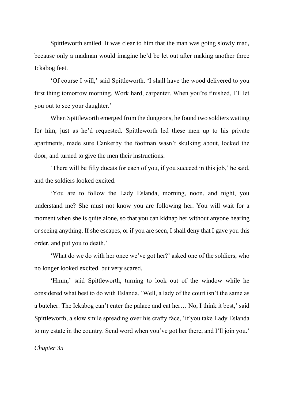Spittleworth smiled. It was clear to him that the man was going slowly mad, because only a madman would imagine he'd be let out after making another three Ickabog feet.

'Of course I will,' said Spittleworth. 'I shall have the wood delivered to you first thing tomorrow morning. Work hard, carpenter. When you're finished, I'll let you out to see your daughter.'

When Spittleworth emerged from the dungeons, he found two soldiers waiting for him, just as he'd requested. Spittleworth led these men up to his private apartments, made sure Cankerby the footman wasn't skulking about, locked the door, and turned to give the men their instructions.

'There will be fifty ducats for each of you, if you succeed in this job,' he said, and the soldiers looked excited.

'You are to follow the Lady Eslanda, morning, noon, and night, you understand me? She must not know you are following her. You will wait for a moment when she is quite alone, so that you can kidnap her without anyone hearing or seeing anything. If she escapes, or if you are seen, I shall deny that I gave you this order, and put you to death.'

'What do we do with her once we've got her?' asked one of the soldiers, who no longer looked excited, but very scared.

'Hmm,' said Spittleworth, turning to look out of the window while he considered what best to do with Eslanda. 'Well, a lady of the court isn't the same as a butcher. The Ickabog can't enter the palace and eat her… No, I think it best,' said Spittleworth, a slow smile spreading over his crafty face, 'if you take Lady Eslanda to my estate in the country. Send word when you've got her there, and I'll join you.'

*Chapter 35*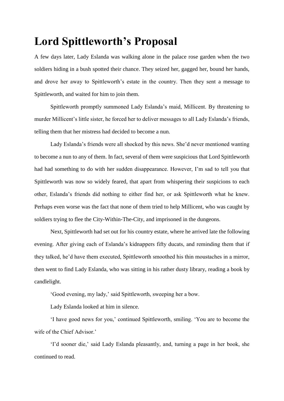# **Lord Spittleworth's Proposal**

A few days later, Lady Eslanda was walking alone in the palace rose garden when the two soldiers hiding in a bush spotted their chance. They seized her, gagged her, bound her hands, and drove her away to Spittleworth's estate in the country. Then they sent a message to Spittleworth, and waited for him to join them.

Spittleworth promptly summoned Lady Eslanda's maid, Millicent. By threatening to murder Millicent's little sister, he forced her to deliver messages to all Lady Eslanda's friends, telling them that her mistress had decided to become a nun.

Lady Eslanda's friends were all shocked by this news. She'd never mentioned wanting to become a nun to any of them. In fact, several of them were suspicious that Lord Spittleworth had had something to do with her sudden disappearance. However, I'm sad to tell you that Spittleworth was now so widely feared, that apart from whispering their suspicions to each other, Eslanda's friends did nothing to either find her, or ask Spittleworth what he knew. Perhaps even worse was the fact that none of them tried to help Millicent, who was caught by soldiers trying to flee the City-Within-The-City, and imprisoned in the dungeons.

Next, Spittleworth had set out for his country estate, where he arrived late the following evening. After giving each of Eslanda's kidnappers fifty ducats, and reminding them that if they talked, he'd have them executed, Spittleworth smoothed his thin moustaches in a mirror, then went to find Lady Eslanda, who was sitting in his rather dusty library, reading a book by candlelight.

'Good evening, my lady,' said Spittleworth, sweeping her a bow.

Lady Eslanda looked at him in silence.

'I have good news for you,' continued Spittleworth, smiling. 'You are to become the wife of the Chief Advisor.'

'I'd sooner die,' said Lady Eslanda pleasantly, and, turning a page in her book, she continued to read.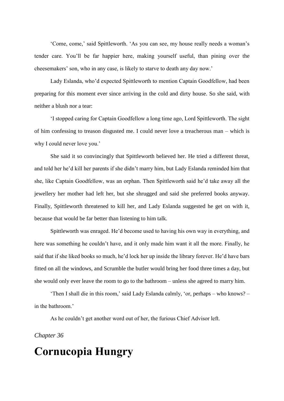'Come, come,' said Spittleworth. 'As you can see, my house really needs a woman's tender care. You'll be far happier here, making yourself useful, than pining over the cheesemakers' son, who in any case, is likely to starve to death any day now.'

Lady Eslanda, who'd expected Spittleworth to mention Captain Goodfellow, had been preparing for this moment ever since arriving in the cold and dirty house. So she said, with neither a blush nor a tear:

'I stopped caring for Captain Goodfellow a long time ago, Lord Spittleworth. The sight of him confessing to treason disgusted me. I could never love a treacherous man – which is why I could never love you.'

She said it so convincingly that Spittleworth believed her. He tried a different threat, and told her he'd kill her parents if she didn't marry him, but Lady Eslanda reminded him that she, like Captain Goodfellow, was an orphan. Then Spittleworth said he'd take away all the jewellery her mother had left her, but she shrugged and said she preferred books anyway. Finally, Spittleworth threatened to kill her, and Lady Eslanda suggested he get on with it, because that would be far better than listening to him talk.

Spittleworth was enraged. He'd become used to having his own way in everything, and here was something he couldn't have, and it only made him want it all the more. Finally, he said that if she liked books so much, he'd lock her up inside the library forever. He'd have bars fitted on all the windows, and Scrumble the butler would bring her food three times a day, but she would only ever leave the room to go to the bathroom – unless she agreed to marry him.

'Then I shall die in this room,' said Lady Eslanda calmly, 'or, perhaps – who knows? – in the bathroom.'

As he couldn't get another word out of her, the furious Chief Advisor left.

*Chapter 36*

# **Cornucopia Hungry**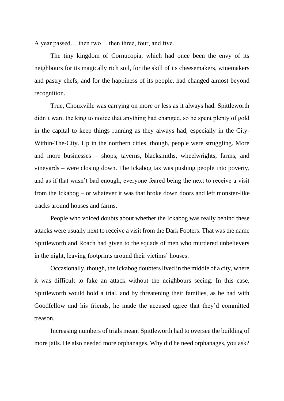A year passed… then two… then three, four, and five.

The tiny kingdom of Cornucopia, which had once been the envy of its neighbours for its magically rich soil, for the skill of its cheesemakers, winemakers and pastry chefs, and for the happiness of its people, had changed almost beyond recognition.

True, Chouxville was carrying on more or less as it always had. Spittleworth didn't want the king to notice that anything had changed, so he spent plenty of gold in the capital to keep things running as they always had, especially in the City-Within-The-City. Up in the northern cities, though, people were struggling. More and more businesses – shops, taverns, blacksmiths, wheelwrights, farms, and vineyards – were closing down. The Ickabog tax was pushing people into poverty, and as if that wasn't bad enough, everyone feared being the next to receive a visit from the Ickabog – or whatever it was that broke down doors and left monster-like tracks around houses and farms.

People who voiced doubts about whether the Ickabog was really behind these attacks were usually next to receive a visit from the Dark Footers. That was the name Spittleworth and Roach had given to the squads of men who murdered unbelievers in the night, leaving footprints around their victims' houses.

Occasionally, though, the Ickabog doubters lived in the middle of a city, where it was difficult to fake an attack without the neighbours seeing. In this case, Spittleworth would hold a trial, and by threatening their families, as he had with Goodfellow and his friends, he made the accused agree that they'd committed treason.

Increasing numbers of trials meant Spittleworth had to oversee the building of more jails. He also needed more orphanages. Why did he need orphanages, you ask?